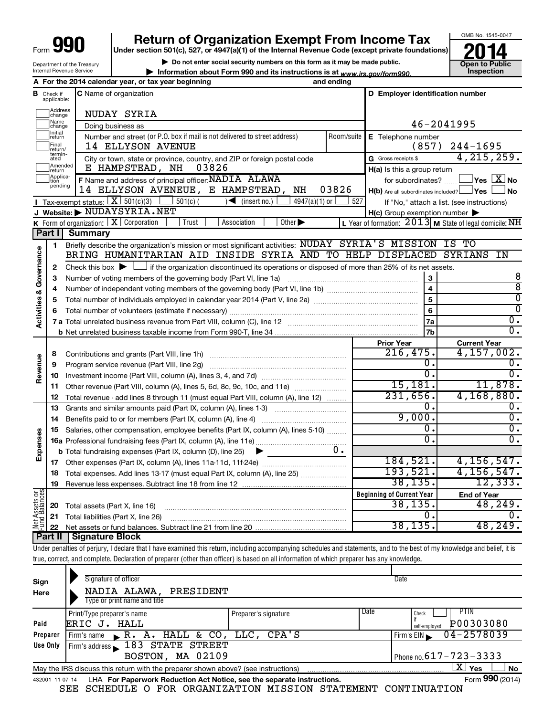Department of the Treasury

# **Return of Organization Exempt From Income Tax**

**Under section 501(c), 527, or 4947(a)(1) of the Internal Revenue Code (except private foundations)**

**| Do not enter social security numbers on this form as it may be made public.**





4,215,259.

8 8  $\overline{0}$  $\overline{0}$  $\overline{0}$  .  $\overline{0}$  .

If "No," attach a list. (see instructions)

46-2041995

**Prior Year Current Year**

 $216, 475. \boxed{4, 157, 002.}$ 

15,181. 11,878. 231,656. 4,168,880.

 $\overline{0.1}$   $\overline{0.0}$  $\begin{array}{ccc} 0 \end{array}$ .

Internal Revenue Service **| Information about Form 990 and its instructions is at www.irs.gov/form990.** | Inspection **A For the 2014 calendar year, or tax year beginning and ending B** Check if **C** Name of organization **C D Employer identification number** Check if C Name of organization applicable: Haddress<br>
Change NUDAY SYRIA Name<br>
change Doing business as Initial<br>Treturn  $\Box$ **E** Telephone number Number and street (or P.O. box if mail is not delivered to street address) Room/suite | E Telephone number 14 ELLYSON AVENUE (857) 244-1695  $\Box$ Final 14 ELLYSON AVENUE<br>return/<br>ated City or town, state or province, country, and ZIP or foreign postal code Gross receipts \$ G Gross receipts \$ **Example 1**<br>Treturn E HAMPSTEAD, NH 03826 **H(a)** Is this a group return Applica-<br>
pending<br>
pending **F** Name and address of principal officer: **NADIA ALAWA** for subordinates? **The SEX No F** Name and address of principal officer: **NADIA ALAWA** 14 ELLYSON AVENEUE, E HAMPSTEAD, NH 03826  $H(b)$  Are all subordinates included?  $\Box$  Yes  $\Box$  No Tax-exempt status:  $\boxed{\mathbf{X}}$  501(c)(3)  $\boxed{\phantom{0}}$  501(c)(  $\phantom{0}$ )  $\blacklozenge$  (insert no.)  $\boxed{\phantom{0}}$  4947(a)(1) or  $\boxed{\phantom{0}}$  527 **I J Website: |** NUDAYSYRIA.NET **H(c)** Group exemption number **K** Form of organization:  $\boxed{\mathbf{X}}$  Corporation  $\boxed{\phantom{a}}$  Trust  $\boxed{\phantom{a}}$  Association  $\boxed{\phantom{a}}$ Form of organization:  $\boxed{\text{X}}$  Corporation  $\boxed{\phantom{\text{X}}}$  Trust  $\boxed{\phantom{\text{X}}}$  Association  $\boxed{\phantom{\text{X}}}$  Other  $\blacktriangleright$   $\phantom{\text{X}}$  L Year of formation:  $2013$  **M** State of legal domicile:  $\text{NH}$ **Part I Summary** Briefly describe the organization's mission or most significant activities:  $\overline{\text{NUDAY}}\;\; \text{SYRIA\text{'S}}\;\; \text{MISSION} \;\; \text{IS} \;\; \text{TO}$ **1** Activities & Governance **Activities & Governance** BRING HUMANITARIAN AID INSIDE SYRIA AND TO HELP DISPLACED SYRIANS IN Check this box  $\blacktriangleright$ Check this box  $\blacktriangleright$  if the organization discontinued its operations or disposed of more than 25% of its net assets. **2 3** Number of voting members of the governing body (Part VI, line 1a) www.communically.communically.com **4** Number of independent voting members of the governing body (Part VI, line 1b) manumour manumour manumour **5** Total number of individuals employed in calendar year 2014 (Part V, line 2a) ~~~~~~~~~~~~~~~~ **6** Total number of volunteers (estimate if necessary) …………………………………………………………………………… **7 a** Total unrelated business revenue from Part VIII, column (C), line 12 ~~~~~~~~~~~~~~~~~~~~ **b** Net unrelated business taxable income from Form 990-T, line 34 Contributions and grants (Part VIII, line 1h) ~~~~~~~~~~~~~~~~~~~~~ **8 Revenue** Program service revenue (Part VIII, line 2g) ~~~~~~~~~~~~~~~~~~~~~ **9 10** Investment income (Part VIII, column (A), lines 3, 4, and 7d) ~~~~~~~~~~~~~ **11** Other revenue (Part VIII, column (A), lines 5, 6d, 8c, 9c, 10c, and 11e) ........................... Total revenue - add lines 8 through 11 (must equal Part VIII, column (A), line 12) **12 13** Grants and similar amounts paid (Part IX, column (A), lines 1-3) \_\_\_\_\_\_\_\_\_\_\_\_\_\_\_\_\_\_\_\_\_ **14** Benefits paid to or for members (Part IX, column (A), line 4) ~~~~~~~~~~~~~ **15** Salaries, other compensation, employee benefits (Part IX, column (A), lines 5-10)  $\ldots \ldots \ldots$ 

**Beginning of Current Year 16 a** Professional fundraising fees (Part IX, column (A), line 11e) ~~~~~~~~~~~~~~ **17 18 19 b** Total fundraising expenses (Part IX, column (D), line 25) **Expenses End of Year 20** Total assets (Part X, line 16) **21** Total liabilities (Part X, line 26) **22**  $\blacktriangleright$ **Net Assets or Fund Balances** Other expenses (Part IX, column (A), lines 11a 11d, 11f 24e) ……………………………… Total expenses. Add lines 13-17 (must equal Part IX, column (A), line 25) ..................... Revenue less expenses. Subtract line 18 from line 12 Net assets or fund balances. Subtract line 21 from line 20 ~~~~~~~~~~~~~~~~~~~~~~~~~~~~ ~~~~~~~~~~~~~~~~~~~~~~~~~~~  $\begin{array}{ccc} 0 \cdot & \hspace{1.5cm} 0 \end{array}$  $9,000.$  0.  $\begin{array}{ccc} 0 \end{array}$ .  $\begin{array}{ccc} 0 \end{array}$ . 0. 184,521. 4,156,547. 193,521. 4,156,547. 38,135. 12,333. 38,135. 48,249.  $\begin{array}{ccc} 0 \end{array}$ . 38,135. 48,249.

**Part II Signature Block**

Under penalties of perjury, I declare that I have examined this return, including accompanying schedules and statements, and to the best of my knowledge and belief, it is true, correct, and complete. Declaration of preparer (other than officer) is based on all information of which preparer has any knowledge.

| Sign<br>Here    | Signature of officer<br>NADIA ALAWA,<br>PRESIDENT<br>Type or print name and title |                      |                              | Date                                        |
|-----------------|-----------------------------------------------------------------------------------|----------------------|------------------------------|---------------------------------------------|
| Paid            | Print/Type preparer's name<br>ERIC J. HALL                                        | Preparer's signature | Date                         | PTIN<br>Check<br>P00303080<br>self-emploved |
| Preparer        | R. A. HALL & CO.<br>Firm's name                                                   | LLC, CPA'S           |                              | 04-2578039<br>Firm's EIN                    |
| Use Only        | <b>STATE STREET</b><br>183<br>Firm's address<br>BOSTON, MA 02109                  |                      | Phone no. $617 - 723 - 3333$ |                                             |
|                 | May the IRS discuss this return with the preparer shown above? (see instructions) |                      |                              | x<br>Yes<br><b>No</b>                       |
| 432001 11-07-14 | LHA For Paperwork Reduction Act Notice, see the separate instructions.            |                      |                              | Form 990 (2014)                             |

SEE SCHEDULE O FOR ORGANIZATION MISSION STATEMENT CONTINUATION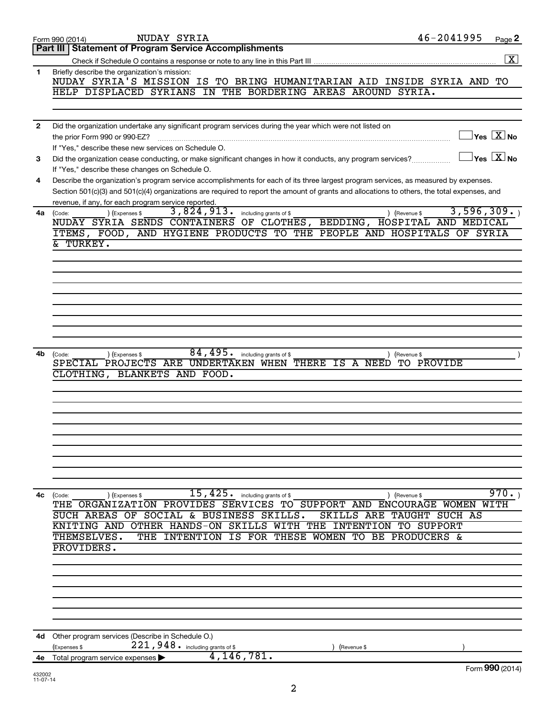|              | 46-2041995<br><b>NUDAY SYRIA</b><br>Page 2<br>Form 990 (2014)                                                                                                                                 |
|--------------|-----------------------------------------------------------------------------------------------------------------------------------------------------------------------------------------------|
|              | Part III   Statement of Program Service Accomplishments                                                                                                                                       |
|              | $\boxed{\text{X}}$                                                                                                                                                                            |
| 1            | Briefly describe the organization's mission:<br>NUDAY SYRIA'S MISSION IS TO BRING HUMANITARIAN AID INSIDE SYRIA AND TO                                                                        |
|              | HELP DISPLACED SYRIANS IN THE BORDERING AREAS AROUND SYRIA.                                                                                                                                   |
|              |                                                                                                                                                                                               |
|              |                                                                                                                                                                                               |
|              |                                                                                                                                                                                               |
| $\mathbf{2}$ | Did the organization undertake any significant program services during the year which were not listed on<br>$\overline{\ }$ Yes $\overline{\phantom{a}X}$ No<br>the prior Form 990 or 990-EZ? |
|              | If "Yes," describe these new services on Schedule O.                                                                                                                                          |
| 3            | $\Box$ Yes $[\overline{\mathrm{X}}]$ No<br>Did the organization cease conducting, or make significant changes in how it conducts, any program services?                                       |
|              | If "Yes," describe these changes on Schedule O.                                                                                                                                               |
| 4            | Describe the organization's program service accomplishments for each of its three largest program services, as measured by expenses.                                                          |
|              | Section 501(c)(3) and 501(c)(4) organizations are required to report the amount of grants and allocations to others, the total expenses, and                                                  |
|              | revenue, if any, for each program service reported.                                                                                                                                           |
| 4a           | 3,596,309.<br>3,824,913. including grants of \$<br>) (Expenses \$<br>) (Revenue \$<br>(Code:                                                                                                  |
|              | NUDAY SYRIA SENDS CONTAINERS OF CLOTHES, BEDDING, HOSPITAL AND MEDICAL                                                                                                                        |
|              | ITEMS, FOOD, AND HYGIENE PRODUCTS TO THE PEOPLE AND HOSPITALS OF SYRIA                                                                                                                        |
|              | & TURKEY.                                                                                                                                                                                     |
|              |                                                                                                                                                                                               |
|              |                                                                                                                                                                                               |
|              |                                                                                                                                                                                               |
|              |                                                                                                                                                                                               |
|              |                                                                                                                                                                                               |
|              |                                                                                                                                                                                               |
|              |                                                                                                                                                                                               |
|              |                                                                                                                                                                                               |
|              |                                                                                                                                                                                               |
|              |                                                                                                                                                                                               |
| 4b.          | $\overline{84,495}$ . including grants of \$<br>(Expenses \$<br>(Code:<br>) (Revenue \$<br>SPECIAL PROJECTS ARE UNDERTAKEN WHEN THERE IS A NEED TO PROVIDE                                    |
|              |                                                                                                                                                                                               |
|              | CLOTHING, BLANKETS AND FOOD.                                                                                                                                                                  |
|              |                                                                                                                                                                                               |
|              |                                                                                                                                                                                               |
|              |                                                                                                                                                                                               |
|              |                                                                                                                                                                                               |
|              |                                                                                                                                                                                               |
|              |                                                                                                                                                                                               |
|              |                                                                                                                                                                                               |
|              |                                                                                                                                                                                               |
|              |                                                                                                                                                                                               |
|              |                                                                                                                                                                                               |
| 4с           | 970.<br>15,425.<br>including grants of \$<br>) (Expenses \$<br>) (Revenue \$<br>(Code:                                                                                                        |
|              | SERVICES TO SUPPORT AND ENCOURAGE WOMEN WITH<br>THE ORGANIZATION PROVIDES                                                                                                                     |
|              | SUCH AREAS OF<br>SOCIAL & BUSINESS SKILLS.<br>SKILLS ARE TAUGHT SUCH AS                                                                                                                       |
|              | <b>SKILLS</b><br>WITH THE<br><b>INTENTION</b><br>TO SUPPORT<br>KNITING AND<br><b>OTHER HANDS-ON</b>                                                                                           |
|              | THEMSELVES.<br>THE<br>INTENTION<br>IS<br><b>FOR</b><br>THESE<br><b>WOMEN</b><br>TО<br>ВE<br>PRODUCERS &                                                                                       |
|              | PROVIDERS.                                                                                                                                                                                    |
|              |                                                                                                                                                                                               |
|              |                                                                                                                                                                                               |
|              |                                                                                                                                                                                               |
|              |                                                                                                                                                                                               |
|              |                                                                                                                                                                                               |
|              |                                                                                                                                                                                               |
|              |                                                                                                                                                                                               |
|              |                                                                                                                                                                                               |
| 4d           | Other program services (Describe in Schedule O.)                                                                                                                                              |
|              | 221, 948. including grants of \$<br>(Expenses \$<br>(Revenue \$                                                                                                                               |
| 4е           | 4,146,781.<br>Total program service expenses                                                                                                                                                  |
|              | Form 990 (2014)                                                                                                                                                                               |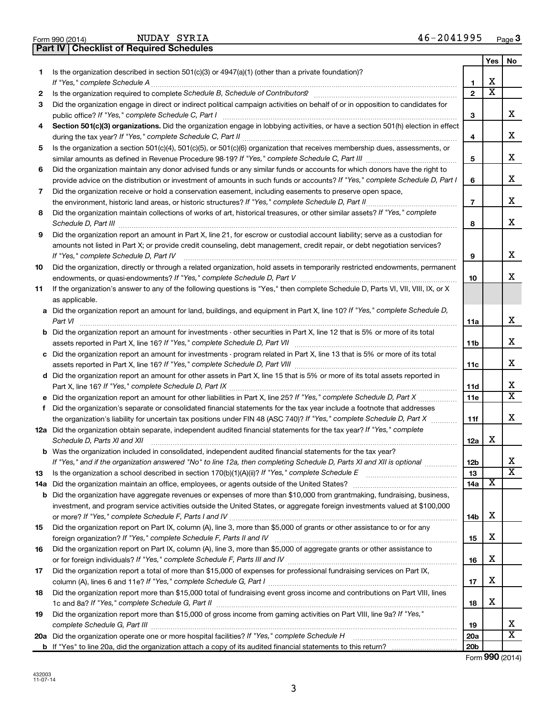| בעבת<br>- -<br>- -<br>_____ | Form<br>೨೪೦ (2014) | --------<br>$-$<br><b>NUDAY</b><br>ovo | ,,, | Page |
|-----------------------------|--------------------|----------------------------------------|-----|------|
|-----------------------------|--------------------|----------------------------------------|-----|------|

|     |                                                                                                                                                                                                                                                                                                                                                                    |                   | Yes                     | No                      |
|-----|--------------------------------------------------------------------------------------------------------------------------------------------------------------------------------------------------------------------------------------------------------------------------------------------------------------------------------------------------------------------|-------------------|-------------------------|-------------------------|
| 1   | Is the organization described in section $501(c)(3)$ or $4947(a)(1)$ (other than a private foundation)?                                                                                                                                                                                                                                                            | 1                 | X                       |                         |
| 2   |                                                                                                                                                                                                                                                                                                                                                                    | $\mathbf{2}$      | $\overline{\textbf{x}}$ |                         |
| 3   | Did the organization engage in direct or indirect political campaign activities on behalf of or in opposition to candidates for                                                                                                                                                                                                                                    | 3                 |                         | x                       |
| 4   | Section 501(c)(3) organizations. Did the organization engage in lobbying activities, or have a section 501(h) election in effect                                                                                                                                                                                                                                   |                   |                         |                         |
|     |                                                                                                                                                                                                                                                                                                                                                                    | 4                 |                         | x                       |
| 5   | Is the organization a section 501(c)(4), 501(c)(5), or 501(c)(6) organization that receives membership dues, assessments, or                                                                                                                                                                                                                                       |                   |                         |                         |
|     |                                                                                                                                                                                                                                                                                                                                                                    | 5                 |                         | x                       |
| 6   | Did the organization maintain any donor advised funds or any similar funds or accounts for which donors have the right to                                                                                                                                                                                                                                          |                   |                         |                         |
|     | provide advice on the distribution or investment of amounts in such funds or accounts? If "Yes," complete Schedule D, Part I                                                                                                                                                                                                                                       | 6                 |                         | x                       |
| 7   | Did the organization receive or hold a conservation easement, including easements to preserve open space,                                                                                                                                                                                                                                                          |                   |                         |                         |
|     |                                                                                                                                                                                                                                                                                                                                                                    | $\overline{7}$    |                         | x                       |
| 8   | Did the organization maintain collections of works of art, historical treasures, or other similar assets? If "Yes," complete<br>Schedule D, Part III <b>Martin Communication</b> Contract and Contract and Contract and Contract and Contract and Contract and Contract and Contract and Contract and Contract and Contract and Contract and Contract and Contract | 8                 |                         | x                       |
| 9   | Did the organization report an amount in Part X, line 21, for escrow or custodial account liability; serve as a custodian for                                                                                                                                                                                                                                      |                   |                         |                         |
|     | amounts not listed in Part X; or provide credit counseling, debt management, credit repair, or debt negotiation services?                                                                                                                                                                                                                                          |                   |                         |                         |
|     |                                                                                                                                                                                                                                                                                                                                                                    | 9                 |                         | x                       |
| 10  | Did the organization, directly or through a related organization, hold assets in temporarily restricted endowments, permanent                                                                                                                                                                                                                                      | 10                |                         | X.                      |
| 11  | If the organization's answer to any of the following questions is "Yes," then complete Schedule D, Parts VI, VII, VIII, IX, or X                                                                                                                                                                                                                                   |                   |                         |                         |
|     | as applicable.                                                                                                                                                                                                                                                                                                                                                     |                   |                         |                         |
|     | a Did the organization report an amount for land, buildings, and equipment in Part X, line 10? If "Yes," complete Schedule D,                                                                                                                                                                                                                                      |                   |                         |                         |
|     | Part VI                                                                                                                                                                                                                                                                                                                                                            | 11a               |                         | x                       |
|     | <b>b</b> Did the organization report an amount for investments - other securities in Part X, line 12 that is 5% or more of its total                                                                                                                                                                                                                               |                   |                         |                         |
|     |                                                                                                                                                                                                                                                                                                                                                                    | 11b               |                         | X.                      |
|     | c Did the organization report an amount for investments - program related in Part X, line 13 that is 5% or more of its total                                                                                                                                                                                                                                       |                   |                         | x                       |
|     | 11c                                                                                                                                                                                                                                                                                                                                                                |                   |                         |                         |
|     | d Did the organization report an amount for other assets in Part X, line 15 that is 5% or more of its total assets reported in                                                                                                                                                                                                                                     |                   |                         | x                       |
|     |                                                                                                                                                                                                                                                                                                                                                                    | 11d<br><b>11e</b> |                         | $\overline{\mathtt{x}}$ |
| f   | Did the organization's separate or consolidated financial statements for the tax year include a footnote that addresses                                                                                                                                                                                                                                            |                   |                         |                         |
|     | the organization's liability for uncertain tax positions under FIN 48 (ASC 740)? If "Yes," complete Schedule D, Part X                                                                                                                                                                                                                                             | 11f               |                         | x                       |
|     | 12a Did the organization obtain separate, independent audited financial statements for the tax year? If "Yes," complete                                                                                                                                                                                                                                            |                   |                         |                         |
|     | Schedule D, Parts XI and XII                                                                                                                                                                                                                                                                                                                                       | 12a               | х                       |                         |
|     | <b>b</b> Was the organization included in consolidated, independent audited financial statements for the tax year?                                                                                                                                                                                                                                                 |                   |                         |                         |
|     | If "Yes," and if the organization answered "No" to line 12a, then completing Schedule D, Parts XI and XII is optional                                                                                                                                                                                                                                              | 12b               |                         | Χ                       |
| 13  |                                                                                                                                                                                                                                                                                                                                                                    | 13                |                         | $\overline{\texttt{x}}$ |
| 14a | Did the organization maintain an office, employees, or agents outside of the United States? [1111] Did the organization maintain an office, employees, or agents outside of the United States?                                                                                                                                                                     | 14a               | X                       |                         |
| b   | Did the organization have aggregate revenues or expenses of more than \$10,000 from grantmaking, fundraising, business,                                                                                                                                                                                                                                            |                   |                         |                         |
|     | investment, and program service activities outside the United States, or aggregate foreign investments valued at \$100,000                                                                                                                                                                                                                                         |                   | х                       |                         |
| 15  | Did the organization report on Part IX, column (A), line 3, more than \$5,000 of grants or other assistance to or for any                                                                                                                                                                                                                                          | 14b               |                         |                         |
|     |                                                                                                                                                                                                                                                                                                                                                                    | 15                | х                       |                         |
| 16  | Did the organization report on Part IX, column (A), line 3, more than \$5,000 of aggregate grants or other assistance to                                                                                                                                                                                                                                           |                   |                         |                         |
|     |                                                                                                                                                                                                                                                                                                                                                                    | 16                | х                       |                         |
| 17  | Did the organization report a total of more than \$15,000 of expenses for professional fundraising services on Part IX,                                                                                                                                                                                                                                            |                   |                         |                         |
|     |                                                                                                                                                                                                                                                                                                                                                                    | 17                | x                       |                         |
| 18  | Did the organization report more than \$15,000 total of fundraising event gross income and contributions on Part VIII, lines                                                                                                                                                                                                                                       |                   |                         |                         |
|     |                                                                                                                                                                                                                                                                                                                                                                    | 18                | X                       |                         |
| 19  | Did the organization report more than \$15,000 of gross income from gaming activities on Part VIII, line 9a? If "Yes,"                                                                                                                                                                                                                                             |                   |                         |                         |
|     |                                                                                                                                                                                                                                                                                                                                                                    | 19                |                         | X                       |
| 20a |                                                                                                                                                                                                                                                                                                                                                                    | 20a               |                         | $\overline{\text{x}}$   |
|     |                                                                                                                                                                                                                                                                                                                                                                    | 20 <sub>b</sub>   | $0.00 \approx$          |                         |

Form (2014) **990**

**Part IV Checklist of Required Schedules**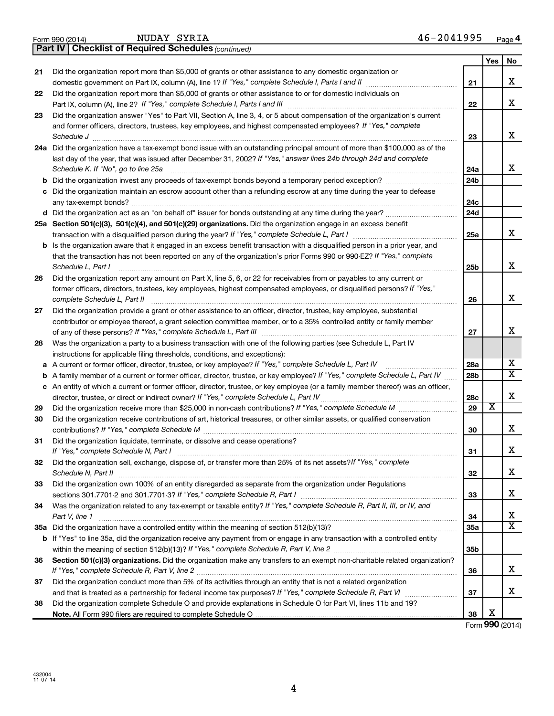|    | last day of the year, that was issued after December 31, 2002? If "Yes," answer lines 24b through 24d and complete                                                                                                          |                 |  |
|----|-----------------------------------------------------------------------------------------------------------------------------------------------------------------------------------------------------------------------------|-----------------|--|
|    | Schedule K. If "No", go to line 25a                                                                                                                                                                                         | 24a             |  |
| b  |                                                                                                                                                                                                                             | 24 <sub>b</sub> |  |
|    | Did the organization maintain an escrow account other than a refunding escrow at any time during the year to defease                                                                                                        | 24c             |  |
|    | d Did the organization act as an "on behalf of" issuer for bonds outstanding at any time during the year?                                                                                                                   | 24d             |  |
|    | 25a Section 501(c)(3), 501(c)(4), and 501(c)(29) organizations. Did the organization engage in an excess benefit                                                                                                            |                 |  |
|    |                                                                                                                                                                                                                             | 25a             |  |
| b  | Is the organization aware that it engaged in an excess benefit transaction with a disqualified person in a prior year, and                                                                                                  |                 |  |
|    | that the transaction has not been reported on any of the organization's prior Forms 990 or 990-EZ? If "Yes," complete<br>Schedule L, Part I                                                                                 | 25b             |  |
| 26 | Did the organization report any amount on Part X, line 5, 6, or 22 for receivables from or payables to any current or                                                                                                       |                 |  |
|    | former officers, directors, trustees, key employees, highest compensated employees, or disqualified persons? If "Yes,"                                                                                                      | 26              |  |
| 27 | Did the organization provide a grant or other assistance to an officer, director, trustee, key employee, substantial                                                                                                        |                 |  |
|    | contributor or employee thereof, a grant selection committee member, or to a 35% controlled entity or family member                                                                                                         |                 |  |
|    |                                                                                                                                                                                                                             | 27              |  |
| 28 | Was the organization a party to a business transaction with one of the following parties (see Schedule L, Part IV                                                                                                           |                 |  |
|    | instructions for applicable filing thresholds, conditions, and exceptions):                                                                                                                                                 |                 |  |
| a  | A current or former officer, director, trustee, or key employee? If "Yes," complete Schedule L, Part IV                                                                                                                     | 28a             |  |
| b  | A family member of a current or former officer, director, trustee, or key employee? If "Yes," complete Schedule L, Part IV                                                                                                  | 28 <sub>b</sub> |  |
|    | c An entity of which a current or former officer, director, trustee, or key employee (or a family member thereof) was an officer,<br>director, trustee, or direct or indirect owner? If "Yes," complete Schedule L, Part IV | 28c             |  |
| 29 |                                                                                                                                                                                                                             | 29              |  |
| 30 | Did the organization receive contributions of art, historical treasures, or other similar assets, or qualified conservation                                                                                                 | 30              |  |
| 31 | Did the organization liquidate, terminate, or dissolve and cease operations?                                                                                                                                                | 31              |  |
| 32 | Did the organization sell, exchange, dispose of, or transfer more than 25% of its net assets? If "Yes," complete                                                                                                            |                 |  |
|    |                                                                                                                                                                                                                             | 32              |  |
| 33 | Did the organization own 100% of an entity disregarded as separate from the organization under Regulations                                                                                                                  |                 |  |
|    |                                                                                                                                                                                                                             | 33              |  |
| 34 | Was the organization related to any tax-exempt or taxable entity? If "Yes," complete Schedule R, Part II, III, or IV, and<br>Part V, line 1                                                                                 | 34              |  |
|    |                                                                                                                                                                                                                             | 35a             |  |
|    | <b>b</b> If "Yes" to line 35a, did the organization receive any payment from or engage in any transaction with a controlled entity                                                                                          |                 |  |
|    |                                                                                                                                                                                                                             | 35b             |  |
| 36 | Section 501(c)(3) organizations. Did the organization make any transfers to an exempt non-charitable related organization?                                                                                                  |                 |  |
|    |                                                                                                                                                                                                                             | 36              |  |
| 37 | Did the organization conduct more than 5% of its activities through an entity that is not a related organization                                                                                                            |                 |  |
|    |                                                                                                                                                                                                                             | 37              |  |
| 38 | Did the organization complete Schedule O and provide explanations in Schedule O for Part VI, lines 11b and 19?                                                                                                              |                 |  |
|    |                                                                                                                                                                                                                             | 38              |  |
|    |                                                                                                                                                                                                                             | Form \          |  |

**24 a** Did the organization have a tax-exempt bond issue with an outstanding principal amount of more than \$100,000 as of the

and former officers, directors, trustees, key employees, and highest compensated employees? If "Yes," complete

Did the organization report more than \$5,000 of grants or other assistance to or for domestic individuals on

domestic government on Part IX, column (A), line 1? If "Yes," complete Schedule I, Parts I and II medicinoment on Part IX, column (A), line 1? If "Yes," complete Schedule I, Parts I and II

Part IX, column (A), line 2? If "Yes," complete Schedule I, Parts I and III [11] [12] [12] [12] [12] [12] [12] [

Did the organization answer "Yes" to Part VII, Section A, line 3, 4, or 5 about compensation of the organization's current

*Schedule J* ~~~~~~~~~~~~~~~~~~~~~~~~~~~~~~~~~~~~~~~~~~~~~~~~~~~~~~~~

| 21 Did the organization report more than \$5,000 of grants or other assistance to any domestic organization or |
|----------------------------------------------------------------------------------------------------------------|

**22**

**23**

*(continued)* **Part IV Checklist of Required Schedules**

**21**

**22**

**23**

**Yes No**

X

X

X

X

X

X

X

X

X  $\overline{\texttt{x}}$ 

X

X

X

X

X

X X

X

X

X

Form (2014) **990** X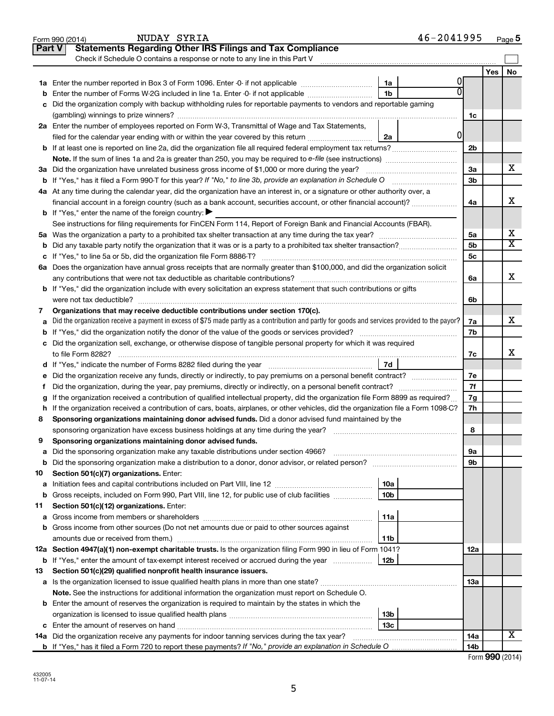|    | NUDAY SYRIA<br>Form 990 (2014)                                                                                                                    |                 | 46-2041995 |                |     | Page 5                  |  |  |
|----|---------------------------------------------------------------------------------------------------------------------------------------------------|-----------------|------------|----------------|-----|-------------------------|--|--|
|    | <b>Statements Regarding Other IRS Filings and Tax Compliance</b><br><b>Part V</b>                                                                 |                 |            |                |     |                         |  |  |
|    | Check if Schedule O contains a response or note to any line in this Part V                                                                        |                 |            |                |     |                         |  |  |
|    |                                                                                                                                                   |                 |            |                | Yes | No                      |  |  |
|    |                                                                                                                                                   | 1a              | 0          |                |     |                         |  |  |
| b  | Enter the number of Forms W-2G included in line 1a. Enter -0- if not applicable <i>manumumumum</i>                                                | 1b              |            |                |     |                         |  |  |
|    | Did the organization comply with backup withholding rules for reportable payments to vendors and reportable gaming<br>c                           |                 |            |                |     |                         |  |  |
|    |                                                                                                                                                   |                 |            | 1c             |     |                         |  |  |
|    | 2a Enter the number of employees reported on Form W-3, Transmittal of Wage and Tax Statements,                                                    |                 |            |                |     |                         |  |  |
|    | filed for the calendar year ending with or within the year covered by this return                                                                 | 2a              | 0          |                |     |                         |  |  |
|    | <b>b</b> If at least one is reported on line 2a, did the organization file all required federal employment tax returns?                           |                 |            | 2b             |     |                         |  |  |
|    |                                                                                                                                                   |                 |            |                |     |                         |  |  |
|    | 3a Did the organization have unrelated business gross income of \$1,000 or more during the year?                                                  |                 |            | За             |     | x                       |  |  |
|    |                                                                                                                                                   |                 |            | 3 <sub>b</sub> |     |                         |  |  |
|    | 4a At any time during the calendar year, did the organization have an interest in, or a signature or other authority over, a                      |                 |            |                |     |                         |  |  |
|    | financial account in a foreign country (such as a bank account, securities account, or other financial account)?                                  |                 |            | 4a             |     | X                       |  |  |
|    | <b>b</b> If "Yes," enter the name of the foreign country: $\blacktriangleright$                                                                   |                 |            |                |     |                         |  |  |
|    | See instructions for filing requirements for FinCEN Form 114, Report of Foreign Bank and Financial Accounts (FBAR).                               |                 |            |                |     |                         |  |  |
|    |                                                                                                                                                   |                 |            | 5a             |     | х                       |  |  |
|    |                                                                                                                                                   |                 |            | 5b             |     | $\overline{\texttt{x}}$ |  |  |
|    |                                                                                                                                                   |                 |            | 5c             |     |                         |  |  |
|    | 6a Does the organization have annual gross receipts that are normally greater than \$100,000, and did the organization solicit                    |                 |            |                |     |                         |  |  |
|    | any contributions that were not tax deductible as charitable contributions?                                                                       |                 |            | 6a             |     | X                       |  |  |
|    | <b>b</b> If "Yes," did the organization include with every solicitation an express statement that such contributions or gifts                     |                 |            |                |     |                         |  |  |
|    | were not tax deductible?                                                                                                                          |                 |            | 6b             |     |                         |  |  |
| 7  | Organizations that may receive deductible contributions under section 170(c).                                                                     |                 |            |                |     |                         |  |  |
|    | a Did the organization receive a payment in excess of \$75 made partly as a contribution and partly for goods and services provided to the payor? |                 |            |                |     |                         |  |  |
|    |                                                                                                                                                   |                 |            | 7b             |     |                         |  |  |
|    | c Did the organization sell, exchange, or otherwise dispose of tangible personal property for which it was required                               |                 |            |                |     |                         |  |  |
|    | to file Form 8282?                                                                                                                                |                 |            | 7c             |     | X                       |  |  |
|    | d If "Yes," indicate the number of Forms 8282 filed during the year manufactured intervent in the set of the N                                    | 7d              |            |                |     |                         |  |  |
| е  | Did the organization receive any funds, directly or indirectly, to pay premiums on a personal benefit contract?                                   |                 |            | 7e             |     |                         |  |  |
| f. | Did the organization, during the year, pay premiums, directly or indirectly, on a personal benefit contract?                                      |                 |            | 7f             |     |                         |  |  |
| g  | If the organization received a contribution of qualified intellectual property, did the organization file Form 8899 as required?                  |                 |            | 7g             |     |                         |  |  |
|    | h If the organization received a contribution of cars, boats, airplanes, or other vehicles, did the organization file a Form 1098-C?              |                 |            | 7h             |     |                         |  |  |
| 8  | Sponsoring organizations maintaining donor advised funds. Did a donor advised fund maintained by the                                              |                 |            |                |     |                         |  |  |
|    | sponsoring organization have excess business holdings at any time during the year?                                                                |                 |            | 8              |     |                         |  |  |
| 9  | Sponsoring organizations maintaining donor advised funds.                                                                                         |                 |            |                |     |                         |  |  |
| а  | Did the sponsoring organization make any taxable distributions under section 4966?                                                                |                 |            | 9а             |     |                         |  |  |
| b  |                                                                                                                                                   |                 |            | 9b             |     |                         |  |  |
| 10 | Section 501(c)(7) organizations. Enter:                                                                                                           |                 |            |                |     |                         |  |  |
| а  |                                                                                                                                                   | 10a             |            |                |     |                         |  |  |
| b  | Gross receipts, included on Form 990, Part VIII, line 12, for public use of club facilities                                                       | 10b             |            |                |     |                         |  |  |
| 11 | Section 501(c)(12) organizations. Enter:                                                                                                          |                 |            |                |     |                         |  |  |
| а  |                                                                                                                                                   | 11a             |            |                |     |                         |  |  |
| b  | Gross income from other sources (Do not net amounts due or paid to other sources against                                                          |                 |            |                |     |                         |  |  |
|    |                                                                                                                                                   | 11b             |            |                |     |                         |  |  |
|    | 12a Section 4947(a)(1) non-exempt charitable trusts. Is the organization filing Form 990 in lieu of Form 1041?                                    |                 |            | 12a            |     |                         |  |  |
| b  | If "Yes," enter the amount of tax-exempt interest received or accrued during the year                                                             | 12b             |            |                |     |                         |  |  |
| 13 | Section 501(c)(29) qualified nonprofit health insurance issuers.                                                                                  |                 |            |                |     |                         |  |  |
|    |                                                                                                                                                   |                 |            | 13a            |     |                         |  |  |
|    | Note. See the instructions for additional information the organization must report on Schedule O.                                                 |                 |            |                |     |                         |  |  |
|    | <b>b</b> Enter the amount of reserves the organization is required to maintain by the states in which the                                         |                 |            |                |     |                         |  |  |
|    |                                                                                                                                                   | 13 <sub>b</sub> |            |                |     |                         |  |  |
|    |                                                                                                                                                   | 13с             |            |                |     |                         |  |  |
|    | <b>14a</b> Did the organization receive any payments for indoor tanning services during the tax year?                                             |                 |            | 14a            |     | х                       |  |  |
|    |                                                                                                                                                   |                 |            | 14b            |     |                         |  |  |

| Form 990 (2014) |  |
|-----------------|--|
|-----------------|--|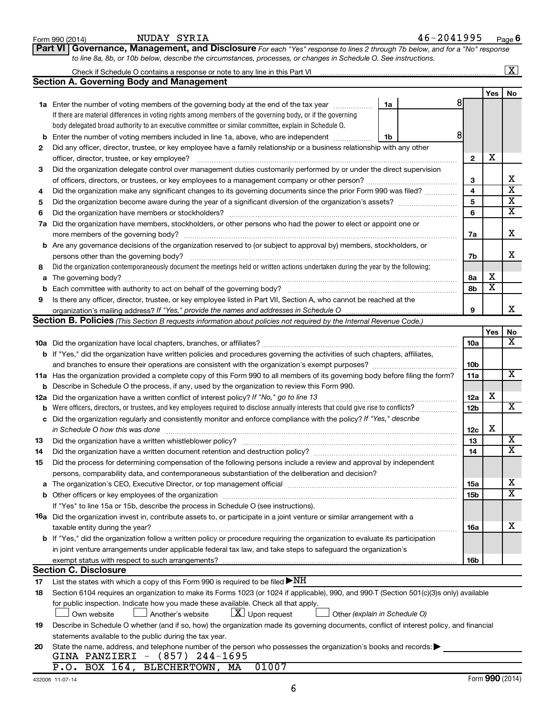|             | NUDAY SYRIA<br>Form 990 (2014)                                                                                                                                                                                                  |    | 46-2041995 |     |                              | Page 6                        |
|-------------|---------------------------------------------------------------------------------------------------------------------------------------------------------------------------------------------------------------------------------|----|------------|-----|------------------------------|-------------------------------|
|             | Governance, Management, and Disclosure For each "Yes" response to lines 2 through 7b below, and for a "No" response<br><b>Part VI</b>                                                                                           |    |            |     |                              |                               |
|             | to line 8a, 8b, or 10b below, describe the circumstances, processes, or changes in Schedule O. See instructions.                                                                                                                |    |            |     |                              |                               |
|             | Check if Schedule O contains a response or note to any line in this Part VI [11] [12] [2] [2] [2] [2] [2] [2] [                                                                                                                 |    |            |     |                              | $\boxed{\text{X}}$            |
|             | <b>Section A. Governing Body and Management</b>                                                                                                                                                                                 |    |            |     |                              |                               |
|             |                                                                                                                                                                                                                                 |    |            |     | <b>Yes</b>                   | No                            |
|             | 1a Enter the number of voting members of the governing body at the end of the tax year                                                                                                                                          | 1a | 81         |     |                              |                               |
|             | If there are material differences in voting rights among members of the governing body, or if the governing                                                                                                                     |    |            |     |                              |                               |
|             | body delegated broad authority to an executive committee or similar committee, explain in Schedule O.                                                                                                                           |    |            |     |                              |                               |
| b           | Enter the number of voting members included in line 1a, above, who are independent                                                                                                                                              | 1b | 8          |     |                              |                               |
| 2           | Did any officer, director, trustee, or key employee have a family relationship or a business relationship with any other                                                                                                        |    |            |     |                              |                               |
|             |                                                                                                                                                                                                                                 |    |            | 2   | х                            |                               |
| 3           | Did the organization delegate control over management duties customarily performed by or under the direct supervision                                                                                                           |    |            |     |                              |                               |
|             |                                                                                                                                                                                                                                 |    |            | 3   |                              | х                             |
| 4           | Did the organization make any significant changes to its governing documents since the prior Form 990 was filed?                                                                                                                |    |            | 4   |                              | $\overline{\mathbf{x}}$       |
| 5           |                                                                                                                                                                                                                                 |    |            | 5   |                              | $\overline{\mathbf{x}}$       |
| 6           | Did the organization have members or stockholders?                                                                                                                                                                              |    |            | 6   |                              | $\overline{\mathbf{x}}$       |
| 7a          | Did the organization have members, stockholders, or other persons who had the power to elect or appoint one or                                                                                                                  |    |            |     |                              |                               |
|             |                                                                                                                                                                                                                                 |    |            | 7a  |                              | x                             |
|             | <b>b</b> Are any governance decisions of the organization reserved to (or subject to approval by) members, stockholders, or                                                                                                     |    |            |     |                              |                               |
|             | persons other than the governing body?                                                                                                                                                                                          |    |            | 7b  |                              | x                             |
| 8           | Did the organization contemporaneously document the meetings held or written actions undertaken during the year by the following:                                                                                               |    |            |     |                              |                               |
| а           | The governing body? [[11] notice is a construction of the construction of the construction of the construction of the construction of the construction of the construction of the construction of the construction of the cons  |    |            | 8a  | х<br>$\overline{\textbf{x}}$ |                               |
| $\mathbf b$ | Each committee with authority to act on behalf of the governing body?                                                                                                                                                           |    |            | 8b  |                              |                               |
| 9           | Is there any officer, director, trustee, or key employee listed in Part VII, Section A, who cannot be reached at the                                                                                                            |    |            | 9   |                              | x.                            |
|             | Section B. Policies (This Section B requests information about policies not required by the Internal Revenue Code.)                                                                                                             |    |            |     |                              |                               |
|             |                                                                                                                                                                                                                                 |    |            |     |                              |                               |
|             |                                                                                                                                                                                                                                 |    |            | 10a | Yes                          | No<br>$\overline{\mathbf{X}}$ |
|             |                                                                                                                                                                                                                                 |    |            |     |                              |                               |
|             | b If "Yes," did the organization have written policies and procedures governing the activities of such chapters, affiliates,<br>and branches to ensure their operations are consistent with the organization's exempt purposes? |    |            | 10b |                              |                               |
|             | 11a Has the organization provided a complete copy of this Form 990 to all members of its governing body before filing the form?                                                                                                 |    |            | 11a |                              | X                             |
| b           | Describe in Schedule O the process, if any, used by the organization to review this Form 990.                                                                                                                                   |    |            |     |                              |                               |
| 12a         | Did the organization have a written conflict of interest policy? If "No," go to line 13                                                                                                                                         |    |            | 12a | х                            |                               |
| b           | Were officers, directors, or trustees, and key employees required to disclose annually interests that could give rise to conflicts?                                                                                             |    |            | 12b |                              | $\overline{\mathbf{X}}$       |
| с           | Did the organization regularly and consistently monitor and enforce compliance with the policy? If "Yes," describe                                                                                                              |    |            |     |                              |                               |
|             | in Schedule O how this was done encourance and an according of the state of the state of the state of the state of the state of the state of the state of the state of the state of the state of the state of the state of the  |    |            | 12c | х                            |                               |
| 13          | Did the organization have a written whistleblower policy?                                                                                                                                                                       |    |            | 13  |                              | $\overline{\text{X}}$         |
| 14          |                                                                                                                                                                                                                                 |    |            | 14  |                              | $\overline{\text{x}}$         |
| 15          | Did the process for determining compensation of the following persons include a review and approval by independent                                                                                                              |    |            |     |                              |                               |
|             | persons, comparability data, and contemporaneous substantiation of the deliberation and decision?                                                                                                                               |    |            |     |                              |                               |
| а           | The organization's CEO, Executive Director, or top management official manufactured content of the organization's CEO, Executive Director, or top management official                                                           |    |            | 15a |                              | х                             |
| b           |                                                                                                                                                                                                                                 |    |            | 15b |                              | $\overline{\text{x}}$         |
|             | If "Yes" to line 15a or 15b, describe the process in Schedule O (see instructions).                                                                                                                                             |    |            |     |                              |                               |
|             | <b>16a</b> Did the organization invest in, contribute assets to, or participate in a joint venture or similar arrangement with a                                                                                                |    |            |     |                              |                               |
|             | taxable entity during the year?                                                                                                                                                                                                 |    |            | 16a |                              | x                             |
|             | b If "Yes," did the organization follow a written policy or procedure requiring the organization to evaluate its participation                                                                                                  |    |            |     |                              |                               |
|             | in joint venture arrangements under applicable federal tax law, and take steps to safeguard the organization's                                                                                                                  |    |            |     |                              |                               |
|             | exempt status with respect to such arrangements?                                                                                                                                                                                |    |            | 16b |                              |                               |
|             | <b>Section C. Disclosure</b>                                                                                                                                                                                                    |    |            |     |                              |                               |
| 17          | List the states with which a copy of this Form 990 is required to be filed $\blacktriangleright\text{NH}$                                                                                                                       |    |            |     |                              |                               |
| 18          | Section 6104 requires an organization to make its Forms 1023 (or 1024 if applicable), 990, and 990-T (Section 501(c)(3)s only) available                                                                                        |    |            |     |                              |                               |
|             | for public inspection. Indicate how you made these available. Check all that apply.                                                                                                                                             |    |            |     |                              |                               |
|             | $\lfloor \underline{X} \rfloor$ Upon request<br>Another's website<br>Other (explain in Schedule O)<br>Own website                                                                                                               |    |            |     |                              |                               |
| 19          | Describe in Schedule O whether (and if so, how) the organization made its governing documents, conflict of interest policy, and financial                                                                                       |    |            |     |                              |                               |
|             | statements available to the public during the tax year.                                                                                                                                                                         |    |            |     |                              |                               |
| 20          | State the name, address, and telephone number of the person who possesses the organization's books and records:<br>GINA PANZIERI - (857) 244-1695                                                                               |    |            |     |                              |                               |
|             | P.O. BOX 164, BLECHERTOWN, MA<br>01007                                                                                                                                                                                          |    |            |     |                              |                               |
|             |                                                                                                                                                                                                                                 |    |            |     |                              |                               |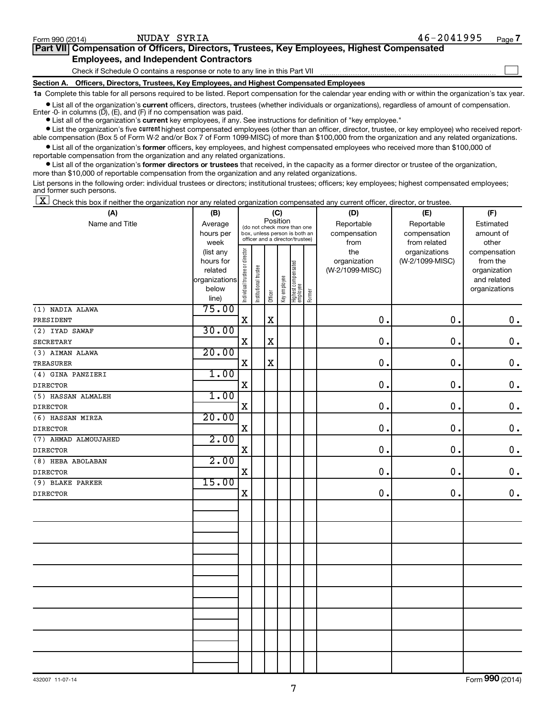$\Box$ 

| Part VII Compensation of Officers, Directors, Trustees, Key Employees, Highest Compensated |
|--------------------------------------------------------------------------------------------|
| <b>Employees, and Independent Contractors</b>                                              |

Check if Schedule O contains a response or note to any line in this Part VII

**Section A. Officers, Directors, Trustees, Key Employees, and Highest Compensated Employees**

**1a**  Complete this table for all persons required to be listed. Report compensation for the calendar year ending with or within the organization's tax year.

**•** List all of the organization's current officers, directors, trustees (whether individuals or organizations), regardless of amount of compensation. Enter  $-0$ - in columns  $(D)$ ,  $(E)$ , and  $(F)$  if no compensation was paid.

**•** List all of the organization's **current** key employees, if any. See instructions for definition of "key employee."

**•** List the organization's five current highest compensated employees (other than an officer, director, trustee, or key employee) who received reportable compensation (Box 5 of Form W-2 and/or Box 7 of Form 1099-MISC) of more than \$100,000 from the organization and any related organizations.

**•** List all of the organization's former officers, key employees, and highest compensated employees who received more than \$100,000 of reportable compensation from the organization and any related organizations.

**•** List all of the organization's former directors or trustees that received, in the capacity as a former director or trustee of the organization, more than \$10,000 of reportable compensation from the organization and any related organizations.

List persons in the following order: individual trustees or directors; institutional trustees; officers; key employees; highest compensated employees; and former such persons.

 $\boxed{\textbf{X}}$  Check this box if neither the organization nor any related organization compensated any current officer, director, or trustee.

| (A)                  | (B)                                                | (C)                            |                                 |             |              |                                   |        | (D)             | (E)             | (F)                          |  |  |
|----------------------|----------------------------------------------------|--------------------------------|---------------------------------|-------------|--------------|-----------------------------------|--------|-----------------|-----------------|------------------------------|--|--|
| Name and Title       | Position<br>Average<br>(do not check more than one |                                |                                 |             |              |                                   |        | Reportable      | Reportable      | Estimated                    |  |  |
|                      | hours per                                          |                                | box, unless person is both an   |             |              |                                   |        | compensation    | compensation    | amount of                    |  |  |
|                      | week                                               |                                | officer and a director/trustee) |             |              |                                   |        | from            | from related    | other                        |  |  |
|                      | (list any                                          |                                |                                 |             |              |                                   |        | the             | organizations   | compensation                 |  |  |
|                      | hours for                                          |                                |                                 |             |              |                                   |        | organization    | (W-2/1099-MISC) | from the                     |  |  |
|                      | related                                            |                                |                                 |             |              |                                   |        | (W-2/1099-MISC) |                 | organization                 |  |  |
|                      | organizations<br>below                             |                                |                                 |             |              |                                   |        |                 |                 | and related<br>organizations |  |  |
|                      | line)                                              | Individual trustee or director | Institutional trustee           | Officer     | Key employee | Highest compensated<br>  employee | Former |                 |                 |                              |  |  |
| (1) NADIA ALAWA      | 75.00                                              |                                |                                 |             |              |                                   |        |                 |                 |                              |  |  |
| PRESIDENT            |                                                    | $\mathbf x$                    |                                 | $\mathbf x$ |              |                                   |        | 0.              | 0.              | $\mathbf 0$ .                |  |  |
| (2) IYAD SAWAF       | 30.00                                              |                                |                                 |             |              |                                   |        |                 |                 |                              |  |  |
| SECRETARY            |                                                    | $\mathbf X$                    |                                 | $\mathbf X$ |              |                                   |        | 0.              | 0.              | $\mathbf 0$ .                |  |  |
| (3) AIMAN ALAWA      | 20.00                                              |                                |                                 |             |              |                                   |        |                 |                 |                              |  |  |
| <b>TREASURER</b>     |                                                    | $\mathbf X$                    |                                 | $\mathbf x$ |              |                                   |        | 0.              | 0.              | $\mathbf 0$ .                |  |  |
| (4) GINA PANZIERI    | 1.00                                               |                                |                                 |             |              |                                   |        |                 |                 |                              |  |  |
| <b>DIRECTOR</b>      |                                                    | $\mathbf X$                    |                                 |             |              |                                   |        | 0.              | 0.              | $\mathbf 0$ .                |  |  |
| (5) HASSAN ALMALEH   | 1.00                                               |                                |                                 |             |              |                                   |        |                 |                 |                              |  |  |
| <b>DIRECTOR</b>      |                                                    | $\mathbf X$                    |                                 |             |              |                                   |        | $0$ .           | 0.              | $\mathbf 0$ .                |  |  |
| (6) HASSAN MIRZA     | 20.00                                              |                                |                                 |             |              |                                   |        |                 |                 |                              |  |  |
| <b>DIRECTOR</b>      |                                                    | X                              |                                 |             |              |                                   |        | $\mathbf 0$ .   | 0.              | $\mathbf 0$ .                |  |  |
| (7) AHMAD ALMOUJAHED | 2.00                                               |                                |                                 |             |              |                                   |        |                 |                 |                              |  |  |
| <b>DIRECTOR</b>      |                                                    | $\mathbf X$                    |                                 |             |              |                                   |        | $\mathbf{0}$ .  | 0.              | $\mathbf 0$ .                |  |  |
| (8) HEBA ABOLABAN    | 2.00                                               |                                |                                 |             |              |                                   |        |                 |                 |                              |  |  |
| <b>DIRECTOR</b>      |                                                    | $\mathbf X$                    |                                 |             |              |                                   |        | 0.              | $\mathbf 0$ .   | 0.                           |  |  |
| (9) BLAKE PARKER     | 15.00                                              |                                |                                 |             |              |                                   |        |                 |                 |                              |  |  |
| <b>DIRECTOR</b>      |                                                    | $\mathbf X$                    |                                 |             |              |                                   |        | 0.              | 0.              | $0$ .                        |  |  |
|                      |                                                    |                                |                                 |             |              |                                   |        |                 |                 |                              |  |  |
|                      |                                                    |                                |                                 |             |              |                                   |        |                 |                 |                              |  |  |
|                      |                                                    |                                |                                 |             |              |                                   |        |                 |                 |                              |  |  |
|                      |                                                    |                                |                                 |             |              |                                   |        |                 |                 |                              |  |  |
|                      |                                                    |                                |                                 |             |              |                                   |        |                 |                 |                              |  |  |
|                      |                                                    |                                |                                 |             |              |                                   |        |                 |                 |                              |  |  |
|                      |                                                    |                                |                                 |             |              |                                   |        |                 |                 |                              |  |  |
|                      |                                                    |                                |                                 |             |              |                                   |        |                 |                 |                              |  |  |
|                      |                                                    |                                |                                 |             |              |                                   |        |                 |                 |                              |  |  |
|                      |                                                    |                                |                                 |             |              |                                   |        |                 |                 |                              |  |  |
|                      |                                                    |                                |                                 |             |              |                                   |        |                 |                 |                              |  |  |
|                      |                                                    |                                |                                 |             |              |                                   |        |                 |                 |                              |  |  |
|                      |                                                    |                                |                                 |             |              |                                   |        |                 |                 |                              |  |  |
|                      |                                                    |                                |                                 |             |              |                                   |        |                 |                 |                              |  |  |
|                      |                                                    |                                |                                 |             |              |                                   |        |                 |                 |                              |  |  |

Form (2014) **990**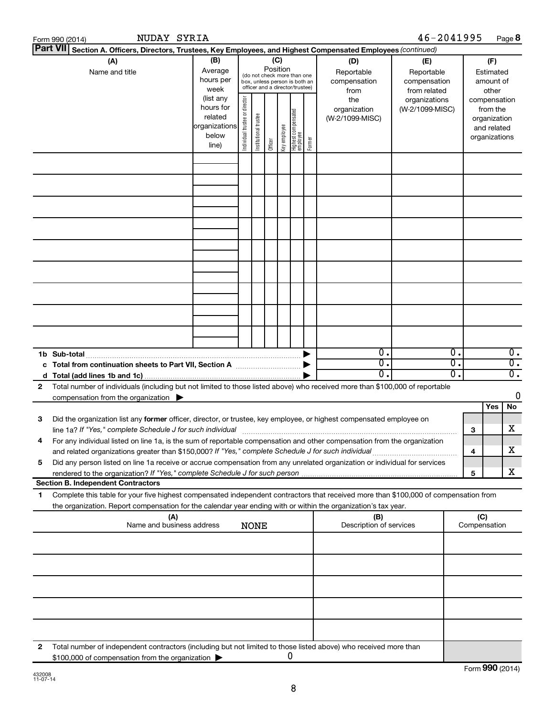|    | NUDAY SYRIA<br>Form 990 (2014)                                                                                                                                                                                                                                                                                                                         |                                                                      |                                |                       |         |              |                                                                                                                                                                 |        |                                        | 46-2041995                                        |              |                                                                          | Page 8                               |
|----|--------------------------------------------------------------------------------------------------------------------------------------------------------------------------------------------------------------------------------------------------------------------------------------------------------------------------------------------------------|----------------------------------------------------------------------|--------------------------------|-----------------------|---------|--------------|-----------------------------------------------------------------------------------------------------------------------------------------------------------------|--------|----------------------------------------|---------------------------------------------------|--------------|--------------------------------------------------------------------------|--------------------------------------|
|    | Part VII Section A. Officers, Directors, Trustees, Key Employees, and Highest Compensated Employees (continued)                                                                                                                                                                                                                                        |                                                                      |                                |                       |         |              |                                                                                                                                                                 |        |                                        |                                                   |              |                                                                          |                                      |
|    | (A)<br>(B)<br>Average<br>Name and title<br>hours per<br>week                                                                                                                                                                                                                                                                                           |                                                                      |                                |                       |         |              | (C)<br>(D)<br>Position<br>Reportable<br>(do not check more than one<br>compensation<br>box, unless person is both an<br>officer and a director/trustee)<br>from |        |                                        | (E)<br>Reportable<br>compensation<br>from related |              | (F)<br>Estimated<br>amount of<br>other                                   |                                      |
|    |                                                                                                                                                                                                                                                                                                                                                        | (list any<br>hours for<br>related<br>organizations<br>below<br>line) | Individual trustee or director | Institutional trustee | Officer | Key employee | Highest compensated<br>  employee                                                                                                                               | Former | the<br>organization<br>(W-2/1099-MISC) | organizations<br>(W-2/1099-MISC)                  |              | compensation<br>from the<br>organization<br>and related<br>organizations |                                      |
|    |                                                                                                                                                                                                                                                                                                                                                        |                                                                      |                                |                       |         |              |                                                                                                                                                                 |        |                                        |                                                   |              |                                                                          |                                      |
|    |                                                                                                                                                                                                                                                                                                                                                        |                                                                      |                                |                       |         |              |                                                                                                                                                                 |        |                                        |                                                   |              |                                                                          |                                      |
|    |                                                                                                                                                                                                                                                                                                                                                        |                                                                      |                                |                       |         |              |                                                                                                                                                                 |        |                                        |                                                   |              |                                                                          |                                      |
|    |                                                                                                                                                                                                                                                                                                                                                        |                                                                      |                                |                       |         |              |                                                                                                                                                                 |        |                                        |                                                   |              |                                                                          |                                      |
|    |                                                                                                                                                                                                                                                                                                                                                        |                                                                      |                                |                       |         |              |                                                                                                                                                                 |        |                                        |                                                   |              |                                                                          |                                      |
|    |                                                                                                                                                                                                                                                                                                                                                        |                                                                      |                                |                       |         |              |                                                                                                                                                                 |        |                                        |                                                   |              |                                                                          |                                      |
|    |                                                                                                                                                                                                                                                                                                                                                        |                                                                      |                                |                       |         |              |                                                                                                                                                                 |        |                                        |                                                   |              |                                                                          |                                      |
|    |                                                                                                                                                                                                                                                                                                                                                        |                                                                      |                                |                       |         |              |                                                                                                                                                                 |        | $\overline{0}$ .                       | $\overline{\mathbf{0}}$ .                         |              |                                                                          | $\overline{0}$ .                     |
|    | 1b Sub-total<br>c Total from continuation sheets to Part VII, Section A manufactured by                                                                                                                                                                                                                                                                |                                                                      |                                |                       |         |              |                                                                                                                                                                 |        | $\overline{0}$ .<br>0.                 | 0.<br>0.                                          |              |                                                                          | $\overline{0}$ .<br>$\overline{0}$ . |
| 2  | Total number of individuals (including but not limited to those listed above) who received more than \$100,000 of reportable<br>compensation from the organization $\blacktriangleright$                                                                                                                                                               |                                                                      |                                |                       |         |              |                                                                                                                                                                 |        |                                        |                                                   |              |                                                                          | 0                                    |
|    |                                                                                                                                                                                                                                                                                                                                                        |                                                                      |                                |                       |         |              |                                                                                                                                                                 |        |                                        |                                                   |              | Yes                                                                      | No                                   |
| 3  | Did the organization list any former officer, director, or trustee, key employee, or highest compensated employee on<br>line 1a? If "Yes," complete Schedule J for such individual manufacture content to the set of the set of the such that the set of the set of the set of the set of the set of the set of the set of the set of the set of the s |                                                                      |                                |                       |         |              |                                                                                                                                                                 |        |                                        |                                                   | З            |                                                                          | х                                    |
|    | For any individual listed on line 1a, is the sum of reportable compensation and other compensation from the organization<br>and related organizations greater than \$150,000? If "Yes," complete Schedule J for such individual                                                                                                                        |                                                                      |                                |                       |         |              |                                                                                                                                                                 |        |                                        |                                                   | 4            |                                                                          | x                                    |
| 5  | Did any person listed on line 1a receive or accrue compensation from any unrelated organization or individual for services                                                                                                                                                                                                                             |                                                                      |                                |                       |         |              |                                                                                                                                                                 |        |                                        |                                                   | 5            |                                                                          | x                                    |
|    | <b>Section B. Independent Contractors</b>                                                                                                                                                                                                                                                                                                              |                                                                      |                                |                       |         |              |                                                                                                                                                                 |        |                                        |                                                   |              |                                                                          |                                      |
| 1. | Complete this table for your five highest compensated independent contractors that received more than \$100,000 of compensation from<br>the organization. Report compensation for the calendar year ending with or within the organization's tax year.                                                                                                 |                                                                      |                                |                       |         |              |                                                                                                                                                                 |        |                                        |                                                   |              |                                                                          |                                      |
|    | (A)<br>Name and business address                                                                                                                                                                                                                                                                                                                       |                                                                      | <b>NONE</b>                    |                       |         |              |                                                                                                                                                                 |        | (B)<br>Description of services         |                                                   | Compensation | (C)                                                                      |                                      |
|    |                                                                                                                                                                                                                                                                                                                                                        |                                                                      |                                |                       |         |              |                                                                                                                                                                 |        |                                        |                                                   |              |                                                                          |                                      |
|    |                                                                                                                                                                                                                                                                                                                                                        |                                                                      |                                |                       |         |              |                                                                                                                                                                 |        |                                        |                                                   |              |                                                                          |                                      |
|    |                                                                                                                                                                                                                                                                                                                                                        |                                                                      |                                |                       |         |              |                                                                                                                                                                 |        |                                        |                                                   |              |                                                                          |                                      |
|    |                                                                                                                                                                                                                                                                                                                                                        |                                                                      |                                |                       |         |              |                                                                                                                                                                 |        |                                        |                                                   |              |                                                                          |                                      |
| 2  | Total number of independent contractors (including but not limited to those listed above) who received more than<br>\$100,000 of compensation from the organization                                                                                                                                                                                    |                                                                      |                                |                       |         |              | O                                                                                                                                                               |        |                                        |                                                   |              |                                                                          |                                      |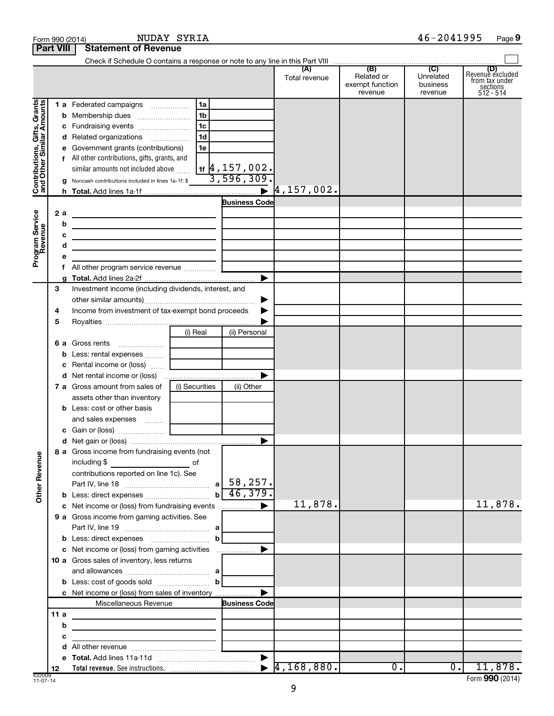| <b>Part VIII</b>                                                 | <b>Statement of Revenue</b>                                                                                                                                                                                                                                                                                                                                                                                                                                                                                                                                                                                                                                                                                                                                                                                                                                                                                                                                                                                                                                        |                                                                                                         |               |                                          |                                  |                                                                      |
|------------------------------------------------------------------|--------------------------------------------------------------------------------------------------------------------------------------------------------------------------------------------------------------------------------------------------------------------------------------------------------------------------------------------------------------------------------------------------------------------------------------------------------------------------------------------------------------------------------------------------------------------------------------------------------------------------------------------------------------------------------------------------------------------------------------------------------------------------------------------------------------------------------------------------------------------------------------------------------------------------------------------------------------------------------------------------------------------------------------------------------------------|---------------------------------------------------------------------------------------------------------|---------------|------------------------------------------|----------------------------------|----------------------------------------------------------------------|
|                                                                  |                                                                                                                                                                                                                                                                                                                                                                                                                                                                                                                                                                                                                                                                                                                                                                                                                                                                                                                                                                                                                                                                    |                                                                                                         |               |                                          |                                  |                                                                      |
|                                                                  |                                                                                                                                                                                                                                                                                                                                                                                                                                                                                                                                                                                                                                                                                                                                                                                                                                                                                                                                                                                                                                                                    |                                                                                                         | Total revenue | Related or<br>exempt function<br>revenue | Unrelated<br>business<br>revenue | (D)<br>Revenue excluded<br>from tax under<br>sections<br>$512 - 514$ |
| Gifts, Grants<br>ilar Amounts<br>Contributions, (and Other Simil | <b>1 a</b> Federated campaigns<br>c Fundraising events<br>d Related organizations<br>e Government grants (contributions)<br>f All other contributions, gifts, grants, and<br>similar amounts not included above<br>g Noncash contributions included in lines 1a-1f: \$                                                                                                                                                                                                                                                                                                                                                                                                                                                                                                                                                                                                                                                                                                                                                                                             | 1a<br>1 <sub>b</sub><br>1 <sub>c</sub><br>1 <sub>d</sub><br>1e<br>$_{1f}$  4 , 157 , 002.<br>3,596,309. |               |                                          |                                  |                                                                      |
|                                                                  |                                                                                                                                                                                                                                                                                                                                                                                                                                                                                                                                                                                                                                                                                                                                                                                                                                                                                                                                                                                                                                                                    | <b>Business Code</b>                                                                                    |               |                                          |                                  |                                                                      |
| Program Service<br>Revenue<br>2 a<br>b<br>с<br>d<br>е            | <u> 1989 - Johann Barn, amerikansk politiker (d. 1989)</u><br>the control of the control of the control of the control of the control of the control of<br>the control of the control of the control of the control of the control of<br>f All other program service revenue                                                                                                                                                                                                                                                                                                                                                                                                                                                                                                                                                                                                                                                                                                                                                                                       |                                                                                                         |               |                                          |                                  |                                                                      |
| 3<br>4<br>5<br><b>Other Revenue</b><br>11 $a$<br>b<br>c          | Investment income (including dividends, interest, and<br>Income from investment of tax-exempt bond proceeds<br>(i) Real<br>6 a Gross rents<br><b>b</b> Less: rental expenses<br>c Rental income or (loss)<br>7 a Gross amount from sales of<br>(i) Securities<br>assets other than inventory<br><b>b</b> Less: cost or other basis<br>and sales expenses<br>c Gain or (loss)<br>8 a Gross income from fundraising events (not<br>$\overline{\phantom{a}}$ of<br>including \$<br>contributions reported on line 1c). See<br>c Net income or (loss) from fundraising events<br>9 a Gross income from gaming activities. See<br>c Net income or (loss) from gaming activities<br><b>10 a</b> Gross sales of inventory, less returns<br>c Net income or (loss) from sales of inventory<br>Miscellaneous Revenue<br>the control of the control of the control of the control of the control of<br><u> 1989 - John Stein, mars and de Brandenburg and de Brandenburg and de Brandenburg and de Brandenburg and de Br</u><br><u> 1989 - Andrea Andrew Maria (b. 1989)</u> | ▶<br>▶<br>(ii) Personal<br>▶<br>(ii) Other<br>b<br>▶<br><b>Business Code</b>                            | 11,878.       |                                          |                                  | 11,878.                                                              |
| d<br>12                                                          |                                                                                                                                                                                                                                                                                                                                                                                                                                                                                                                                                                                                                                                                                                                                                                                                                                                                                                                                                                                                                                                                    |                                                                                                         |               | $\overline{0}$ .                         | 0.1                              | 11,878.                                                              |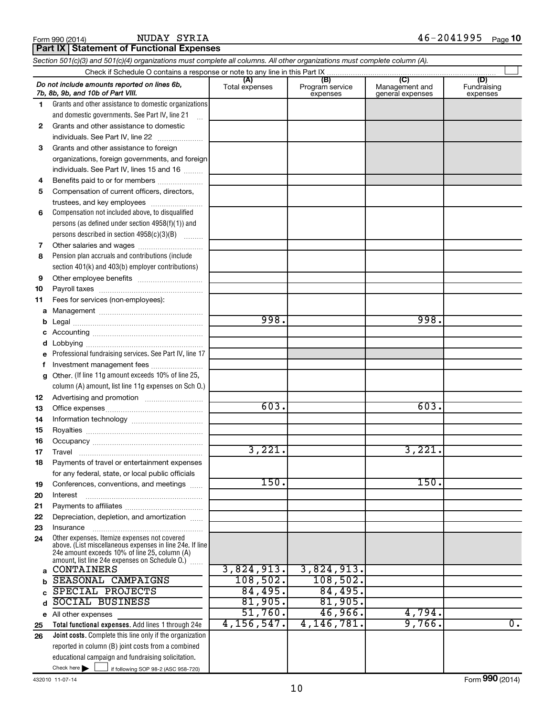#### NUDAY SYRIA

| Part IX Statement of Functional Expenses |  |
|------------------------------------------|--|
|                                          |  |

|    | Section 501(c)(3) and 501(c)(4) organizations must complete all columns. All other organizations must complete column (A).                                                                                    |                       |                                    |                                                     |                                |  |  |  |  |  |  |
|----|---------------------------------------------------------------------------------------------------------------------------------------------------------------------------------------------------------------|-----------------------|------------------------------------|-----------------------------------------------------|--------------------------------|--|--|--|--|--|--|
|    |                                                                                                                                                                                                               |                       |                                    |                                                     |                                |  |  |  |  |  |  |
|    | Do not include amounts reported on lines 6b,<br>7b, 8b, 9b, and 10b of Part VIII.                                                                                                                             | (A)<br>Total expenses | (B)<br>Program service<br>expenses | $\mathcal{C}$<br>Management and<br>general expenses | (D)<br>Fundraising<br>expenses |  |  |  |  |  |  |
| 1. | Grants and other assistance to domestic organizations                                                                                                                                                         |                       |                                    |                                                     |                                |  |  |  |  |  |  |
|    | and domestic governments. See Part IV, line 21                                                                                                                                                                |                       |                                    |                                                     |                                |  |  |  |  |  |  |
| 2  | Grants and other assistance to domestic                                                                                                                                                                       |                       |                                    |                                                     |                                |  |  |  |  |  |  |
|    | individuals. See Part IV, line 22                                                                                                                                                                             |                       |                                    |                                                     |                                |  |  |  |  |  |  |
| 3  | Grants and other assistance to foreign                                                                                                                                                                        |                       |                                    |                                                     |                                |  |  |  |  |  |  |
|    | organizations, foreign governments, and foreign                                                                                                                                                               |                       |                                    |                                                     |                                |  |  |  |  |  |  |
|    | individuals. See Part IV, lines 15 and 16                                                                                                                                                                     |                       |                                    |                                                     |                                |  |  |  |  |  |  |
| 4  | Benefits paid to or for members                                                                                                                                                                               |                       |                                    |                                                     |                                |  |  |  |  |  |  |
| 5  | Compensation of current officers, directors,                                                                                                                                                                  |                       |                                    |                                                     |                                |  |  |  |  |  |  |
|    | trustees, and key employees                                                                                                                                                                                   |                       |                                    |                                                     |                                |  |  |  |  |  |  |
| 6  | Compensation not included above, to disqualified                                                                                                                                                              |                       |                                    |                                                     |                                |  |  |  |  |  |  |
|    | persons (as defined under section 4958(f)(1)) and                                                                                                                                                             |                       |                                    |                                                     |                                |  |  |  |  |  |  |
|    | persons described in section 4958(c)(3)(B)                                                                                                                                                                    |                       |                                    |                                                     |                                |  |  |  |  |  |  |
| 7  |                                                                                                                                                                                                               |                       |                                    |                                                     |                                |  |  |  |  |  |  |
| 8  | Pension plan accruals and contributions (include                                                                                                                                                              |                       |                                    |                                                     |                                |  |  |  |  |  |  |
|    | section 401(k) and 403(b) employer contributions)                                                                                                                                                             |                       |                                    |                                                     |                                |  |  |  |  |  |  |
| 9  |                                                                                                                                                                                                               |                       |                                    |                                                     |                                |  |  |  |  |  |  |
| 10 |                                                                                                                                                                                                               |                       |                                    |                                                     |                                |  |  |  |  |  |  |
| 11 | Fees for services (non-employees):                                                                                                                                                                            |                       |                                    |                                                     |                                |  |  |  |  |  |  |
| a  |                                                                                                                                                                                                               |                       |                                    |                                                     |                                |  |  |  |  |  |  |
| b  |                                                                                                                                                                                                               | 998.                  |                                    | 998.                                                |                                |  |  |  |  |  |  |
|    |                                                                                                                                                                                                               |                       |                                    |                                                     |                                |  |  |  |  |  |  |
| d  |                                                                                                                                                                                                               |                       |                                    |                                                     |                                |  |  |  |  |  |  |
|    | Professional fundraising services. See Part IV, line 17                                                                                                                                                       |                       |                                    |                                                     |                                |  |  |  |  |  |  |
| f  | Investment management fees                                                                                                                                                                                    |                       |                                    |                                                     |                                |  |  |  |  |  |  |
| g  | Other. (If line 11g amount exceeds 10% of line 25,                                                                                                                                                            |                       |                                    |                                                     |                                |  |  |  |  |  |  |
|    | column (A) amount, list line 11g expenses on Sch O.)                                                                                                                                                          |                       |                                    |                                                     |                                |  |  |  |  |  |  |
| 12 |                                                                                                                                                                                                               | 603.                  |                                    | 603.                                                |                                |  |  |  |  |  |  |
| 13 |                                                                                                                                                                                                               |                       |                                    |                                                     |                                |  |  |  |  |  |  |
| 14 |                                                                                                                                                                                                               |                       |                                    |                                                     |                                |  |  |  |  |  |  |
| 15 |                                                                                                                                                                                                               |                       |                                    |                                                     |                                |  |  |  |  |  |  |
| 16 |                                                                                                                                                                                                               | 3,221.                |                                    | 3,221.                                              |                                |  |  |  |  |  |  |
| 17 | Payments of travel or entertainment expenses                                                                                                                                                                  |                       |                                    |                                                     |                                |  |  |  |  |  |  |
| 18 |                                                                                                                                                                                                               |                       |                                    |                                                     |                                |  |  |  |  |  |  |
| 19 | for any federal, state, or local public officials<br>Conferences, conventions, and meetings                                                                                                                   | 150.                  |                                    | 150.                                                |                                |  |  |  |  |  |  |
| 20 | Interest                                                                                                                                                                                                      |                       |                                    |                                                     |                                |  |  |  |  |  |  |
| 21 |                                                                                                                                                                                                               |                       |                                    |                                                     |                                |  |  |  |  |  |  |
| 22 | Depreciation, depletion, and amortization                                                                                                                                                                     |                       |                                    |                                                     |                                |  |  |  |  |  |  |
| 23 | Insurance                                                                                                                                                                                                     |                       |                                    |                                                     |                                |  |  |  |  |  |  |
| 24 | Other expenses. Itemize expenses not covered<br>above. (List miscellaneous expenses in line 24e. If line<br>24e amount exceeds 10% of line 25, column (A)<br>amount, list line 24e expenses on Schedule O.) [ |                       |                                    |                                                     |                                |  |  |  |  |  |  |
| a  | <b>CONTAINERS</b>                                                                                                                                                                                             | 3,824,913.            | 3,824,913.                         |                                                     |                                |  |  |  |  |  |  |
| b  | <b>SEASONAL CAMPAIGNS</b>                                                                                                                                                                                     | 108,502.              | 108,502.                           |                                                     |                                |  |  |  |  |  |  |
|    | SPECIAL PROJECTS                                                                                                                                                                                              | 84,495.               | 84,495.                            |                                                     |                                |  |  |  |  |  |  |
| d  | <b>SOCIAL BUSINESS</b>                                                                                                                                                                                        | 81,905.               | 81,905.                            |                                                     |                                |  |  |  |  |  |  |
|    | e All other expenses                                                                                                                                                                                          | 51,760.               | 46,966.                            | 4,794.                                              |                                |  |  |  |  |  |  |
| 25 | Total functional expenses. Add lines 1 through 24e                                                                                                                                                            | 4, 156, 547.          | 4, 146, 781.                       | 9,766.                                              | $\overline{0}$ .               |  |  |  |  |  |  |
| 26 | <b>Joint costs.</b> Complete this line only if the organization                                                                                                                                               |                       |                                    |                                                     |                                |  |  |  |  |  |  |
|    | reported in column (B) joint costs from a combined                                                                                                                                                            |                       |                                    |                                                     |                                |  |  |  |  |  |  |
|    | educational campaign and fundraising solicitation.                                                                                                                                                            |                       |                                    |                                                     |                                |  |  |  |  |  |  |
|    | Check here $\blacktriangleright$<br>if following SOP 98-2 (ASC 958-720)                                                                                                                                       |                       |                                    |                                                     |                                |  |  |  |  |  |  |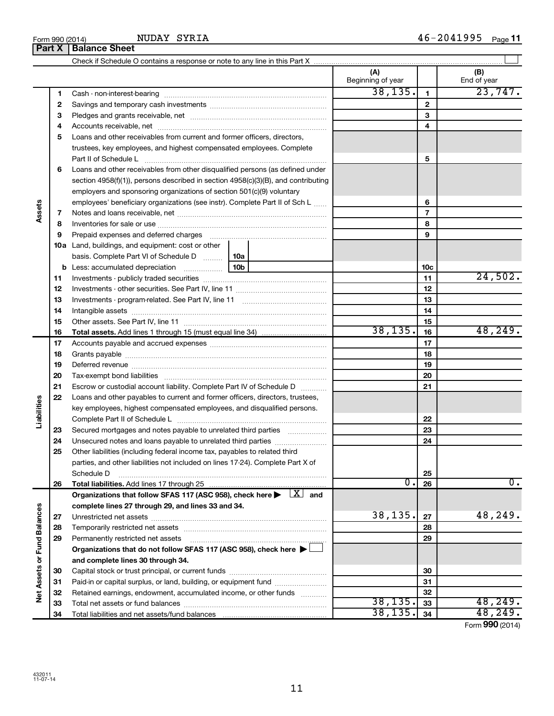|                             |    | NUDAY SYRIA<br>Form 990 (2014)<br><b>Part X   Balance Sheet</b>                                                                                                                                                                |                          |                 | $46 - 2041995$ Page 11 |
|-----------------------------|----|--------------------------------------------------------------------------------------------------------------------------------------------------------------------------------------------------------------------------------|--------------------------|-----------------|------------------------|
|                             |    |                                                                                                                                                                                                                                |                          |                 |                        |
|                             |    |                                                                                                                                                                                                                                | (A)<br>Beginning of year |                 | (B)<br>End of year     |
|                             | 1. |                                                                                                                                                                                                                                | 38, 135.                 | $\mathbf{1}$    | 23,747.                |
|                             | 2  |                                                                                                                                                                                                                                |                          | $\mathbf{2}$    |                        |
|                             | З  |                                                                                                                                                                                                                                |                          | 3               |                        |
|                             | 4  |                                                                                                                                                                                                                                |                          | 4               |                        |
|                             | 5  | Loans and other receivables from current and former officers, directors,                                                                                                                                                       |                          |                 |                        |
|                             |    | trustees, key employees, and highest compensated employees. Complete<br>Part II of Schedule Latinum and Contract in the Schedule Latinum and Contract in the Schedule Latinum and Schedule L                                   |                          | 5               |                        |
|                             | 6  | Loans and other receivables from other disqualified persons (as defined under                                                                                                                                                  |                          |                 |                        |
|                             |    | section 4958(f)(1)), persons described in section 4958(c)(3)(B), and contributing                                                                                                                                              |                          |                 |                        |
|                             |    | employers and sponsoring organizations of section 501(c)(9) voluntary                                                                                                                                                          |                          |                 |                        |
|                             |    | employees' beneficiary organizations (see instr). Complete Part II of Sch L                                                                                                                                                    |                          | 6               |                        |
| Assets                      | 7  |                                                                                                                                                                                                                                |                          | $\overline{7}$  |                        |
|                             | 8  |                                                                                                                                                                                                                                |                          | 8               |                        |
|                             | 9  | Prepaid expenses and deferred charges [11] [11] prepaid expenses and deferred charges [11] [11] minimum and the Prepaid expenses and deferred charges [11] minimum and the Prepaid experiment of Prepaid experiment and the Pr |                          | 9               |                        |
|                             |    | 10a Land, buildings, and equipment: cost or other<br>basis. Complete Part VI of Schedule D  10a                                                                                                                                |                          |                 |                        |
|                             |    |                                                                                                                                                                                                                                |                          | 10 <sub>c</sub> |                        |
|                             | 11 |                                                                                                                                                                                                                                |                          | 11              | 24,502.                |
|                             | 12 |                                                                                                                                                                                                                                |                          | 12              |                        |
|                             | 13 |                                                                                                                                                                                                                                |                          | 13              |                        |
|                             | 14 |                                                                                                                                                                                                                                |                          | 14              |                        |
|                             | 15 |                                                                                                                                                                                                                                |                          | 15              |                        |
|                             | 16 |                                                                                                                                                                                                                                | 38, 135.                 | 16              | 48, 249.               |
|                             | 17 |                                                                                                                                                                                                                                |                          | 17              |                        |
|                             | 18 |                                                                                                                                                                                                                                |                          | 18              |                        |
|                             | 19 |                                                                                                                                                                                                                                |                          | 19              |                        |
|                             | 20 |                                                                                                                                                                                                                                |                          | 20              |                        |
|                             | 21 | Escrow or custodial account liability. Complete Part IV of Schedule D                                                                                                                                                          |                          | 21              |                        |
|                             | 22 | Loans and other payables to current and former officers, directors, trustees,                                                                                                                                                  |                          |                 |                        |
| lities                      |    | key employees, highest compensated employees, and disqualified persons.                                                                                                                                                        |                          | 22              |                        |
| Liabi                       | 23 | Secured mortgages and notes payable to unrelated third parties                                                                                                                                                                 |                          | 23              |                        |
|                             | 24 | Unsecured notes and loans payable to unrelated third parties                                                                                                                                                                   |                          | 24              |                        |
|                             | 25 | Other liabilities (including federal income tax, payables to related third                                                                                                                                                     |                          |                 |                        |
|                             |    | parties, and other liabilities not included on lines 17-24). Complete Part X of                                                                                                                                                |                          |                 |                        |
|                             |    | Schedule D                                                                                                                                                                                                                     |                          | 25              |                        |
|                             | 26 |                                                                                                                                                                                                                                | О.                       | 26              | Ο.                     |
|                             |    | Organizations that follow SFAS 117 (ASC 958), check here $\blacktriangleright \begin{array}{c} \boxed{X} \\ \end{array}$ and                                                                                                   |                          |                 |                        |
|                             |    | complete lines 27 through 29, and lines 33 and 34.                                                                                                                                                                             |                          |                 |                        |
|                             | 27 |                                                                                                                                                                                                                                | 38,135.                  | 27              | 48,249.                |
| Net Assets or Fund Balances | 28 |                                                                                                                                                                                                                                |                          | 28              |                        |
|                             | 29 | Permanently restricted net assets                                                                                                                                                                                              |                          | 29              |                        |
|                             |    | Organizations that do not follow SFAS 117 (ASC 958), check here ▶                                                                                                                                                              |                          |                 |                        |
|                             |    | and complete lines 30 through 34.                                                                                                                                                                                              |                          |                 |                        |
|                             | 30 |                                                                                                                                                                                                                                |                          | 30              |                        |
|                             | 31 | Paid-in or capital surplus, or land, building, or equipment fund                                                                                                                                                               |                          | 31              |                        |
|                             | 32 | Retained earnings, endowment, accumulated income, or other funds                                                                                                                                                               |                          | 32              |                        |
|                             |    | i not annota ar fund holangon                                                                                                                                                                                                  | $\overline{38}$ 135      | າາ              | 18. 219.               |

Capital stock or trust principal, or current funds ~~~~~~~~~~~~~~~ Paid-in or capital surplus, or land, building, or equipment fund ....................... Retained earnings, endowment, accumulated income, or other funds ............ Total net assets or fund balances ~~~~~~~~~~~~~~~~~~~~~~

Total liabilities and net assets/fund balances

Form (2014) **990**

38,135. 48,249.  $\overline{38,135.}$   $\overline{34}$   $\overline{48,249.}$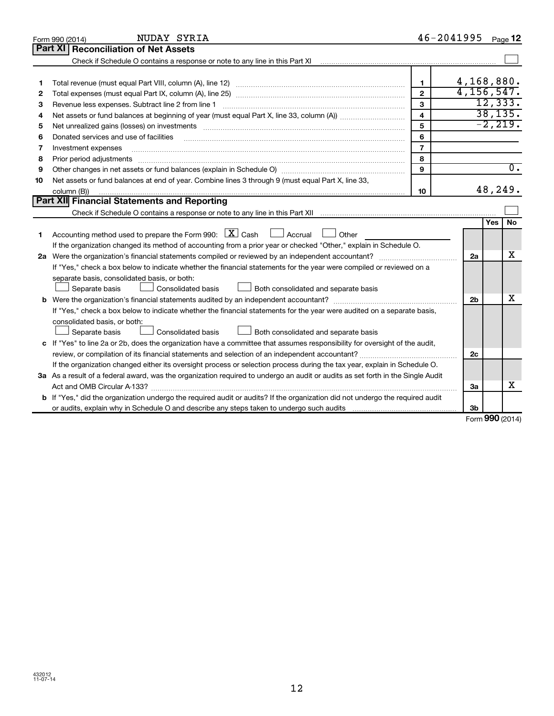|    | NUDAY SYRIA<br>Form 990 (2014)                                                                                                                                    |                         | $46 - 2041995$ |            | Page 12          |
|----|-------------------------------------------------------------------------------------------------------------------------------------------------------------------|-------------------------|----------------|------------|------------------|
|    | Part XI<br><b>Reconciliation of Net Assets</b>                                                                                                                    |                         |                |            |                  |
|    | Check if Schedule O contains a response or note to any line in this Part XI [11] [12] Check if Schedule O contains a response or note to any line in this Part XI |                         |                |            |                  |
|    |                                                                                                                                                                   |                         |                |            |                  |
| 1  |                                                                                                                                                                   | 1                       | 4,168,880.     |            |                  |
| 2  |                                                                                                                                                                   | $\mathbf{2}$            | 4, 156, 547.   |            |                  |
| з  | Revenue less expenses. Subtract line 2 from line 1                                                                                                                | 3                       |                |            | 12, 333.         |
| 4  |                                                                                                                                                                   | $\overline{\mathbf{4}}$ |                |            | 38, 135.         |
| 5  |                                                                                                                                                                   | 5                       |                |            | $-2, 219.$       |
| 6  | Donated services and use of facilities                                                                                                                            | 6                       |                |            |                  |
| 7  | Investment expenses                                                                                                                                               | $\overline{7}$          |                |            |                  |
| 8  | Prior period adjustments                                                                                                                                          | 8                       |                |            |                  |
| 9  |                                                                                                                                                                   | 9                       |                |            | $\overline{0}$ . |
| 10 | Net assets or fund balances at end of year. Combine lines 3 through 9 (must equal Part X, line 33,                                                                |                         |                |            |                  |
|    | column (B))                                                                                                                                                       | 10                      |                |            | 48,249.          |
|    | Part XII Financial Statements and Reporting                                                                                                                       |                         |                |            |                  |
|    |                                                                                                                                                                   |                         |                |            |                  |
|    |                                                                                                                                                                   |                         |                | <b>Yes</b> | <b>No</b>        |
| 1  | Accounting method used to prepare the Form 990: $X$ Cash<br>$\Box$ Accrual<br>Other                                                                               |                         |                |            |                  |
|    | If the organization changed its method of accounting from a prior year or checked "Other," explain in Schedule O.                                                 |                         |                |            |                  |
|    |                                                                                                                                                                   |                         | 2a             |            | x                |
|    | If "Yes," check a box below to indicate whether the financial statements for the year were compiled or reviewed on a                                              |                         |                |            |                  |
|    | separate basis, consolidated basis, or both:                                                                                                                      |                         |                |            |                  |
|    | Consolidated basis<br>Both consolidated and separate basis<br>Separate basis                                                                                      |                         |                |            |                  |
|    | <b>b</b> Were the organization's financial statements audited by an independent accountant?                                                                       |                         | 2 <sub>b</sub> |            | x                |
|    | If "Yes," check a box below to indicate whether the financial statements for the year were audited on a separate basis,                                           |                         |                |            |                  |
|    | consolidated basis, or both:                                                                                                                                      |                         |                |            |                  |
|    | Consolidated basis<br>Both consolidated and separate basis<br>Separate basis                                                                                      |                         |                |            |                  |
| c  | If "Yes" to line 2a or 2b, does the organization have a committee that assumes responsibility for oversight of the audit,                                         |                         |                |            |                  |
|    | review, or compilation of its financial statements and selection of an independent accountant?                                                                    |                         | 2c             |            |                  |
|    | If the organization changed either its oversight process or selection process during the tax year, explain in Schedule O.                                         |                         |                |            |                  |
|    | 3a As a result of a federal award, was the organization required to undergo an audit or audits as set forth in the Single Audit                                   |                         |                |            |                  |
|    |                                                                                                                                                                   |                         | За             |            | x                |
|    | b If "Yes," did the organization undergo the required audit or audits? If the organization did not undergo the required audit                                     |                         |                |            |                  |
|    |                                                                                                                                                                   |                         | 3 <sub>b</sub> |            |                  |

Form (2014) **990**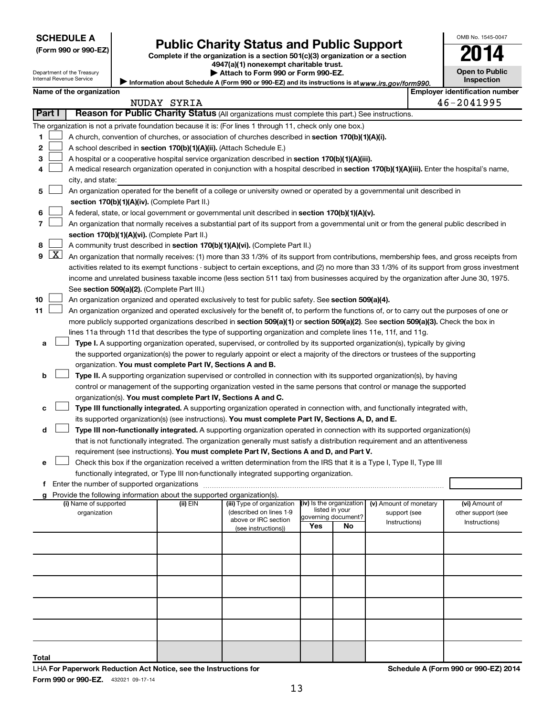| (Form 990 or 990-EZ) |  |  |
|----------------------|--|--|
|----------------------|--|--|

# Form 990 or 990-EZ) **Public Charity Status and Public Support**<br>
Complete if the organization is a section 501(c)(3) organization or a section<br> **2014**

**4947(a)(1) nonexempt charitable trust.**

| --                    |  |
|-----------------------|--|
| <b>Open to Public</b> |  |
| <b>Inspection</b>     |  |

OMB No. 1545-0047

Department of the Treasury Internal Revenue Service

Information about Schedule A (Form 990 or 990-EZ) and its instructions is at www.irs.gov/form990. **| Attach to Form 990 or Form 990-EZ.** 

|    | <b>Employer identification number</b><br>Name of the organization<br>NUDAY SYRIA |                                                                                                                                                                                                                                                                                  |          |                                             |                          |                                       |                        |  |                    |
|----|----------------------------------------------------------------------------------|----------------------------------------------------------------------------------------------------------------------------------------------------------------------------------------------------------------------------------------------------------------------------------|----------|---------------------------------------------|--------------------------|---------------------------------------|------------------------|--|--------------------|
|    | Part I                                                                           |                                                                                                                                                                                                                                                                                  |          |                                             |                          |                                       |                        |  | 46-2041995         |
|    |                                                                                  | Reason for Public Charity Status (All organizations must complete this part.) See instructions.                                                                                                                                                                                  |          |                                             |                          |                                       |                        |  |                    |
|    |                                                                                  | The organization is not a private foundation because it is: (For lines 1 through 11, check only one box.)                                                                                                                                                                        |          |                                             |                          |                                       |                        |  |                    |
| 1. |                                                                                  | A church, convention of churches, or association of churches described in section 170(b)(1)(A)(i).<br>A school described in section 170(b)(1)(A)(ii). (Attach Schedule E.)                                                                                                       |          |                                             |                          |                                       |                        |  |                    |
| 2  |                                                                                  |                                                                                                                                                                                                                                                                                  |          |                                             |                          |                                       |                        |  |                    |
| З  |                                                                                  | A hospital or a cooperative hospital service organization described in section 170(b)(1)(A)(iii).                                                                                                                                                                                |          |                                             |                          |                                       |                        |  |                    |
| 4  |                                                                                  | A medical research organization operated in conjunction with a hospital described in section 170(b)(1)(A)(iii). Enter the hospital's name,                                                                                                                                       |          |                                             |                          |                                       |                        |  |                    |
|    |                                                                                  | city, and state:                                                                                                                                                                                                                                                                 |          |                                             |                          |                                       |                        |  |                    |
| 5  |                                                                                  | An organization operated for the benefit of a college or university owned or operated by a governmental unit described in                                                                                                                                                        |          |                                             |                          |                                       |                        |  |                    |
|    |                                                                                  | section 170(b)(1)(A)(iv). (Complete Part II.)                                                                                                                                                                                                                                    |          |                                             |                          |                                       |                        |  |                    |
| 6  |                                                                                  | A federal, state, or local government or governmental unit described in section 170(b)(1)(A)(v).                                                                                                                                                                                 |          |                                             |                          |                                       |                        |  |                    |
| 7  |                                                                                  | An organization that normally receives a substantial part of its support from a governmental unit or from the general public described in                                                                                                                                        |          |                                             |                          |                                       |                        |  |                    |
|    |                                                                                  | section 170(b)(1)(A)(vi). (Complete Part II.)                                                                                                                                                                                                                                    |          |                                             |                          |                                       |                        |  |                    |
| 8  | $\lfloor x \rfloor$                                                              | A community trust described in section 170(b)(1)(A)(vi). (Complete Part II.)                                                                                                                                                                                                     |          |                                             |                          |                                       |                        |  |                    |
| 9  |                                                                                  | An organization that normally receives: (1) more than 33 1/3% of its support from contributions, membership fees, and gross receipts from                                                                                                                                        |          |                                             |                          |                                       |                        |  |                    |
|    |                                                                                  | activities related to its exempt functions - subject to certain exceptions, and (2) no more than 33 1/3% of its support from gross investment                                                                                                                                    |          |                                             |                          |                                       |                        |  |                    |
|    |                                                                                  | income and unrelated business taxable income (less section 511 tax) from businesses acquired by the organization after June 30, 1975.                                                                                                                                            |          |                                             |                          |                                       |                        |  |                    |
| 10 |                                                                                  | See section 509(a)(2). (Complete Part III.)<br>An organization organized and operated exclusively to test for public safety. See section 509(a)(4).                                                                                                                              |          |                                             |                          |                                       |                        |  |                    |
| 11 |                                                                                  |                                                                                                                                                                                                                                                                                  |          |                                             |                          |                                       |                        |  |                    |
|    |                                                                                  | An organization organized and operated exclusively for the benefit of, to perform the functions of, or to carry out the purposes of one or<br>more publicly supported organizations described in section 509(a)(1) or section 509(a)(2). See section 509(a)(3). Check the box in |          |                                             |                          |                                       |                        |  |                    |
|    |                                                                                  | lines 11a through 11d that describes the type of supporting organization and complete lines 11e, 11f, and 11g.                                                                                                                                                                   |          |                                             |                          |                                       |                        |  |                    |
|    |                                                                                  | Type I. A supporting organization operated, supervised, or controlled by its supported organization(s), typically by giving                                                                                                                                                      |          |                                             |                          |                                       |                        |  |                    |
| a  |                                                                                  | the supported organization(s) the power to regularly appoint or elect a majority of the directors or trustees of the supporting                                                                                                                                                  |          |                                             |                          |                                       |                        |  |                    |
|    |                                                                                  | organization. You must complete Part IV, Sections A and B.                                                                                                                                                                                                                       |          |                                             |                          |                                       |                        |  |                    |
| b  |                                                                                  | Type II. A supporting organization supervised or controlled in connection with its supported organization(s), by having                                                                                                                                                          |          |                                             |                          |                                       |                        |  |                    |
|    |                                                                                  | control or management of the supporting organization vested in the same persons that control or manage the supported                                                                                                                                                             |          |                                             |                          |                                       |                        |  |                    |
|    |                                                                                  | organization(s). You must complete Part IV, Sections A and C.                                                                                                                                                                                                                    |          |                                             |                          |                                       |                        |  |                    |
| с  |                                                                                  | Type III functionally integrated. A supporting organization operated in connection with, and functionally integrated with,                                                                                                                                                       |          |                                             |                          |                                       |                        |  |                    |
|    |                                                                                  | its supported organization(s) (see instructions). You must complete Part IV, Sections A, D, and E.                                                                                                                                                                               |          |                                             |                          |                                       |                        |  |                    |
| d  |                                                                                  | Type III non-functionally integrated. A supporting organization operated in connection with its supported organization(s)                                                                                                                                                        |          |                                             |                          |                                       |                        |  |                    |
|    |                                                                                  | that is not functionally integrated. The organization generally must satisfy a distribution requirement and an attentiveness                                                                                                                                                     |          |                                             |                          |                                       |                        |  |                    |
|    |                                                                                  | requirement (see instructions). You must complete Part IV, Sections A and D, and Part V.                                                                                                                                                                                         |          |                                             |                          |                                       |                        |  |                    |
| е  |                                                                                  | Check this box if the organization received a written determination from the IRS that it is a Type I, Type II, Type III                                                                                                                                                          |          |                                             |                          |                                       |                        |  |                    |
|    |                                                                                  | functionally integrated, or Type III non-functionally integrated supporting organization.                                                                                                                                                                                        |          |                                             |                          |                                       |                        |  |                    |
|    |                                                                                  |                                                                                                                                                                                                                                                                                  |          |                                             |                          |                                       |                        |  |                    |
|    |                                                                                  | g Provide the following information about the supported organization(s).                                                                                                                                                                                                         |          |                                             |                          |                                       |                        |  |                    |
|    |                                                                                  | (i) Name of supported                                                                                                                                                                                                                                                            | (ii) EIN | (iii) Type of organization                  | (iv) Is the organization |                                       | (v) Amount of monetary |  | (vi) Amount of     |
|    |                                                                                  | organization                                                                                                                                                                                                                                                                     |          | (described on lines 1-9                     |                          | listed in your<br>governing document? | support (see           |  | other support (see |
|    |                                                                                  |                                                                                                                                                                                                                                                                                  |          | above or IRC section<br>(see instructions)) | Yes                      | No                                    | Instructions)          |  | Instructions)      |
|    |                                                                                  |                                                                                                                                                                                                                                                                                  |          |                                             |                          |                                       |                        |  |                    |
|    |                                                                                  |                                                                                                                                                                                                                                                                                  |          |                                             |                          |                                       |                        |  |                    |
|    |                                                                                  |                                                                                                                                                                                                                                                                                  |          |                                             |                          |                                       |                        |  |                    |
|    |                                                                                  |                                                                                                                                                                                                                                                                                  |          |                                             |                          |                                       |                        |  |                    |
|    |                                                                                  |                                                                                                                                                                                                                                                                                  |          |                                             |                          |                                       |                        |  |                    |
|    |                                                                                  |                                                                                                                                                                                                                                                                                  |          |                                             |                          |                                       |                        |  |                    |
|    |                                                                                  |                                                                                                                                                                                                                                                                                  |          |                                             |                          |                                       |                        |  |                    |
|    |                                                                                  |                                                                                                                                                                                                                                                                                  |          |                                             |                          |                                       |                        |  |                    |
|    |                                                                                  |                                                                                                                                                                                                                                                                                  |          |                                             |                          |                                       |                        |  |                    |
|    |                                                                                  |                                                                                                                                                                                                                                                                                  |          |                                             |                          |                                       |                        |  |                    |

**Total**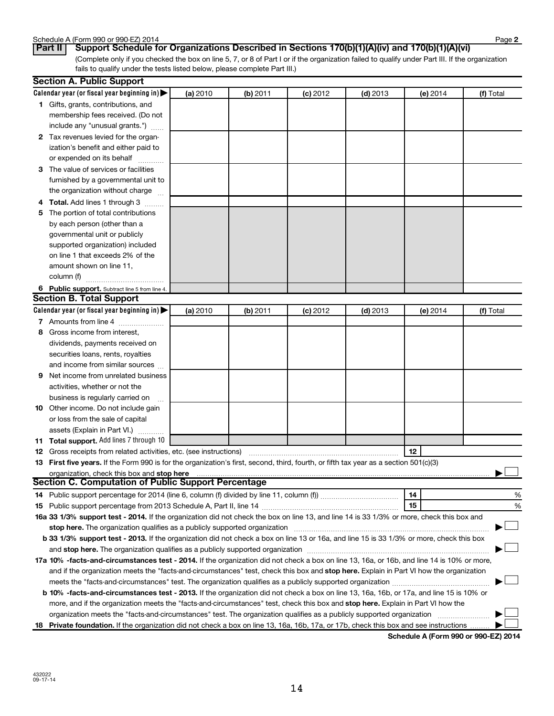| Schedule A (Form 990 or 990-EZ) 2014 | Page |
|--------------------------------------|------|
|--------------------------------------|------|

(Complete only if you checked the box on line 5, 7, or 8 of Part I or if the organization failed to qualify under Part III. If the organization fails to qualify under the tests listed below, please complete Part III.) **Part II Support Schedule for Organizations Described in Sections 170(b)(1)(A)(iv) and 170(b)(1)(A)(vi)**

|    | <b>Section A. Public Support</b>                                                                                                                                                                                               |          |          |            |            |          |           |
|----|--------------------------------------------------------------------------------------------------------------------------------------------------------------------------------------------------------------------------------|----------|----------|------------|------------|----------|-----------|
|    | Calendar year (or fiscal year beginning in) $\blacktriangleright$                                                                                                                                                              | (a) 2010 | (b) 2011 | $(c)$ 2012 | $(d)$ 2013 | (e) 2014 | (f) Total |
|    | 1 Gifts, grants, contributions, and                                                                                                                                                                                            |          |          |            |            |          |           |
|    | membership fees received. (Do not                                                                                                                                                                                              |          |          |            |            |          |           |
|    | include any "unusual grants.")                                                                                                                                                                                                 |          |          |            |            |          |           |
|    | 2 Tax revenues levied for the organ-                                                                                                                                                                                           |          |          |            |            |          |           |
|    | ization's benefit and either paid to                                                                                                                                                                                           |          |          |            |            |          |           |
|    | or expended on its behalf                                                                                                                                                                                                      |          |          |            |            |          |           |
|    | 3 The value of services or facilities                                                                                                                                                                                          |          |          |            |            |          |           |
|    | furnished by a governmental unit to                                                                                                                                                                                            |          |          |            |            |          |           |
|    | the organization without charge                                                                                                                                                                                                |          |          |            |            |          |           |
| 4  | <b>Total.</b> Add lines 1 through 3                                                                                                                                                                                            |          |          |            |            |          |           |
| 5  | The portion of total contributions                                                                                                                                                                                             |          |          |            |            |          |           |
|    | by each person (other than a                                                                                                                                                                                                   |          |          |            |            |          |           |
|    | governmental unit or publicly                                                                                                                                                                                                  |          |          |            |            |          |           |
|    | supported organization) included                                                                                                                                                                                               |          |          |            |            |          |           |
|    | on line 1 that exceeds 2% of the                                                                                                                                                                                               |          |          |            |            |          |           |
|    | amount shown on line 11,                                                                                                                                                                                                       |          |          |            |            |          |           |
|    | column (f)                                                                                                                                                                                                                     |          |          |            |            |          |           |
|    | 6 Public support. Subtract line 5 from line 4.                                                                                                                                                                                 |          |          |            |            |          |           |
|    | <b>Section B. Total Support</b>                                                                                                                                                                                                |          |          |            |            |          |           |
|    | Calendar year (or fiscal year beginning in)                                                                                                                                                                                    | (a) 2010 | (b) 2011 | $(c)$ 2012 | $(d)$ 2013 | (e) 2014 | (f) Total |
|    | 7 Amounts from line 4                                                                                                                                                                                                          |          |          |            |            |          |           |
| 8  | Gross income from interest,                                                                                                                                                                                                    |          |          |            |            |          |           |
|    | dividends, payments received on                                                                                                                                                                                                |          |          |            |            |          |           |
|    | securities loans, rents, royalties                                                                                                                                                                                             |          |          |            |            |          |           |
|    | and income from similar sources                                                                                                                                                                                                |          |          |            |            |          |           |
| 9  | Net income from unrelated business                                                                                                                                                                                             |          |          |            |            |          |           |
|    | activities, whether or not the                                                                                                                                                                                                 |          |          |            |            |          |           |
|    | business is regularly carried on                                                                                                                                                                                               |          |          |            |            |          |           |
| 10 | Other income. Do not include gain                                                                                                                                                                                              |          |          |            |            |          |           |
|    | or loss from the sale of capital                                                                                                                                                                                               |          |          |            |            |          |           |
|    | assets (Explain in Part VI.)                                                                                                                                                                                                   |          |          |            |            |          |           |
|    | <b>11 Total support.</b> Add lines 7 through 10                                                                                                                                                                                |          |          |            |            |          |           |
|    | <b>12</b> Gross receipts from related activities, etc. (see instructions)                                                                                                                                                      |          |          |            |            | 12       |           |
|    | 13 First five years. If the Form 990 is for the organization's first, second, third, fourth, or fifth tax year as a section 501(c)(3)                                                                                          |          |          |            |            |          |           |
|    | organization, check this box and stop here                                                                                                                                                                                     |          |          |            |            |          |           |
|    | <b>Section C. Computation of Public Support Percentage</b>                                                                                                                                                                     |          |          |            |            |          |           |
|    | 14 Public support percentage for 2014 (line 6, column (f) divided by line 11, column (f) <i>mummumumum</i>                                                                                                                     |          |          |            |            | 14       | %         |
|    |                                                                                                                                                                                                                                |          |          |            |            | 15       | %         |
|    | 16a 33 1/3% support test - 2014. If the organization did not check the box on line 13, and line 14 is 33 1/3% or more, check this box and                                                                                      |          |          |            |            |          |           |
|    | stop here. The organization qualifies as a publicly supported organization manufactured content and the organization of the state of the state of the state of the state of the state of the state of the state of the state o |          |          |            |            |          |           |
|    | b 33 1/3% support test - 2013. If the organization did not check a box on line 13 or 16a, and line 15 is 33 1/3% or more, check this box                                                                                       |          |          |            |            |          |           |
|    |                                                                                                                                                                                                                                |          |          |            |            |          |           |
|    | 17a 10% -facts-and-circumstances test - 2014. If the organization did not check a box on line 13, 16a, or 16b, and line 14 is 10% or more,                                                                                     |          |          |            |            |          |           |
|    | and if the organization meets the "facts-and-circumstances" test, check this box and stop here. Explain in Part VI how the organization                                                                                        |          |          |            |            |          |           |
|    |                                                                                                                                                                                                                                |          |          |            |            |          |           |
|    | b 10% -facts-and-circumstances test - 2013. If the organization did not check a box on line 13, 16a, 16b, or 17a, and line 15 is 10% or                                                                                        |          |          |            |            |          |           |
|    | more, and if the organization meets the "facts-and-circumstances" test, check this box and stop here. Explain in Part VI how the                                                                                               |          |          |            |            |          |           |
|    | organization meets the "facts-and-circumstances" test. The organization qualifies as a publicly supported organization                                                                                                         |          |          |            |            |          |           |
|    | 18 Private foundation. If the organization did not check a box on line 13, 16a, 16b, 17a, or 17b, check this box and see instructions                                                                                          |          |          |            |            |          |           |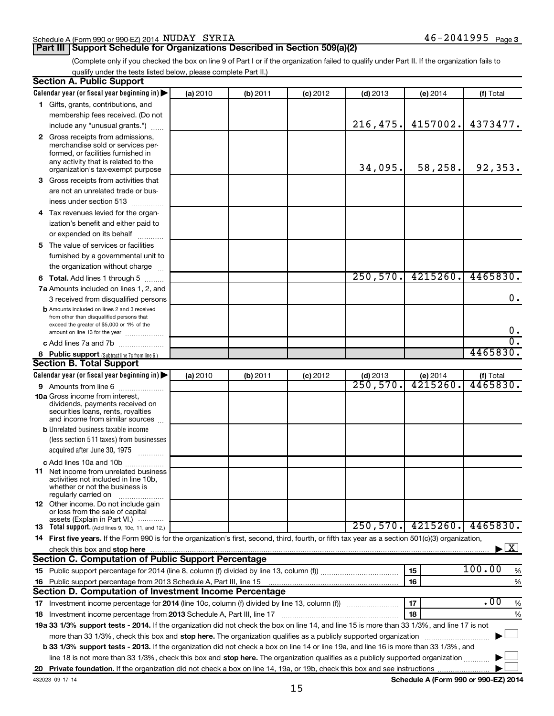#### Schedule A (Form 990 or 990-EZ) 2014 Page NUDAY SYRIA 46-2041995

#### **Part III Support Schedule for Organizations Described in Section 509(a)(2)**

(Complete only if you checked the box on line 9 of Part I or if the organization failed to qualify under Part II. If the organization fails to qualify under the tests listed below, please complete Part II.)

| <b>Section A. Public Support</b>                                                                                                                                                                                               |          |          |            |            |          |                                      |
|--------------------------------------------------------------------------------------------------------------------------------------------------------------------------------------------------------------------------------|----------|----------|------------|------------|----------|--------------------------------------|
| Calendar year (or fiscal year beginning in)                                                                                                                                                                                    | (a) 2010 | (b) 2011 | $(c)$ 2012 | $(d)$ 2013 | (e) 2014 | (f) Total                            |
| 1 Gifts, grants, contributions, and                                                                                                                                                                                            |          |          |            |            |          |                                      |
| membership fees received. (Do not                                                                                                                                                                                              |          |          |            |            |          |                                      |
| include any "unusual grants.")                                                                                                                                                                                                 |          |          |            | 216,475.   | 4157002. | 4373477.                             |
| 2 Gross receipts from admissions,<br>merchandise sold or services per-<br>formed, or facilities furnished in<br>any activity that is related to the<br>organization's tax-exempt purpose                                       |          |          |            | 34,095.    | 58,258.  | 92,353.                              |
| <b>3</b> Gross receipts from activities that                                                                                                                                                                                   |          |          |            |            |          |                                      |
| are not an unrelated trade or bus-                                                                                                                                                                                             |          |          |            |            |          |                                      |
| iness under section 513                                                                                                                                                                                                        |          |          |            |            |          |                                      |
| 4 Tax revenues levied for the organ-                                                                                                                                                                                           |          |          |            |            |          |                                      |
| ization's benefit and either paid to                                                                                                                                                                                           |          |          |            |            |          |                                      |
| or expended on its behalf<br>.                                                                                                                                                                                                 |          |          |            |            |          |                                      |
| 5 The value of services or facilities                                                                                                                                                                                          |          |          |            |            |          |                                      |
| furnished by a governmental unit to                                                                                                                                                                                            |          |          |            |            |          |                                      |
| the organization without charge                                                                                                                                                                                                |          |          |            |            |          |                                      |
| <b>6 Total.</b> Add lines 1 through 5                                                                                                                                                                                          |          |          |            | 250,570.   | 4215260. | 4465830.                             |
| 7a Amounts included on lines 1, 2, and                                                                                                                                                                                         |          |          |            |            |          |                                      |
| 3 received from disqualified persons                                                                                                                                                                                           |          |          |            |            |          | 0.                                   |
| <b>b</b> Amounts included on lines 2 and 3 received<br>from other than disqualified persons that                                                                                                                               |          |          |            |            |          |                                      |
| exceed the greater of \$5,000 or 1% of the                                                                                                                                                                                     |          |          |            |            |          | 0.                                   |
| amount on line 13 for the year                                                                                                                                                                                                 |          |          |            |            |          | $\overline{0}$ .                     |
| c Add lines 7a and 7b<br>8 Public support (Subtract line 7c from line 6.)                                                                                                                                                      |          |          |            |            |          | 4465830.                             |
| <b>Section B. Total Support</b>                                                                                                                                                                                                |          |          |            |            |          |                                      |
| Calendar year (or fiscal year beginning in)                                                                                                                                                                                    | (a) 2010 | (b) 2011 | $(c)$ 2012 | $(d)$ 2013 | (e) 2014 | (f) Total                            |
| <b>9</b> Amounts from line 6                                                                                                                                                                                                   |          |          |            | 250,570.   | 4215260. | 4465830.                             |
| <b>10a</b> Gross income from interest,<br>dividends, payments received on<br>securities loans, rents, royalties<br>and income from similar sources                                                                             |          |          |            |            |          |                                      |
| <b>b</b> Unrelated business taxable income                                                                                                                                                                                     |          |          |            |            |          |                                      |
| (less section 511 taxes) from businesses                                                                                                                                                                                       |          |          |            |            |          |                                      |
| acquired after June 30, 1975                                                                                                                                                                                                   |          |          |            |            |          |                                      |
| c Add lines 10a and 10b                                                                                                                                                                                                        |          |          |            |            |          |                                      |
| <b>11</b> Net income from unrelated business<br>activities not included in line 10b.<br>whether or not the business is<br>regularly carried on                                                                                 |          |          |            |            |          |                                      |
| 12 Other income. Do not include gain<br>or loss from the sale of capital                                                                                                                                                       |          |          |            |            |          |                                      |
| assets (Explain in Part VI.)<br><b>13</b> Total support. (Add lines 9, 10c, 11, and 12.)                                                                                                                                       |          |          |            | 250,570.   | 4215260. | 4465830.                             |
| 14 First five years. If the Form 990 is for the organization's first, second, third, fourth, or fifth tax year as a section 501(c)(3) organization,                                                                            |          |          |            |            |          |                                      |
| check this box and stop here with the continuum control of the state of the state of the state of the state of the state of the state of the state of the state of the state of the state of the state of the state of the sta |          |          |            |            |          | $\blacktriangleright$ $\mathbf{X}$   |
| <b>Section C. Computation of Public Support Percentage</b>                                                                                                                                                                     |          |          |            |            |          |                                      |
|                                                                                                                                                                                                                                |          |          |            |            | 15       | 100.00<br>%                          |
| 16 Public support percentage from 2013 Schedule A, Part III, line 15                                                                                                                                                           |          |          |            |            | 16       | %                                    |
| Section D. Computation of Investment Income Percentage                                                                                                                                                                         |          |          |            |            |          |                                      |
|                                                                                                                                                                                                                                |          |          |            |            | 17       | .00<br>%                             |
|                                                                                                                                                                                                                                |          |          |            |            | 18       | %                                    |
| 19a 33 1/3% support tests - 2014. If the organization did not check the box on line 14, and line 15 is more than 33 1/3%, and line 17 is not                                                                                   |          |          |            |            |          |                                      |
| more than 33 1/3%, check this box and stop here. The organization qualifies as a publicly supported organization                                                                                                               |          |          |            |            |          |                                      |
| b 33 1/3% support tests - 2013. If the organization did not check a box on line 14 or line 19a, and line 16 is more than 33 1/3%, and                                                                                          |          |          |            |            |          |                                      |
| line 18 is not more than 33 1/3%, check this box and stop here. The organization qualifies as a publicly supported organization                                                                                                |          |          |            |            |          |                                      |
|                                                                                                                                                                                                                                |          |          |            |            |          |                                      |
| 432023 09-17-14                                                                                                                                                                                                                |          |          |            |            |          | Schedule A (Form 990 or 990-EZ) 2014 |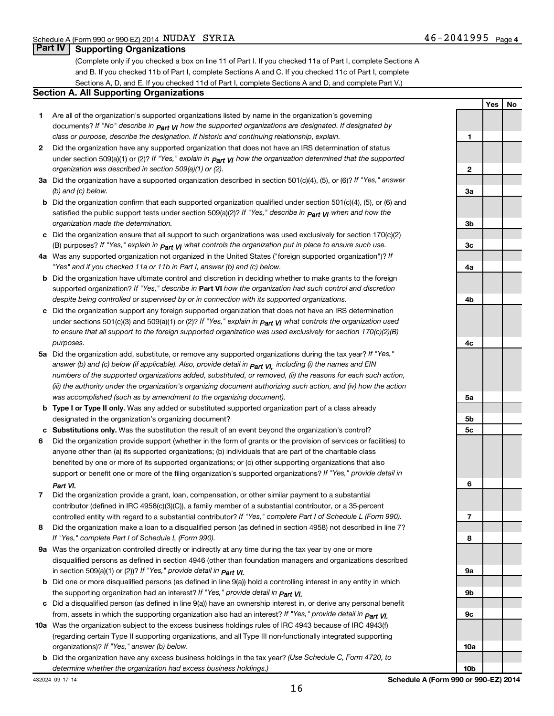**Yes No**

#### **Part IV Supporting Organizations**

(Complete only if you checked a box on line 11 of Part I. If you checked 11a of Part I, complete Sections A and B. If you checked 11b of Part I, complete Sections A and C. If you checked 11c of Part I, complete Sections A, D, and E. If you checked 11d of Part I, complete Sections A and D, and complete Part V.)

#### **Section A. All Supporting Organizations**

- **1** Are all of the organization's supported organizations listed by name in the organization's governing documents? If "No" describe in  $_{\mathsf{Part}}$   $_{\mathsf{V}}$  how the supported organizations are designated. If designated by *class or purpose, describe the designation. If historic and continuing relationship, explain.*
- **2** Did the organization have any supported organization that does not have an IRS determination of status under section 509(a)(1) or (2)? If "Yes," explain in  $_{\sf Part}$   $_{\sf VI}$  how the organization determined that the supported *organization was described in section 509(a)(1) or (2).*
- **3a** Did the organization have a supported organization described in section 501(c)(4), (5), or (6)? If "Yes," answer *(b) and (c) below.*
- **b** Did the organization confirm that each supported organization qualified under section 501(c)(4), (5), or (6) and satisfied the public support tests under section 509(a)(2)? If "Yes," describe in  $_{\rm Part}$   $_{\rm VI}$  when and how the *organization made the determination.*
- **c** Did the organization ensure that all support to such organizations was used exclusively for section 170(c)(2) (B) purposes? If "Yes," explain in  $_{\mathsf{Part}}$   $_{\mathsf{V}}$  what controls the organization put in place to ensure such use.
- **4 a** *If* Was any supported organization not organized in the United States ("foreign supported organization")? *"Yes" and if you checked 11a or 11b in Part I, answer (b) and (c) below.*
- **b** Did the organization have ultimate control and discretion in deciding whether to make grants to the foreign supported organization? If "Yes," describe in Part VI how the organization had such control and discretion *despite being controlled or supervised by or in connection with its supported organizations.*
- **c** Did the organization support any foreign supported organization that does not have an IRS determination under sections 501(c)(3) and 509(a)(1) or (2)? If "Yes," ex*plain in*  $_{\sf Part}$  *v*J what controls the organization used *to ensure that all support to the foreign supported organization was used exclusively for section 170(c)(2)(B) purposes.*
- **5a** Did the organization add, substitute, or remove any supported organizations during the tax year? If "Yes," answer (b) and (c) below (if applicable). Also, provide detail in  $_{\mathsf{Part}}$   $_{\mathsf{V{\mathsf{I}}}}$ , including (i) the names and EIN *numbers of the supported organizations added, substituted, or removed, (ii) the reasons for each such action, (iii) the authority under the organization's organizing document authorizing such action, and (iv) how the action was accomplished (such as by amendment to the organizing document).*
- **b** Type I or Type II only. Was any added or substituted supported organization part of a class already designated in the organization's organizing document?
- **c Substitutions only.**  Was the substitution the result of an event beyond the organization's control?
- **6** Did the organization provide support (whether in the form of grants or the provision of services or facilities) to support or benefit one or more of the filing organization's supported organizations? If "Yes," provide detail in anyone other than (a) its supported organizations; (b) individuals that are part of the charitable class benefited by one or more of its supported organizations; or (c) other supporting organizations that also *Part VI.*
- **7** Did the organization provide a grant, loan, compensation, or other similar payment to a substantial controlled entity with regard to a substantial contributor? If "Yes," complete Part I of Schedule L (Form 990). contributor (defined in IRC 4958(c)(3)(C)), a family member of a substantial contributor, or a 35-percent
- **8** Did the organization make a loan to a disqualified person (as defined in section 4958) not described in line 7? *If "Yes," complete Part I of Schedule L (Form 990).*
- **9 a** Was the organization controlled directly or indirectly at any time during the tax year by one or more *If "Yes," provide detail in*  in section 509(a)(1) or (2))? *Part VI.* disqualified persons as defined in section 4946 (other than foundation managers and organizations described
- **b** Did one or more disqualified persons (as defined in line 9(a)) hold a controlling interest in any entity in which  *If "Yes," provide detail in*  the supporting organization had an interest? *Part VI.*
- **c** Did a disqualified person (as defined in line 9(a)) have an ownership interest in, or derive any personal benefit from, assets in which the supporting organization also had an interest? If "Yes," *provide detail in Part VI.*
- **10 a** Was the organization subject to the excess business holdings rules of IRC 4943 because of IRC 4943(f)  *If "Yes," answer (b) below.* organizations)? (regarding certain Type II supporting organizations, and all Type III non-functionally integrated supporting
	- **b** Did the organization have any excess business holdings in the tax year? (Use Schedule C, Form 4720, to *determine whether the organization had excess business holdings.)*

**1 2 3a 3b 3c 4a 4b 4c 5a 5b 5c 6 7 8 9a 9b 9c 10a**

**10b**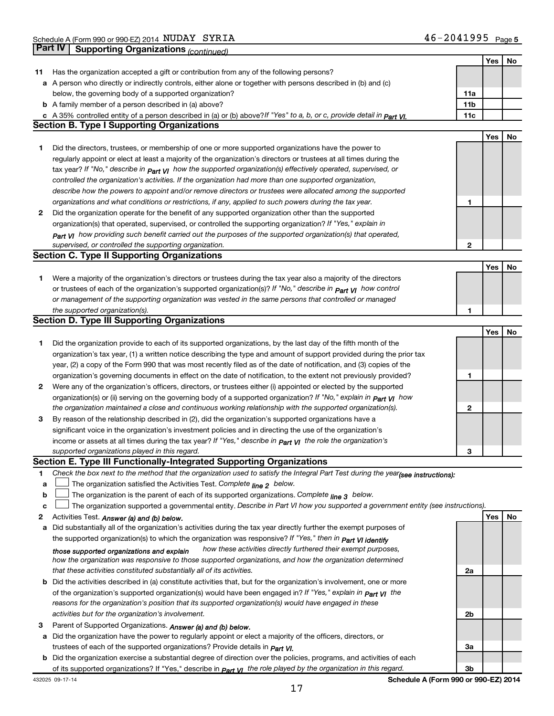|    |                                                                                                                                  |     | Yes | No |
|----|----------------------------------------------------------------------------------------------------------------------------------|-----|-----|----|
| 11 | Has the organization accepted a gift or contribution from any of the following persons?                                          |     |     |    |
|    | a A person who directly or indirectly controls, either alone or together with persons described in (b) and (c)                   |     |     |    |
|    | below, the governing body of a supported organization?                                                                           | 11a |     |    |
|    | <b>b</b> A family member of a person described in (a) above?                                                                     | 11b |     |    |
|    | c A 35% controlled entity of a person described in (a) or (b) above? If "Yes" to a, b, or c, provide detail in Part VI.          | 11c |     |    |
|    | <b>Section B. Type I Supporting Organizations</b>                                                                                |     |     |    |
|    |                                                                                                                                  |     | Yes | No |
|    | Did the directors, trustees, or membership of one or more supported organizations have the power to                              |     |     |    |
| 1  |                                                                                                                                  |     |     |    |
|    | regularly appoint or elect at least a majority of the organization's directors or trustees at all times during the               |     |     |    |
|    | tax year? If "No," describe in $p_{art}$ VI how the supported organization(s) effectively operated, supervised, or               |     |     |    |
|    | controlled the organization's activities. If the organization had more than one supported organization,                          |     |     |    |
|    | describe how the powers to appoint and/or remove directors or trustees were allocated among the supported                        |     |     |    |
|    | organizations and what conditions or restrictions, if any, applied to such powers during the tax year.                           | 1   |     |    |
| 2  | Did the organization operate for the benefit of any supported organization other than the supported                              |     |     |    |
|    | organization(s) that operated, supervised, or controlled the supporting organization? If "Yes," explain in                       |     |     |    |
|    | Part VI how providing such benefit carried out the purposes of the supported organization(s) that operated,                      |     |     |    |
|    | supervised, or controlled the supporting organization.                                                                           | 2   |     |    |
|    | <b>Section C. Type II Supporting Organizations</b>                                                                               |     |     |    |
|    |                                                                                                                                  |     | Yes | No |
| 1. | Were a majority of the organization's directors or trustees during the tax year also a majority of the directors                 |     |     |    |
|    | or trustees of each of the organization's supported organization(s)? If "No," describe in part VI how control                    |     |     |    |
|    | or management of the supporting organization was vested in the same persons that controlled or managed                           |     |     |    |
|    | the supported organization(s).                                                                                                   | 1   |     |    |
|    | <b>Section D. Type III Supporting Organizations</b>                                                                              |     |     |    |
|    |                                                                                                                                  |     | Yes | No |
|    | Did the organization provide to each of its supported organizations, by the last day of the fifth month of the                   |     |     |    |
| 1  |                                                                                                                                  |     |     |    |
|    | organization's tax year, (1) a written notice describing the type and amount of support provided during the prior tax            |     |     |    |
|    | year, (2) a copy of the Form 990 that was most recently filed as of the date of notification, and (3) copies of the              |     |     |    |
|    | organization's governing documents in effect on the date of notification, to the extent not previously provided?                 | 1   |     |    |
| 2  | Were any of the organization's officers, directors, or trustees either (i) appointed or elected by the supported                 |     |     |    |
|    | organization(s) or (ii) serving on the governing body of a supported organization? If "No," explain in part VI how               |     |     |    |
|    | the organization maintained a close and continuous working relationship with the supported organization(s).                      | 2   |     |    |
| 3  | By reason of the relationship described in (2), did the organization's supported organizations have a                            |     |     |    |
|    | significant voice in the organization's investment policies and in directing the use of the organization's                       |     |     |    |
|    | income or assets at all times during the tax year? If "Yes," describe in $P_{\text{art } VI}$ the role the organization's        |     |     |    |
|    | supported organizations played in this regard.                                                                                   | З   |     |    |
|    | Section E. Type III Functionally-Integrated Supporting Organizations                                                             |     |     |    |
| 1. | Check the box next to the method that the organization used to satisfy the Integral Part Test during the year(see instructions): |     |     |    |
| a  | The organization satisfied the Activities Test. Complete line 2 below.                                                           |     |     |    |
| b  | The organization is the parent of each of its supported organizations. Complete $_{\text{line 3}}$ below.                        |     |     |    |
| c  | The organization supported a governmental entity. Describe in Part VI how you supported a government entity (see instructions).  |     |     |    |
| 2  | Activities Test. Answer (a) and (b) below.                                                                                       |     | Yes | No |
| a  | Did substantially all of the organization's activities during the tax year directly further the exempt purposes of               |     |     |    |
|    | the supported organization(s) to which the organization was responsive? If "Yes," then in Part VI identify                       |     |     |    |
|    | how these activities directly furthered their exempt purposes,<br>those supported organizations and explain                      |     |     |    |
|    | how the organization was responsive to those supported organizations, and how the organization determined                        |     |     |    |
|    | that these activities constituted substantially all of its activities.                                                           | 2a  |     |    |
|    | <b>b</b> Did the activities described in (a) constitute activities that, but for the organization's involvement, one or more     |     |     |    |
|    | of the organization's supported organization(s) would have been engaged in? If "Yes," explain in <b>Part VI</b> the              |     |     |    |
|    | reasons for the organization's position that its supported organization(s) would have engaged in these                           |     |     |    |
|    | activities but for the organization's involvement.                                                                               | 2b  |     |    |
| з  | Parent of Supported Organizations. Answer (a) and (b) below.                                                                     |     |     |    |
| a  | Did the organization have the power to regularly appoint or elect a majority of the officers, directors, or                      |     |     |    |
|    | trustees of each of the supported organizations? Provide details in <i>Part VI.</i>                                              | За  |     |    |
|    | <b>b</b> Did the organization exercise a substantial degree of direction over the policies, programs, and activities of each     |     |     |    |
|    | of its supported organizations? If "Yes," describe in $Part$ $VI$ the role played by the organization in this regard.            | 3b  |     |    |
|    |                                                                                                                                  |     |     |    |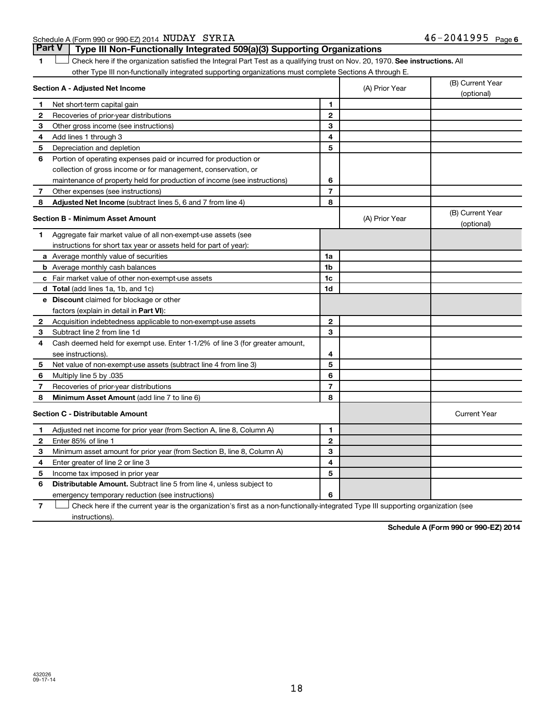Schedule A (Form 990 or 990-EZ) 2014 Page NUDAY SYRIA 46-2041995

1  $\Box$  Check here if the organization satisfied the Integral Part Test as a qualifying trust on Nov. 20, 1970. See instructions. All other Type III non-functionally integrated supporting organizations must complete Sections A through E. **Part V Type III Non-Functionally Integrated 509(a)(3) Supporting Organizations**   $\Box$ 

|              | Section A - Adjusted Net Income                                              | (A) Prior Year | (B) Current Year<br>(optional) |                                |
|--------------|------------------------------------------------------------------------------|----------------|--------------------------------|--------------------------------|
| 1            | Net short-term capital gain                                                  | 1              |                                |                                |
| $\mathbf{2}$ | Recoveries of prior-year distributions                                       | $\overline{2}$ |                                |                                |
| З            | Other gross income (see instructions)                                        | 3              |                                |                                |
| 4            | Add lines 1 through 3                                                        | 4              |                                |                                |
| 5            | Depreciation and depletion                                                   | 5              |                                |                                |
| 6            | Portion of operating expenses paid or incurred for production or             |                |                                |                                |
|              | collection of gross income or for management, conservation, or               |                |                                |                                |
|              | maintenance of property held for production of income (see instructions)     | 6              |                                |                                |
| 7            | Other expenses (see instructions)                                            | $\overline{7}$ |                                |                                |
| 8            | Adjusted Net Income (subtract lines 5, 6 and 7 from line 4)                  | 8              |                                |                                |
|              | <b>Section B - Minimum Asset Amount</b>                                      |                | (A) Prior Year                 | (B) Current Year<br>(optional) |
| 1            | Aggregate fair market value of all non-exempt-use assets (see                |                |                                |                                |
|              | instructions for short tax year or assets held for part of year):            |                |                                |                                |
|              | a Average monthly value of securities                                        | 1a             |                                |                                |
|              | <b>b</b> Average monthly cash balances                                       | 1b             |                                |                                |
|              | c Fair market value of other non-exempt-use assets                           | 1c             |                                |                                |
|              | d Total (add lines 1a, 1b, and 1c)                                           | 1d             |                                |                                |
|              | <b>e</b> Discount claimed for blockage or other                              |                |                                |                                |
|              | factors (explain in detail in Part VI):                                      |                |                                |                                |
| 2            | Acquisition indebtedness applicable to non-exempt-use assets                 | $\mathbf{2}$   |                                |                                |
| З            | Subtract line 2 from line 1d                                                 | 3              |                                |                                |
| 4            | Cash deemed held for exempt use. Enter 1-1/2% of line 3 (for greater amount, |                |                                |                                |
|              | see instructions).                                                           | 4              |                                |                                |
| 5            | Net value of non-exempt-use assets (subtract line 4 from line 3)             | 5              |                                |                                |
| 6            | Multiply line 5 by .035                                                      | 6              |                                |                                |
| 7            | Recoveries of prior-year distributions                                       | 7              |                                |                                |
| 8            | <b>Minimum Asset Amount (add line 7 to line 6)</b>                           | 8              |                                |                                |
|              | <b>Section C - Distributable Amount</b>                                      |                |                                | <b>Current Year</b>            |
| 1            | Adjusted net income for prior year (from Section A, line 8, Column A)        | 1              |                                |                                |
| $\mathbf{2}$ | Enter 85% of line 1                                                          | $\mathbf{2}$   |                                |                                |
| 3            | Minimum asset amount for prior year (from Section B, line 8, Column A)       | 3              |                                |                                |
| 4            | Enter greater of line 2 or line 3                                            | 4              |                                |                                |
| 5            | Income tax imposed in prior year                                             | 5              |                                |                                |
| 6            | <b>Distributable Amount.</b> Subtract line 5 from line 4, unless subject to  |                |                                |                                |
|              | emergency temporary reduction (see instructions)                             | 6              |                                |                                |

**7** Check here if the current year is the organization's first as a non-functionally-integrated Type III supporting organization (see † instructions).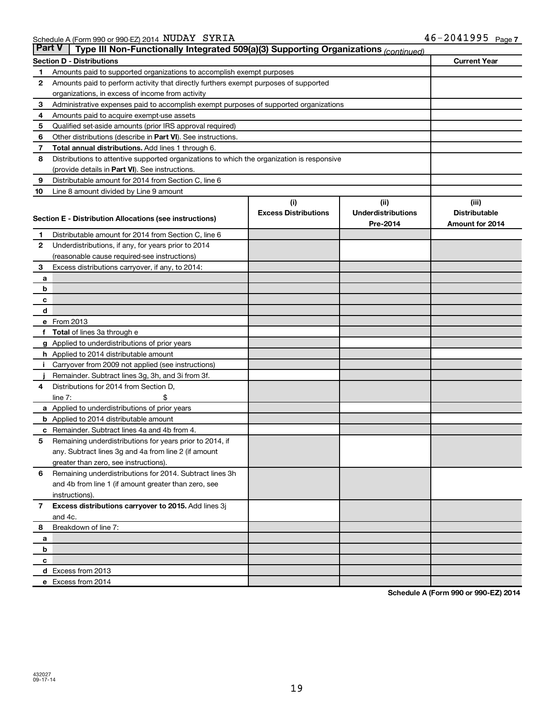| ∣ Part V∣    | Type III Non-Functionally Integrated 509(a)(3) Supporting Organizations (continued)        |                             |                           |                      |  |
|--------------|--------------------------------------------------------------------------------------------|-----------------------------|---------------------------|----------------------|--|
|              | <b>Section D - Distributions</b>                                                           |                             |                           | <b>Current Year</b>  |  |
| 1            | Amounts paid to supported organizations to accomplish exempt purposes                      |                             |                           |                      |  |
| 2            | Amounts paid to perform activity that directly furthers exempt purposes of supported       |                             |                           |                      |  |
|              | organizations, in excess of income from activity                                           |                             |                           |                      |  |
| 3            | Administrative expenses paid to accomplish exempt purposes of supported organizations      |                             |                           |                      |  |
| 4            | Amounts paid to acquire exempt-use assets                                                  |                             |                           |                      |  |
| 5            | Qualified set-aside amounts (prior IRS approval required)                                  |                             |                           |                      |  |
| 6            | Other distributions (describe in Part VI). See instructions.                               |                             |                           |                      |  |
| 7            | <b>Total annual distributions.</b> Add lines 1 through 6.                                  |                             |                           |                      |  |
| 8            | Distributions to attentive supported organizations to which the organization is responsive |                             |                           |                      |  |
|              | (provide details in Part VI). See instructions.                                            |                             |                           |                      |  |
| 9            | Distributable amount for 2014 from Section C, line 6                                       |                             |                           |                      |  |
| 10           | Line 8 amount divided by Line 9 amount                                                     |                             |                           |                      |  |
|              |                                                                                            | (i)                         | (i)                       | (iii)                |  |
|              | Section E - Distribution Allocations (see instructions)                                    | <b>Excess Distributions</b> | <b>Underdistributions</b> | <b>Distributable</b> |  |
|              |                                                                                            |                             | Pre-2014                  | Amount for 2014      |  |
| 1            | Distributable amount for 2014 from Section C, line 6                                       |                             |                           |                      |  |
| $\mathbf{2}$ | Underdistributions, if any, for years prior to 2014                                        |                             |                           |                      |  |
|              | (reasonable cause required-see instructions)                                               |                             |                           |                      |  |
| 3            | Excess distributions carryover, if any, to 2014:                                           |                             |                           |                      |  |
| a            |                                                                                            |                             |                           |                      |  |
| b            |                                                                                            |                             |                           |                      |  |
| с            |                                                                                            |                             |                           |                      |  |
| d            | e From 2013                                                                                |                             |                           |                      |  |
| f            | <b>Total</b> of lines 3a through e                                                         |                             |                           |                      |  |
|              | g Applied to underdistributions of prior years                                             |                             |                           |                      |  |
|              | h Applied to 2014 distributable amount                                                     |                             |                           |                      |  |
|              | Carryover from 2009 not applied (see instructions)                                         |                             |                           |                      |  |
|              | Remainder. Subtract lines 3g, 3h, and 3i from 3f.                                          |                             |                           |                      |  |
| 4            | Distributions for 2014 from Section D,                                                     |                             |                           |                      |  |
|              | line $7:$                                                                                  |                             |                           |                      |  |
|              | a Applied to underdistributions of prior years                                             |                             |                           |                      |  |
|              | <b>b</b> Applied to 2014 distributable amount                                              |                             |                           |                      |  |
| с            | Remainder. Subtract lines 4a and 4b from 4.                                                |                             |                           |                      |  |
| 5            | Remaining underdistributions for years prior to 2014, if                                   |                             |                           |                      |  |
|              | any. Subtract lines 3g and 4a from line 2 (if amount                                       |                             |                           |                      |  |
|              | greater than zero, see instructions).                                                      |                             |                           |                      |  |
| 6            | Remaining underdistributions for 2014. Subtract lines 3h                                   |                             |                           |                      |  |
|              | and 4b from line 1 (if amount greater than zero, see                                       |                             |                           |                      |  |
|              | instructions).                                                                             |                             |                           |                      |  |
| $\mathbf{7}$ | Excess distributions carryover to 2015. Add lines 3j                                       |                             |                           |                      |  |
|              | and 4c.                                                                                    |                             |                           |                      |  |
| 8            | Breakdown of line 7:                                                                       |                             |                           |                      |  |
| а            |                                                                                            |                             |                           |                      |  |
| b            |                                                                                            |                             |                           |                      |  |
| c            |                                                                                            |                             |                           |                      |  |
|              | d Excess from 2013                                                                         |                             |                           |                      |  |
|              | e Excess from 2014                                                                         |                             |                           |                      |  |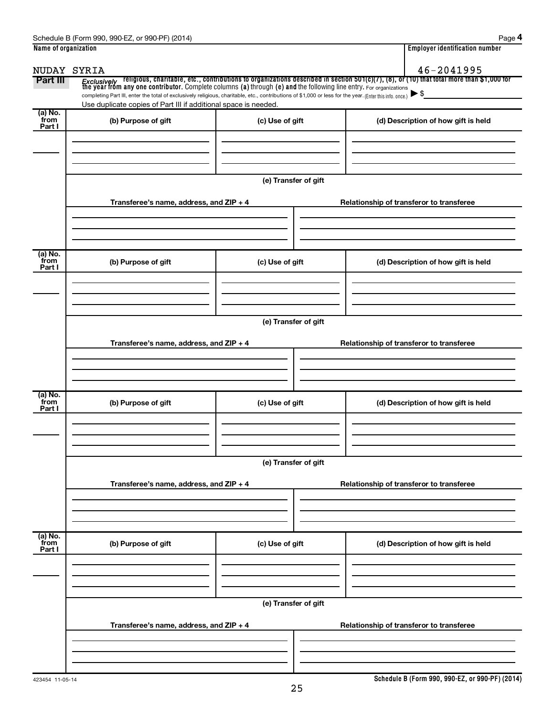| Name of organization      |                                                                                                                                                                                                                             |                      | <b>Employer identification number</b>                                                                                                                                                                                                   |
|---------------------------|-----------------------------------------------------------------------------------------------------------------------------------------------------------------------------------------------------------------------------|----------------------|-----------------------------------------------------------------------------------------------------------------------------------------------------------------------------------------------------------------------------------------|
| NUDAY SYRIA               |                                                                                                                                                                                                                             |                      | 46-2041995                                                                                                                                                                                                                              |
| Part III                  | completing Part III, enter the total of exclusively religious, charitable, etc., contributions of \$1,000 or less for the year. (Enter this info. once.)<br>Use duplicate copies of Part III if additional space is needed. |                      | <i>Exclusively</i> religious, charitable, etc., contributions to organizations described in section 501(c)(7), (8), or (10) that total more than \$1,000 for<br>the year from any one contributor. Complete columns (a) through (e) and |
| (a) No.<br>from<br>Part I | (b) Purpose of gift                                                                                                                                                                                                         | (c) Use of gift      | (d) Description of how gift is held                                                                                                                                                                                                     |
|                           |                                                                                                                                                                                                                             |                      |                                                                                                                                                                                                                                         |
|                           | Transferee's name, address, and ZIP + 4                                                                                                                                                                                     | (e) Transfer of gift | Relationship of transferor to transferee                                                                                                                                                                                                |
|                           |                                                                                                                                                                                                                             |                      |                                                                                                                                                                                                                                         |
| (a) No.<br>from<br>Part I | (b) Purpose of gift                                                                                                                                                                                                         | (c) Use of gift      | (d) Description of how gift is held                                                                                                                                                                                                     |
|                           |                                                                                                                                                                                                                             |                      |                                                                                                                                                                                                                                         |
|                           | Transferee's name, address, and ZIP + 4                                                                                                                                                                                     | (e) Transfer of gift | Relationship of transferor to transferee                                                                                                                                                                                                |
|                           |                                                                                                                                                                                                                             |                      |                                                                                                                                                                                                                                         |
| (a) No.<br>from<br>Part I | (b) Purpose of gift                                                                                                                                                                                                         | (c) Use of gift      | (d) Description of how gift is held                                                                                                                                                                                                     |
|                           |                                                                                                                                                                                                                             | (e) Transfer of gift |                                                                                                                                                                                                                                         |
|                           | Transferee's name, address, and ZIP + 4                                                                                                                                                                                     |                      | Relationship of transferor to transferee                                                                                                                                                                                                |
|                           |                                                                                                                                                                                                                             |                      |                                                                                                                                                                                                                                         |
| (a) No.<br>from<br>Part I | (b) Purpose of gift                                                                                                                                                                                                         | (c) Use of gift      | (d) Description of how gift is held                                                                                                                                                                                                     |
|                           |                                                                                                                                                                                                                             | (e) Transfer of gift |                                                                                                                                                                                                                                         |
|                           | Transferee's name, address, and ZIP + 4                                                                                                                                                                                     |                      | Relationship of transferor to transferee                                                                                                                                                                                                |
|                           |                                                                                                                                                                                                                             |                      |                                                                                                                                                                                                                                         |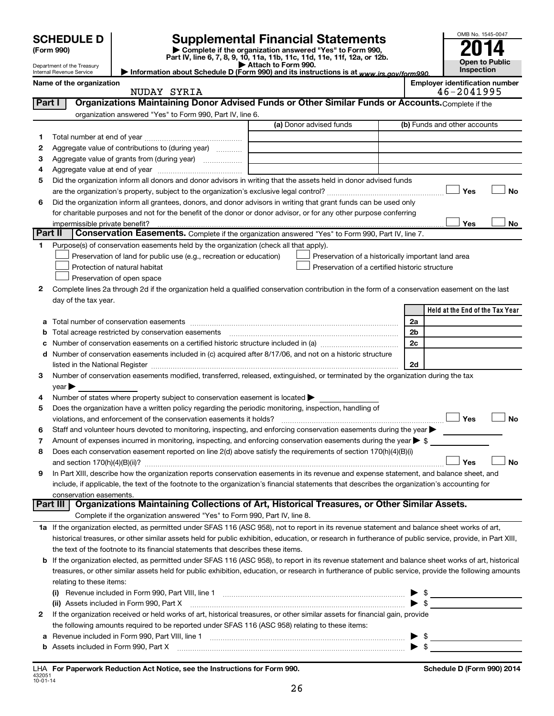|        | <b>SCHEDULE D</b>                                                                                                                    |                                                                                                        |                                                                                                                                                            |    | OMB No. 1545-0047                     |  |
|--------|--------------------------------------------------------------------------------------------------------------------------------------|--------------------------------------------------------------------------------------------------------|------------------------------------------------------------------------------------------------------------------------------------------------------------|----|---------------------------------------|--|
|        | <b>Supplemental Financial Statements</b><br>(Form 990)                                                                               |                                                                                                        |                                                                                                                                                            |    |                                       |  |
|        | Complete if the organization answered "Yes" to Form 990,<br>Part IV, line 6, 7, 8, 9, 10, 11a, 11b, 11c, 11d, 11e, 11f, 12a, or 12b. |                                                                                                        |                                                                                                                                                            |    |                                       |  |
|        | Department of the Treasury<br>Internal Revenue Service                                                                               |                                                                                                        | Attach to Form 990.<br>Information about Schedule D (Form 990) and its instructions is at www.irs.gov/form990.                                             |    | <b>Open to Public</b><br>Inspection   |  |
|        | Name of the organization                                                                                                             |                                                                                                        |                                                                                                                                                            |    | <b>Employer identification number</b> |  |
|        |                                                                                                                                      | NUDAY SYRIA                                                                                            |                                                                                                                                                            |    | 46-2041995                            |  |
| Part I |                                                                                                                                      |                                                                                                        | Organizations Maintaining Donor Advised Funds or Other Similar Funds or Accounts. Complete if the                                                          |    |                                       |  |
|        |                                                                                                                                      | organization answered "Yes" to Form 990, Part IV, line 6.                                              |                                                                                                                                                            |    |                                       |  |
|        |                                                                                                                                      |                                                                                                        | (a) Donor advised funds                                                                                                                                    |    | (b) Funds and other accounts          |  |
| 1      |                                                                                                                                      |                                                                                                        |                                                                                                                                                            |    |                                       |  |
| 2      |                                                                                                                                      | Aggregate value of contributions to (during year)                                                      |                                                                                                                                                            |    |                                       |  |
| з      |                                                                                                                                      |                                                                                                        |                                                                                                                                                            |    |                                       |  |
| 4      |                                                                                                                                      |                                                                                                        |                                                                                                                                                            |    |                                       |  |
| 5      |                                                                                                                                      |                                                                                                        | Did the organization inform all donors and donor advisors in writing that the assets held in donor advised funds                                           |    |                                       |  |
|        |                                                                                                                                      |                                                                                                        |                                                                                                                                                            |    | Yes<br>No                             |  |
| 6      |                                                                                                                                      |                                                                                                        | Did the organization inform all grantees, donors, and donor advisors in writing that grant funds can be used only                                          |    |                                       |  |
|        |                                                                                                                                      |                                                                                                        | for charitable purposes and not for the benefit of the donor or donor advisor, or for any other purpose conferring                                         |    |                                       |  |
|        | impermissible private benefit?                                                                                                       |                                                                                                        |                                                                                                                                                            |    | Yes<br>No                             |  |
|        | Part II                                                                                                                              |                                                                                                        | Conservation Easements. Complete if the organization answered "Yes" to Form 990, Part IV, line 7.                                                          |    |                                       |  |
| 1.     |                                                                                                                                      | Purpose(s) of conservation easements held by the organization (check all that apply).                  |                                                                                                                                                            |    |                                       |  |
|        |                                                                                                                                      | Preservation of land for public use (e.g., recreation or education)                                    | Preservation of a historically important land area                                                                                                         |    |                                       |  |
|        |                                                                                                                                      | Protection of natural habitat                                                                          | Preservation of a certified historic structure                                                                                                             |    |                                       |  |
|        |                                                                                                                                      | Preservation of open space                                                                             |                                                                                                                                                            |    |                                       |  |
| 2      |                                                                                                                                      |                                                                                                        | Complete lines 2a through 2d if the organization held a qualified conservation contribution in the form of a conservation easement on the last             |    |                                       |  |
|        | day of the tax year.                                                                                                                 |                                                                                                        |                                                                                                                                                            |    |                                       |  |
|        |                                                                                                                                      |                                                                                                        |                                                                                                                                                            |    | Held at the End of the Tax Year       |  |
|        |                                                                                                                                      | Total number of conservation easements                                                                 |                                                                                                                                                            | 2a |                                       |  |
|        |                                                                                                                                      |                                                                                                        |                                                                                                                                                            | 2b |                                       |  |
|        |                                                                                                                                      |                                                                                                        |                                                                                                                                                            | 2c |                                       |  |
|        |                                                                                                                                      |                                                                                                        | d Number of conservation easements included in (c) acquired after 8/17/06, and not on a historic structure                                                 |    |                                       |  |
|        |                                                                                                                                      |                                                                                                        | listed in the National Register [11, 120] and the National Register [11, 120] and the National Register [11, 1                                             | 2d |                                       |  |
| 3      |                                                                                                                                      |                                                                                                        | Number of conservation easements modified, transferred, released, extinguished, or terminated by the organization during the tax                           |    |                                       |  |
|        | year                                                                                                                                 |                                                                                                        |                                                                                                                                                            |    |                                       |  |
| 4      |                                                                                                                                      | Number of states where property subject to conservation easement is located $\blacktriangleright$      |                                                                                                                                                            |    |                                       |  |
| 5      |                                                                                                                                      | Does the organization have a written policy regarding the periodic monitoring, inspection, handling of |                                                                                                                                                            |    |                                       |  |
|        |                                                                                                                                      | violations, and enforcement of the conservation easements it holds?                                    |                                                                                                                                                            |    | Yes<br>No                             |  |
| 6      |                                                                                                                                      |                                                                                                        | Staff and volunteer hours devoted to monitoring, inspecting, and enforcing conservation easements during the year $\blacktriangleright$                    |    |                                       |  |
|        |                                                                                                                                      |                                                                                                        | Amount of expenses incurred in monitoring, inspecting, and enforcing conservation easements during the year $\triangleright$ \$                            |    |                                       |  |
| 8      |                                                                                                                                      |                                                                                                        | Does each conservation easement reported on line 2(d) above satisfy the requirements of section 170(h)(4)(B)(i)                                            |    |                                       |  |
|        | and section $170(h)(4)(B)(ii)?$                                                                                                      |                                                                                                        |                                                                                                                                                            |    | Yes<br><b>No</b>                      |  |
| 9      |                                                                                                                                      |                                                                                                        | In Part XIII, describe how the organization reports conservation easements in its revenue and expense statement, and balance sheet, and                    |    |                                       |  |
|        |                                                                                                                                      |                                                                                                        | include, if applicable, the text of the footnote to the organization's financial statements that describes the organization's accounting for               |    |                                       |  |
|        | conservation easements.                                                                                                              |                                                                                                        |                                                                                                                                                            |    |                                       |  |
|        | Part III                                                                                                                             |                                                                                                        | Organizations Maintaining Collections of Art, Historical Treasures, or Other Similar Assets.                                                               |    |                                       |  |
|        |                                                                                                                                      | Complete if the organization answered "Yes" to Form 990, Part IV, line 8.                              |                                                                                                                                                            |    |                                       |  |
|        |                                                                                                                                      |                                                                                                        | 1a If the organization elected, as permitted under SFAS 116 (ASC 958), not to report in its revenue statement and balance sheet works of art,              |    |                                       |  |
|        |                                                                                                                                      |                                                                                                        | historical treasures, or other similar assets held for public exhibition, education, or research in furtherance of public service, provide, in Part XIII,  |    |                                       |  |
|        |                                                                                                                                      | the text of the footnote to its financial statements that describes these items.                       |                                                                                                                                                            |    |                                       |  |
|        |                                                                                                                                      |                                                                                                        | <b>b</b> If the organization elected, as permitted under SFAS 116 (ASC 958), to report in its revenue statement and balance sheet works of art, historical |    |                                       |  |
|        |                                                                                                                                      |                                                                                                        | treasures, or other similar assets held for public exhibition, education, or research in furtherance of public service, provide the following amounts      |    |                                       |  |
|        | relating to these items:                                                                                                             |                                                                                                        |                                                                                                                                                            |    |                                       |  |
|        |                                                                                                                                      |                                                                                                        |                                                                                                                                                            |    | \$                                    |  |
|        |                                                                                                                                      |                                                                                                        |                                                                                                                                                            |    |                                       |  |
|        |                                                                                                                                      |                                                                                                        | examization received or hold works of art, bistorical treasures, or other similar assets for financial gain, provide                                       |    |                                       |  |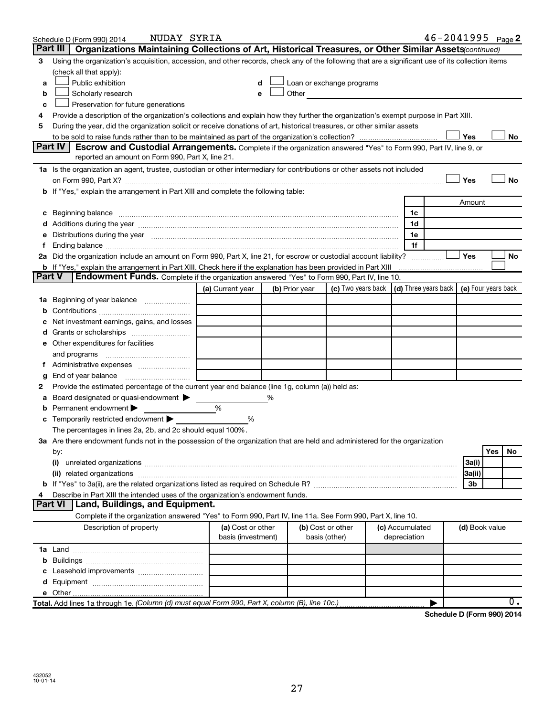|        | NUDAY SYRIA<br>Schedule D (Form 990) 2014                                                                                                                                                                                      |                    |                |                                                                                                                                                                                                                               |                                 |                                            |                | $46 - 2041995$ Page 2 |
|--------|--------------------------------------------------------------------------------------------------------------------------------------------------------------------------------------------------------------------------------|--------------------|----------------|-------------------------------------------------------------------------------------------------------------------------------------------------------------------------------------------------------------------------------|---------------------------------|--------------------------------------------|----------------|-----------------------|
|        | Organizations Maintaining Collections of Art, Historical Treasures, or Other Similar Assets(continued)<br>Part III                                                                                                             |                    |                |                                                                                                                                                                                                                               |                                 |                                            |                |                       |
| З      | Using the organization's acquisition, accession, and other records, check any of the following that are a significant use of its collection items                                                                              |                    |                |                                                                                                                                                                                                                               |                                 |                                            |                |                       |
|        | (check all that apply):                                                                                                                                                                                                        |                    |                |                                                                                                                                                                                                                               |                                 |                                            |                |                       |
| a      | Public exhibition                                                                                                                                                                                                              | d                  |                | Loan or exchange programs                                                                                                                                                                                                     |                                 |                                            |                |                       |
| b      | Scholarly research                                                                                                                                                                                                             | е                  |                | Other and the contract of the contract of the contract of the contract of the contract of the contract of the contract of the contract of the contract of the contract of the contract of the contract of the contract of the |                                 |                                            |                |                       |
| c      | Preservation for future generations                                                                                                                                                                                            |                    |                |                                                                                                                                                                                                                               |                                 |                                            |                |                       |
| 4      | Provide a description of the organization's collections and explain how they further the organization's exempt purpose in Part XIII.                                                                                           |                    |                |                                                                                                                                                                                                                               |                                 |                                            |                |                       |
| 5      | During the year, did the organization solicit or receive donations of art, historical treasures, or other similar assets                                                                                                       |                    |                |                                                                                                                                                                                                                               |                                 |                                            |                |                       |
|        |                                                                                                                                                                                                                                |                    |                |                                                                                                                                                                                                                               |                                 |                                            | Yes            | No                    |
|        | <b>Part IV</b><br>Escrow and Custodial Arrangements. Complete if the organization answered "Yes" to Form 990, Part IV, line 9, or                                                                                              |                    |                |                                                                                                                                                                                                                               |                                 |                                            |                |                       |
|        | reported an amount on Form 990, Part X, line 21.                                                                                                                                                                               |                    |                |                                                                                                                                                                                                                               |                                 |                                            |                |                       |
|        | 1a Is the organization an agent, trustee, custodian or other intermediary for contributions or other assets not included                                                                                                       |                    |                |                                                                                                                                                                                                                               |                                 |                                            |                |                       |
|        |                                                                                                                                                                                                                                |                    |                |                                                                                                                                                                                                                               |                                 |                                            | Yes            | <b>No</b>             |
|        | If "Yes," explain the arrangement in Part XIII and complete the following table:                                                                                                                                               |                    |                |                                                                                                                                                                                                                               |                                 |                                            |                |                       |
|        |                                                                                                                                                                                                                                |                    |                |                                                                                                                                                                                                                               |                                 |                                            | Amount         |                       |
| c      | Beginning balance measurements and contain the contract of the contract of the contract of the contract of the                                                                                                                 |                    |                |                                                                                                                                                                                                                               | 1c                              |                                            |                |                       |
|        | Additions during the year manufactured and an account of the year and year and year and year and year and year                                                                                                                 |                    |                |                                                                                                                                                                                                                               | 1d                              |                                            |                |                       |
| е      | Distributions during the year manufactured and continuum control of the year manufactured and the year manufactured and the state of the state of the state of the state of the state of the state of the state of the state o |                    |                |                                                                                                                                                                                                                               | 1e                              |                                            |                |                       |
|        |                                                                                                                                                                                                                                |                    |                |                                                                                                                                                                                                                               | 1f                              |                                            |                |                       |
|        | 2a Did the organization include an amount on Form 990, Part X, line 21, for escrow or custodial account liability?                                                                                                             |                    |                |                                                                                                                                                                                                                               |                                 |                                            | Yes            | No                    |
|        | <b>b</b> If "Yes," explain the arrangement in Part XIII. Check here if the explanation has been provided in Part XIII                                                                                                          |                    |                |                                                                                                                                                                                                                               |                                 |                                            |                |                       |
| Part V | <b>Endowment Funds.</b> Complete if the organization answered "Yes" to Form 990, Part IV, line 10.                                                                                                                             |                    |                |                                                                                                                                                                                                                               |                                 |                                            |                |                       |
|        |                                                                                                                                                                                                                                | (a) Current year   | (b) Prior year | (c) Two years back                                                                                                                                                                                                            |                                 | (d) Three years back   (e) Four years back |                |                       |
| 1а     | Beginning of year balance                                                                                                                                                                                                      |                    |                |                                                                                                                                                                                                                               |                                 |                                            |                |                       |
|        |                                                                                                                                                                                                                                |                    |                |                                                                                                                                                                                                                               |                                 |                                            |                |                       |
|        | Net investment earnings, gains, and losses                                                                                                                                                                                     |                    |                |                                                                                                                                                                                                                               |                                 |                                            |                |                       |
|        |                                                                                                                                                                                                                                |                    |                |                                                                                                                                                                                                                               |                                 |                                            |                |                       |
|        | e Other expenditures for facilities                                                                                                                                                                                            |                    |                |                                                                                                                                                                                                                               |                                 |                                            |                |                       |
|        | and programs                                                                                                                                                                                                                   |                    |                |                                                                                                                                                                                                                               |                                 |                                            |                |                       |
|        |                                                                                                                                                                                                                                |                    |                |                                                                                                                                                                                                                               |                                 |                                            |                |                       |
| g      | End of year balance                                                                                                                                                                                                            |                    |                |                                                                                                                                                                                                                               |                                 |                                            |                |                       |
| 2      | Provide the estimated percentage of the current year end balance (line 1g, column (a)) held as:                                                                                                                                |                    |                |                                                                                                                                                                                                                               |                                 |                                            |                |                       |
|        | Board designated or quasi-endowment                                                                                                                                                                                            |                    | ℅              |                                                                                                                                                                                                                               |                                 |                                            |                |                       |
|        | Permanent endowment                                                                                                                                                                                                            | %                  |                |                                                                                                                                                                                                                               |                                 |                                            |                |                       |
| с      | Temporarily restricted endowment                                                                                                                                                                                               | %                  |                |                                                                                                                                                                                                                               |                                 |                                            |                |                       |
|        | The percentages in lines 2a, 2b, and 2c should equal 100%.                                                                                                                                                                     |                    |                |                                                                                                                                                                                                                               |                                 |                                            |                |                       |
|        | 3a Are there endowment funds not in the possession of the organization that are held and administered for the organization                                                                                                     |                    |                |                                                                                                                                                                                                                               |                                 |                                            |                |                       |
|        | by:                                                                                                                                                                                                                            |                    |                |                                                                                                                                                                                                                               |                                 |                                            |                | Yes<br>No             |
|        | (i)                                                                                                                                                                                                                            |                    |                |                                                                                                                                                                                                                               |                                 |                                            | 3a(i)          |                       |
|        |                                                                                                                                                                                                                                |                    |                |                                                                                                                                                                                                                               |                                 |                                            | 3a(ii)         |                       |
|        |                                                                                                                                                                                                                                |                    |                |                                                                                                                                                                                                                               |                                 |                                            | 3b             |                       |
|        | Describe in Part XIII the intended uses of the organization's endowment funds.<br>Land, Buildings, and Equipment.<br><b>Part VI</b>                                                                                            |                    |                |                                                                                                                                                                                                                               |                                 |                                            |                |                       |
|        | Complete if the organization answered "Yes" to Form 990, Part IV, line 11a. See Form 990, Part X, line 10.                                                                                                                     |                    |                |                                                                                                                                                                                                                               |                                 |                                            |                |                       |
|        | Description of property                                                                                                                                                                                                        | (a) Cost or other  |                |                                                                                                                                                                                                                               |                                 |                                            |                |                       |
|        |                                                                                                                                                                                                                                | basis (investment) |                | (b) Cost or other<br>basis (other)                                                                                                                                                                                            | (c) Accumulated<br>depreciation |                                            | (d) Book value |                       |
|        |                                                                                                                                                                                                                                |                    |                |                                                                                                                                                                                                                               |                                 |                                            |                |                       |
| b      |                                                                                                                                                                                                                                |                    |                |                                                                                                                                                                                                                               |                                 |                                            |                |                       |
|        |                                                                                                                                                                                                                                |                    |                |                                                                                                                                                                                                                               |                                 |                                            |                |                       |
|        |                                                                                                                                                                                                                                |                    |                |                                                                                                                                                                                                                               |                                 |                                            |                |                       |
|        |                                                                                                                                                                                                                                |                    |                |                                                                                                                                                                                                                               |                                 |                                            |                |                       |
|        | Total. Add lines 1a through 1e. (Column (d) must equal Form 990, Part X, column (B), line 10c.)                                                                                                                                |                    |                |                                                                                                                                                                                                                               |                                 |                                            |                | 0.                    |
|        |                                                                                                                                                                                                                                |                    |                |                                                                                                                                                                                                                               |                                 |                                            |                |                       |

**Schedule D (Form 990) 2014**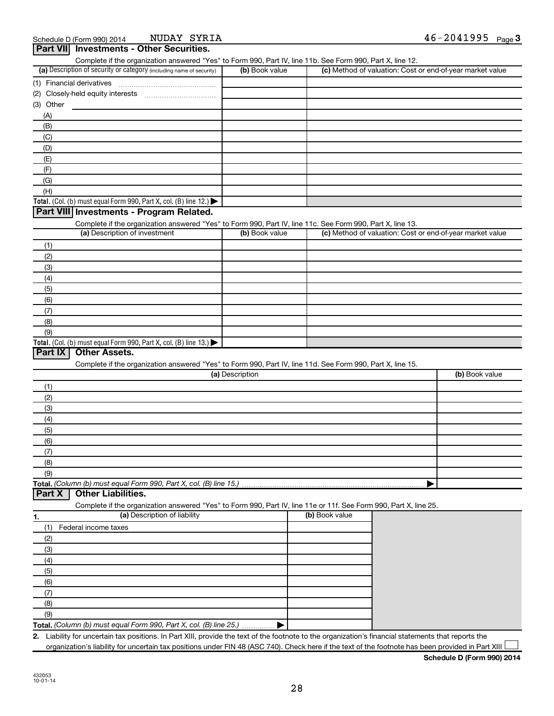| Part VII Investments - Other Securities.                                                                                                                                           |                 |                                                           |                |
|------------------------------------------------------------------------------------------------------------------------------------------------------------------------------------|-----------------|-----------------------------------------------------------|----------------|
| Complete if the organization answered "Yes" to Form 990, Part IV, line 11b. See Form 990, Part X, line 12.<br>(a) Description of security or category (including name of security) | (b) Book value  | (c) Method of valuation: Cost or end-of-year market value |                |
|                                                                                                                                                                                    |                 |                                                           |                |
| (2)                                                                                                                                                                                |                 |                                                           |                |
| $(3)$ Other                                                                                                                                                                        |                 |                                                           |                |
| (A)                                                                                                                                                                                |                 |                                                           |                |
| (B)                                                                                                                                                                                |                 |                                                           |                |
| (C)                                                                                                                                                                                |                 |                                                           |                |
| (D)                                                                                                                                                                                |                 |                                                           |                |
| (E)                                                                                                                                                                                |                 |                                                           |                |
| (F)                                                                                                                                                                                |                 |                                                           |                |
| (G)                                                                                                                                                                                |                 |                                                           |                |
| (H)                                                                                                                                                                                |                 |                                                           |                |
| Total. (Col. (b) must equal Form 990, Part X, col. (B) line 12.)                                                                                                                   |                 |                                                           |                |
| Part VIII Investments - Program Related.                                                                                                                                           |                 |                                                           |                |
| Complete if the organization answered "Yes" to Form 990, Part IV, line 11c. See Form 990, Part X, line 13.                                                                         |                 |                                                           |                |
| (a) Description of investment                                                                                                                                                      | (b) Book value  | (c) Method of valuation: Cost or end-of-year market value |                |
| (1)                                                                                                                                                                                |                 |                                                           |                |
| (2)                                                                                                                                                                                |                 |                                                           |                |
| (3)                                                                                                                                                                                |                 |                                                           |                |
| (4)                                                                                                                                                                                |                 |                                                           |                |
| (5)                                                                                                                                                                                |                 |                                                           |                |
| (6)                                                                                                                                                                                |                 |                                                           |                |
| (7)                                                                                                                                                                                |                 |                                                           |                |
| (8)                                                                                                                                                                                |                 |                                                           |                |
| (9)                                                                                                                                                                                |                 |                                                           |                |
| Total. (Col. (b) must equal Form 990, Part X, col. (B) line 13.)                                                                                                                   |                 |                                                           |                |
| Part IX<br><b>Other Assets.</b>                                                                                                                                                    |                 |                                                           |                |
| Complete if the organization answered "Yes" to Form 990, Part IV, line 11d. See Form 990, Part X, line 15.                                                                         |                 |                                                           |                |
|                                                                                                                                                                                    | (a) Description |                                                           | (b) Book value |
| (1)                                                                                                                                                                                |                 |                                                           |                |
| (2)                                                                                                                                                                                |                 |                                                           |                |
| (3)                                                                                                                                                                                |                 |                                                           |                |
| (4)                                                                                                                                                                                |                 |                                                           |                |
| (5)                                                                                                                                                                                |                 |                                                           |                |
| (6)                                                                                                                                                                                |                 |                                                           |                |
| (7)                                                                                                                                                                                |                 |                                                           |                |
| (8)                                                                                                                                                                                |                 |                                                           |                |
| (9)                                                                                                                                                                                |                 |                                                           |                |
| Total. (Column (b) must equal Form 990, Part X, col. (B) line 15.)                                                                                                                 |                 |                                                           |                |
| <b>Other Liabilities.</b><br>Part X                                                                                                                                                |                 |                                                           |                |
| Complete if the organization answered "Yes" to Form 990, Part IV, line 11e or 11f. See Form 990, Part X, line 25.<br>(a) Description of liability                                  |                 | (b) Book value                                            |                |
| 1.                                                                                                                                                                                 |                 |                                                           |                |
| Federal income taxes<br>(1)<br>(2)                                                                                                                                                 |                 |                                                           |                |
| (3)                                                                                                                                                                                |                 |                                                           |                |
| (4)                                                                                                                                                                                |                 |                                                           |                |
|                                                                                                                                                                                    |                 |                                                           |                |
| (5)                                                                                                                                                                                |                 |                                                           |                |
| (6)                                                                                                                                                                                |                 |                                                           |                |
| (7)                                                                                                                                                                                |                 |                                                           |                |
| (8)                                                                                                                                                                                |                 |                                                           |                |
| (9)                                                                                                                                                                                |                 |                                                           |                |
| Total. (Column (b) must equal Form 990, Part X, col. (B) line 25.)                                                                                                                 |                 |                                                           |                |
| 2. Liability for uncertain tax positions. In Part XIII, provide the text of the footnote to the organization's financial statements that reports the                               |                 |                                                           |                |

organization's liability for uncertain tax positions under FIN 48 (ASC 740). Check here if the text of the footnote has been provided in Part XIII

**Schedule D (Form 990) 2014**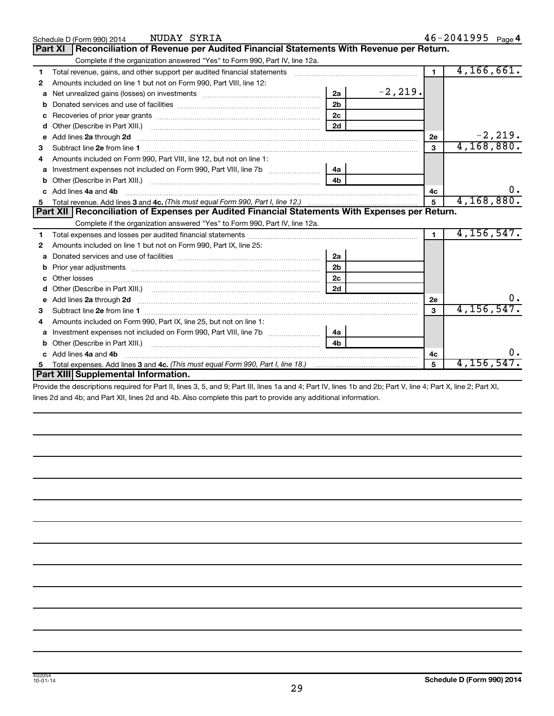|   | NUDAY SYRIA<br>Schedule D (Form 990) 2014                                                                                                                                                                                            |                |            |                | $46 - 2041995$ Page 4 |            |
|---|--------------------------------------------------------------------------------------------------------------------------------------------------------------------------------------------------------------------------------------|----------------|------------|----------------|-----------------------|------------|
|   | Reconciliation of Revenue per Audited Financial Statements With Revenue per Return.<br><b>Part XI</b>                                                                                                                                |                |            |                |                       |            |
|   | Complete if the organization answered "Yes" to Form 990, Part IV, line 12a.                                                                                                                                                          |                |            |                |                       |            |
| 1 | Total revenue, gains, and other support per audited financial statements [[[[[[[[[[[[[[[[[[[[[[[[[]]]]]]]]]]]                                                                                                                        |                |            | $\mathbf 1$    | 4, 166, 661.          |            |
| 2 | Amounts included on line 1 but not on Form 990, Part VIII, line 12:                                                                                                                                                                  |                |            |                |                       |            |
| a | Net unrealized gains (losses) on investments [111] Net unrealized mains (losses) on investments [11] Morten mains and the unrealized mains and the unrealized mains and the unrealized mains and the unrealized mains and the        | 2a             | $-2, 219.$ |                |                       |            |
| b |                                                                                                                                                                                                                                      | 2 <sub>b</sub> |            |                |                       |            |
| c |                                                                                                                                                                                                                                      | 2 <sub>c</sub> |            |                |                       |            |
| d |                                                                                                                                                                                                                                      | 2d             |            |                |                       |            |
| е | Add lines 2a through 2d <b>continuum continuum contract and all the contract and all the contract and all the contract and all the contract of the contract of the contract of the contract of the contract of the contract of t</b> |                |            | 2e             |                       | $-2, 219.$ |
| з |                                                                                                                                                                                                                                      |                |            | 3              | 4, 168, 880.          |            |
|   | Amounts included on Form 990, Part VIII, line 12, but not on line 1:                                                                                                                                                                 |                |            |                |                       |            |
| a |                                                                                                                                                                                                                                      | 4a             |            |                |                       |            |
| b |                                                                                                                                                                                                                                      |                |            |                |                       |            |
|   | Add lines 4a and 4b                                                                                                                                                                                                                  |                |            | 4c             |                       | υ.         |
| 5 |                                                                                                                                                                                                                                      |                |            | 5              | 4,168,880.            |            |
|   | Part XII   Reconciliation of Expenses per Audited Financial Statements With Expenses per Return.                                                                                                                                     |                |            |                |                       |            |
|   | Complete if the organization answered "Yes" to Form 990, Part IV, line 12a.                                                                                                                                                          |                |            |                |                       |            |
| 1 |                                                                                                                                                                                                                                      |                |            | $\blacksquare$ | 4, 156, 547.          |            |
| 2 | Amounts included on line 1 but not on Form 990, Part IX, line 25:                                                                                                                                                                    |                |            |                |                       |            |
| a |                                                                                                                                                                                                                                      | 2a             |            |                |                       |            |
|   |                                                                                                                                                                                                                                      | 2 <sub>b</sub> |            |                |                       |            |
| c |                                                                                                                                                                                                                                      | 2 <sub>c</sub> |            |                |                       |            |
| d |                                                                                                                                                                                                                                      | 2d             |            |                |                       |            |
|   | Add lines 2a through 2d <b>contained a contained a contained a contained a</b> contained a contained a contact the set                                                                                                               |                |            | 2е             |                       |            |
| з |                                                                                                                                                                                                                                      |                |            | 3              | 4,156,547.            |            |
| 4 | Amounts included on Form 990, Part IX, line 25, but not on line 1:                                                                                                                                                                   |                |            |                |                       |            |
| a |                                                                                                                                                                                                                                      | 4a             |            |                |                       |            |
| b |                                                                                                                                                                                                                                      | 4b             |            |                |                       |            |
|   | Add lines 4a and 4b                                                                                                                                                                                                                  |                |            | 4c             |                       |            |
|   |                                                                                                                                                                                                                                      |                |            | 5              | $4,156,547$ .         |            |
|   | Part XIII Supplemental Information.                                                                                                                                                                                                  |                |            |                |                       |            |

Provide the descriptions required for Part II, lines 3, 5, and 9; Part III, lines 1a and 4; Part IV, lines 1b and 2b; Part V, line 4; Part X, line 2; Part XI, lines 2d and 4b; and Part XII, lines 2d and 4b. Also complete this part to provide any additional information.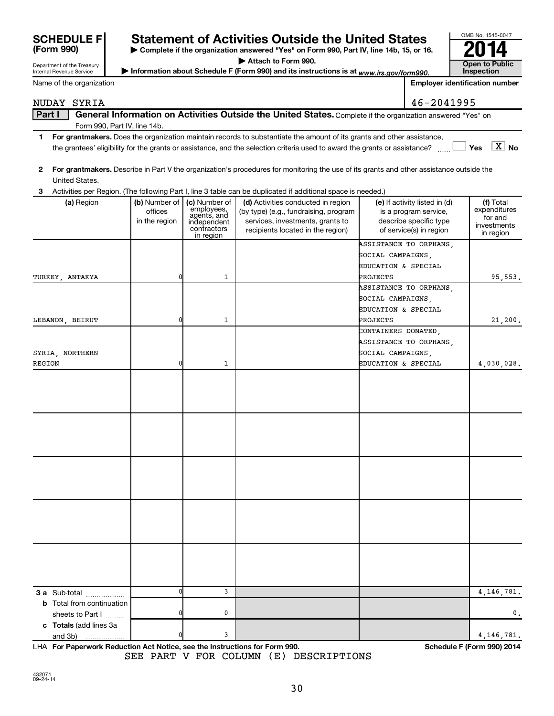| <b>SUNEDUL</b> |  |
|----------------|--|
| (Form 990)     |  |

## **SEXALLE FXTHES ISLES ISLES ARE DETELLED STATES STATES STATES STATES STATES STATES STATES STATES STATES STATES STATES STATES STATES STATES STATES STATES STATES STATES STATES STATES STATES STATES STATES STATES STATES STATES**

**| Complete if the organization answered "Yes" on Form 990, Part IV, line 14b, 15, or 16. | Attach to Form 990.**

Department of the Treasury Internal Revenue Service Name of the organization

| P Allach lo Form 990.                                                                     | Open to Public |
|-------------------------------------------------------------------------------------------|----------------|
| ► Information about Schedule F (Form 990) and its instructions is at www.irs.gov/form990. | Inspection     |

| OMB No. 1545-0047     |
|-----------------------|
|                       |
|                       |
| <b>Open to Public</b> |
| Inspection            |

**Employer identification number**

#### NUDAY SYRIA  $|46-2041995$

| Part I       |                                                                                                                                                            |               |                           | General Information on Activities Outside the United States. Complete if the organization answered "Yes" on                             |                               |                        |  |  |  |  |  |
|--------------|------------------------------------------------------------------------------------------------------------------------------------------------------------|---------------|---------------------------|-----------------------------------------------------------------------------------------------------------------------------------------|-------------------------------|------------------------|--|--|--|--|--|
|              | Form 990, Part IV, line 14b.                                                                                                                               |               |                           |                                                                                                                                         |                               |                        |  |  |  |  |  |
| 1.           | For grantmakers. Does the organization maintain records to substantiate the amount of its grants and other assistance,                                     |               |                           |                                                                                                                                         |                               |                        |  |  |  |  |  |
|              | $\boxed{\text{X}}$ No<br>Yes<br>the grantees' eligibility for the grants or assistance, and the selection criteria used to award the grants or assistance? |               |                           |                                                                                                                                         |                               |                        |  |  |  |  |  |
|              |                                                                                                                                                            |               |                           |                                                                                                                                         |                               |                        |  |  |  |  |  |
| $\mathbf{2}$ |                                                                                                                                                            |               |                           | For grantmakers. Describe in Part V the organization's procedures for monitoring the use of its grants and other assistance outside the |                               |                        |  |  |  |  |  |
|              | United States.                                                                                                                                             |               |                           |                                                                                                                                         |                               |                        |  |  |  |  |  |
| 3            |                                                                                                                                                            |               |                           | Activities per Region. (The following Part I, line 3 table can be duplicated if additional space is needed.)                            |                               |                        |  |  |  |  |  |
|              | (a) Region                                                                                                                                                 | (b) Number of | (c) Number of             | (d) Activities conducted in region                                                                                                      | (e) If activity listed in (d) | (f) Total              |  |  |  |  |  |
|              |                                                                                                                                                            | offices       | employees,<br>agents, and | (by type) (e.g., fundraising, program                                                                                                   | is a program service,         | expenditures           |  |  |  |  |  |
|              |                                                                                                                                                            | in the region | independent               | services, investments, grants to                                                                                                        | describe specific type        | for and<br>investments |  |  |  |  |  |
|              |                                                                                                                                                            |               | contractors<br>in region  | recipients located in the region)                                                                                                       | of service(s) in region       | in region              |  |  |  |  |  |
|              |                                                                                                                                                            |               |                           |                                                                                                                                         | ASSISTANCE TO ORPHANS,        |                        |  |  |  |  |  |
|              |                                                                                                                                                            |               |                           |                                                                                                                                         | SOCIAL CAMPAIGNS,             |                        |  |  |  |  |  |
|              |                                                                                                                                                            |               |                           |                                                                                                                                         | EDUCATION & SPECIAL           |                        |  |  |  |  |  |
|              | TURKEY, ANTAKYA                                                                                                                                            | 0             | $\mathbf{1}$              |                                                                                                                                         | PROJECTS                      | 95,553.                |  |  |  |  |  |
|              |                                                                                                                                                            |               |                           |                                                                                                                                         | ASSISTANCE TO ORPHANS,        |                        |  |  |  |  |  |
|              |                                                                                                                                                            |               |                           |                                                                                                                                         | SOCIAL CAMPAIGNS,             |                        |  |  |  |  |  |
|              |                                                                                                                                                            |               |                           |                                                                                                                                         | EDUCATION & SPECIAL           |                        |  |  |  |  |  |
|              | LEBANON, BEIRUT                                                                                                                                            | 0             | $\mathbf{1}$              |                                                                                                                                         | PROJECTS                      | 21,200.                |  |  |  |  |  |
|              |                                                                                                                                                            |               |                           |                                                                                                                                         | CONTAINERS DONATED,           |                        |  |  |  |  |  |
|              |                                                                                                                                                            |               |                           |                                                                                                                                         | ASSISTANCE TO ORPHANS,        |                        |  |  |  |  |  |
|              | SYRIA, NORTHERN                                                                                                                                            |               |                           |                                                                                                                                         | SOCIAL CAMPAIGNS,             |                        |  |  |  |  |  |
| REGION       |                                                                                                                                                            | 0             | $\mathbf{1}$              |                                                                                                                                         | EDUCATION & SPECIAL           |                        |  |  |  |  |  |
|              |                                                                                                                                                            |               |                           |                                                                                                                                         |                               | 4,030,028.             |  |  |  |  |  |
|              |                                                                                                                                                            |               |                           |                                                                                                                                         |                               |                        |  |  |  |  |  |
|              |                                                                                                                                                            |               |                           |                                                                                                                                         |                               |                        |  |  |  |  |  |
|              |                                                                                                                                                            |               |                           |                                                                                                                                         |                               |                        |  |  |  |  |  |
|              |                                                                                                                                                            |               |                           |                                                                                                                                         |                               |                        |  |  |  |  |  |
|              |                                                                                                                                                            |               |                           |                                                                                                                                         |                               |                        |  |  |  |  |  |
|              |                                                                                                                                                            |               |                           |                                                                                                                                         |                               |                        |  |  |  |  |  |
|              |                                                                                                                                                            |               |                           |                                                                                                                                         |                               |                        |  |  |  |  |  |
|              |                                                                                                                                                            |               |                           |                                                                                                                                         |                               |                        |  |  |  |  |  |
|              |                                                                                                                                                            |               |                           |                                                                                                                                         |                               |                        |  |  |  |  |  |
|              |                                                                                                                                                            |               |                           |                                                                                                                                         |                               |                        |  |  |  |  |  |
|              |                                                                                                                                                            |               |                           |                                                                                                                                         |                               |                        |  |  |  |  |  |
|              |                                                                                                                                                            |               |                           |                                                                                                                                         |                               |                        |  |  |  |  |  |
|              |                                                                                                                                                            |               |                           |                                                                                                                                         |                               |                        |  |  |  |  |  |
|              |                                                                                                                                                            |               |                           |                                                                                                                                         |                               |                        |  |  |  |  |  |
|              |                                                                                                                                                            |               |                           |                                                                                                                                         |                               |                        |  |  |  |  |  |
|              |                                                                                                                                                            |               |                           |                                                                                                                                         |                               |                        |  |  |  |  |  |
|              |                                                                                                                                                            |               |                           |                                                                                                                                         |                               |                        |  |  |  |  |  |
|              |                                                                                                                                                            |               |                           |                                                                                                                                         |                               |                        |  |  |  |  |  |
|              |                                                                                                                                                            |               |                           |                                                                                                                                         |                               |                        |  |  |  |  |  |
|              |                                                                                                                                                            |               |                           |                                                                                                                                         |                               |                        |  |  |  |  |  |
|              | 3 a Sub-total                                                                                                                                              | 0             | 3                         |                                                                                                                                         |                               | 4, 146, 781.           |  |  |  |  |  |
|              | <b>b</b> Total from continuation                                                                                                                           |               |                           |                                                                                                                                         |                               |                        |  |  |  |  |  |
|              | sheets to Part I                                                                                                                                           |               | 0                         |                                                                                                                                         |                               | 0.                     |  |  |  |  |  |
|              | c Totals (add lines 3a                                                                                                                                     |               |                           |                                                                                                                                         |                               |                        |  |  |  |  |  |

**For Paperwork Reduction Act Notice, see the Instructions for Form 990. Schedule F (Form 990) 2014** LHA SEE PART V FOR COLUMN (E) DESCRIPTIONS

and 3b)

0 3 4,146,781.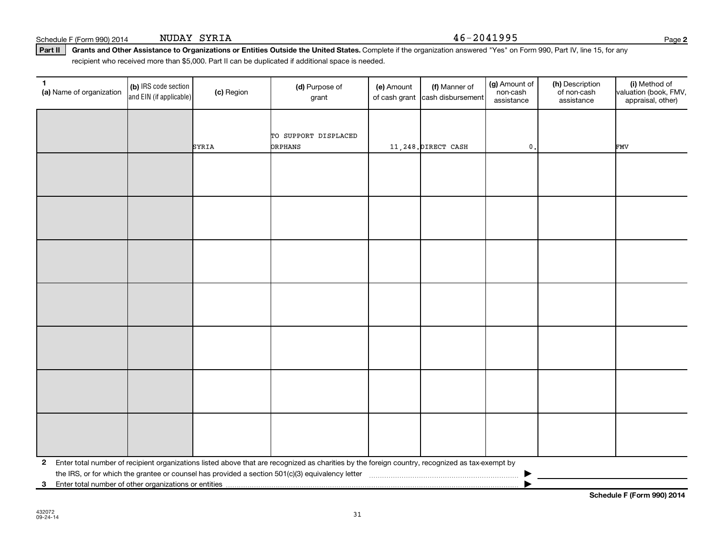Schedule F (Form 990) 2014 NUDAY SYRIA  $46-2041995$ 

(b) IRS code section and EIN (if applicable)

Part II | Grants and Other Assistance to Organizations or Entities Outside the United States. Complete if the organization answered "Yes" on Form 990, Part IV, line 15, for any recipient who received more than \$5,000. Part II can be duplicated if additional space is needed.

**(a)** Name of organization (b) IRS code section (c) Region (c) Region (d) Purpose of (e) Amount (f) Manner of (g) Amount of (h) Description (i) (a) Name of organization (f) IRS code section (c) Region (d) Purpose of (d) Am

(e) Amount

of cash grant |cash disbursement

SYRIA ORPHANS 11,248.DIRECT CASH 0. FMV

(f) Manner of

grant

TO SUPPORT DISPLACED

| 2 Enter total number of recipient organizations listed above that are recognized as charities by the foreign country, recognized as tax-exempt by |  |
|---------------------------------------------------------------------------------------------------------------------------------------------------|--|
| the IRS, or for which the grantee or counsel has provided a section 501(c)(3) equivalency letter                                                  |  |

31

**3** Enter total number of other organizations or entities |

**Schedule F (Form 990) 2014**

**2**

(i) Method of valuation (book, FMV, appraisal, other)

(g) Amount of non-cash assistance

(h) Description of non-cash assistance

(a) Name of organization  $\begin{bmatrix} \textbf{(b)} \\ \textbf{R} \textbf{S} \text{ code section} \end{bmatrix}$  (c) Region  $\begin{bmatrix} \textbf{(d)} \text{ Purpose of } \end{bmatrix}$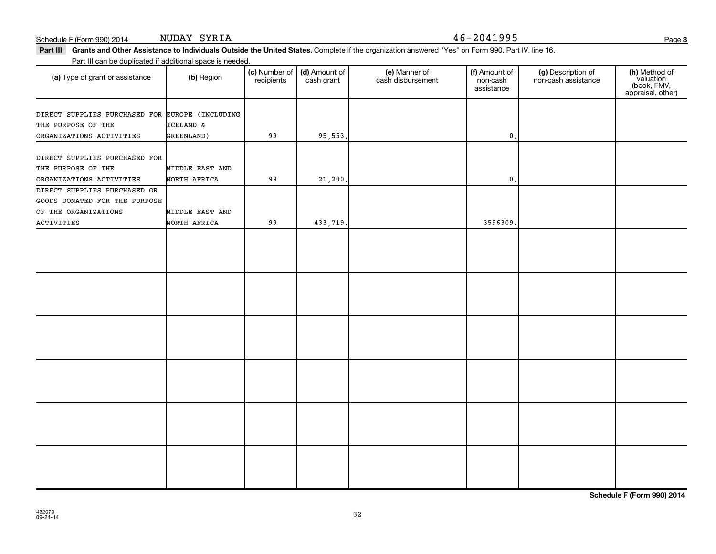### Schedule F (Form 990) 2014 NUDAY SYRIA 46-2041995

NUDAY SYRIA

**3**

Part III Grants and Other Assistance to Individuals Outside the United States. Complete if the organization answered "Yes" on Form 990, Part IV, line 16. Part III can be duplicated if additional space is needed.

| r are in barribo daphoatoa ir additional opabo io nobaba |                 |                             |                             |                                    |                                         |                                           |                                                                |
|----------------------------------------------------------|-----------------|-----------------------------|-----------------------------|------------------------------------|-----------------------------------------|-------------------------------------------|----------------------------------------------------------------|
| (a) Type of grant or assistance                          | (b) Region      | (c) Number of<br>recipients | (d) Amount of<br>cash grant | (e) Manner of<br>cash disbursement | (f) Amount of<br>non-cash<br>assistance | (g) Description of<br>non-cash assistance | (h) Method of<br>valuation<br>(book, FMV,<br>appraisal, other) |
|                                                          |                 |                             |                             |                                    |                                         |                                           |                                                                |
| DIRECT SUPPLIES PURCHASED FOR EUROPE (INCLUDING          |                 |                             |                             |                                    |                                         |                                           |                                                                |
| THE PURPOSE OF THE                                       | ICELAND &       |                             |                             |                                    |                                         |                                           |                                                                |
| ORGANIZATIONS ACTIVITIES                                 | GREENLAND)      | 99                          | 95, 553.                    |                                    | 0.                                      |                                           |                                                                |
| DIRECT SUPPLIES PURCHASED FOR                            |                 |                             |                             |                                    |                                         |                                           |                                                                |
| THE PURPOSE OF THE                                       | MIDDLE EAST AND |                             |                             |                                    |                                         |                                           |                                                                |
| ORGANIZATIONS ACTIVITIES                                 | NORTH AFRICA    | 99                          | 21,200.                     |                                    | $\mathbf{0}$                            |                                           |                                                                |
| DIRECT SUPPLIES PURCHASED OR                             |                 |                             |                             |                                    |                                         |                                           |                                                                |
| GOODS DONATED FOR THE PURPOSE                            |                 |                             |                             |                                    |                                         |                                           |                                                                |
| OF THE ORGANIZATIONS                                     | MIDDLE EAST AND |                             |                             |                                    |                                         |                                           |                                                                |
| <b>ACTIVITIES</b>                                        | NORTH AFRICA    | 99                          | 433,719.                    |                                    | 3596309.                                |                                           |                                                                |
|                                                          |                 |                             |                             |                                    |                                         |                                           |                                                                |
|                                                          |                 |                             |                             |                                    |                                         |                                           |                                                                |
|                                                          |                 |                             |                             |                                    |                                         |                                           |                                                                |
|                                                          |                 |                             |                             |                                    |                                         |                                           |                                                                |
|                                                          |                 |                             |                             |                                    |                                         |                                           |                                                                |
|                                                          |                 |                             |                             |                                    |                                         |                                           |                                                                |
|                                                          |                 |                             |                             |                                    |                                         |                                           |                                                                |
|                                                          |                 |                             |                             |                                    |                                         |                                           |                                                                |
|                                                          |                 |                             |                             |                                    |                                         |                                           |                                                                |
|                                                          |                 |                             |                             |                                    |                                         |                                           |                                                                |
|                                                          |                 |                             |                             |                                    |                                         |                                           |                                                                |
|                                                          |                 |                             |                             |                                    |                                         |                                           |                                                                |
|                                                          |                 |                             |                             |                                    |                                         |                                           |                                                                |
|                                                          |                 |                             |                             |                                    |                                         |                                           |                                                                |
|                                                          |                 |                             |                             |                                    |                                         |                                           |                                                                |
|                                                          |                 |                             |                             |                                    |                                         |                                           |                                                                |
|                                                          |                 |                             |                             |                                    |                                         |                                           |                                                                |
|                                                          |                 |                             |                             |                                    |                                         |                                           |                                                                |
|                                                          |                 |                             |                             |                                    |                                         |                                           |                                                                |
|                                                          |                 |                             |                             |                                    |                                         |                                           |                                                                |
|                                                          |                 |                             |                             |                                    |                                         |                                           |                                                                |
|                                                          |                 |                             |                             |                                    |                                         |                                           |                                                                |
|                                                          |                 |                             |                             |                                    |                                         |                                           |                                                                |

**Schedule F (Form 990) 2014**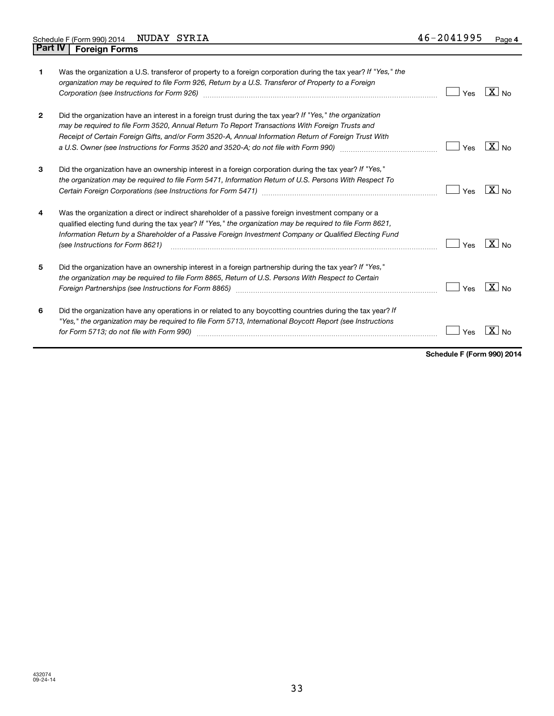| 1              | Was the organization a U.S. transferor of property to a foreign corporation during the tax year? If "Yes," the<br>organization may be required to file Form 926, Return by a U.S. Transferor of Property to a Foreign<br>Corporation (see Instructions for Form 926)                                                                                                                                         | Yes | $X _{NQ}$                  |
|----------------|--------------------------------------------------------------------------------------------------------------------------------------------------------------------------------------------------------------------------------------------------------------------------------------------------------------------------------------------------------------------------------------------------------------|-----|----------------------------|
| $\overline{2}$ | Did the organization have an interest in a foreign trust during the tax year? If "Yes," the organization<br>may be required to file Form 3520, Annual Return To Report Transactions With Foreign Trusts and<br>Receipt of Certain Foreign Gifts, and/or Form 3520-A, Annual Information Return of Foreign Trust With<br>a U.S. Owner (see Instructions for Forms 3520 and 3520-A; do not file with Form 990) | Yes | $X _{\text{No}}$           |
| 3              | Did the organization have an ownership interest in a foreign corporation during the tax year? If "Yes,"<br>the organization may be required to file Form 5471, Information Return of U.S. Persons With Respect To                                                                                                                                                                                            | Yes | $X _{No}$                  |
| 4              | Was the organization a direct or indirect shareholder of a passive foreign investment company or a<br>qualified electing fund during the tax year? If "Yes," the organization may be required to file Form 8621,<br>Information Return by a Shareholder of a Passive Foreign Investment Company or Qualified Electing Fund<br>(see Instructions for Form 8621)                                               | Yes | $\overline{X}$   No        |
| 5              | Did the organization have an ownership interest in a foreign partnership during the tax year? If "Yes,"<br>the organization may be required to file Form 8865, Return of U.S. Persons With Respect to Certain                                                                                                                                                                                                | Yes | $X \mid$<br>N <sub>0</sub> |
| 6              | Did the organization have any operations in or related to any boycotting countries during the tax year? If<br>"Yes," the organization may be required to file Form 5713, International Boycott Report (see Instructions<br>for Form 5713; do not file with Form 990)                                                                                                                                         | Yes |                            |

**Schedule F (Form 990) 2014**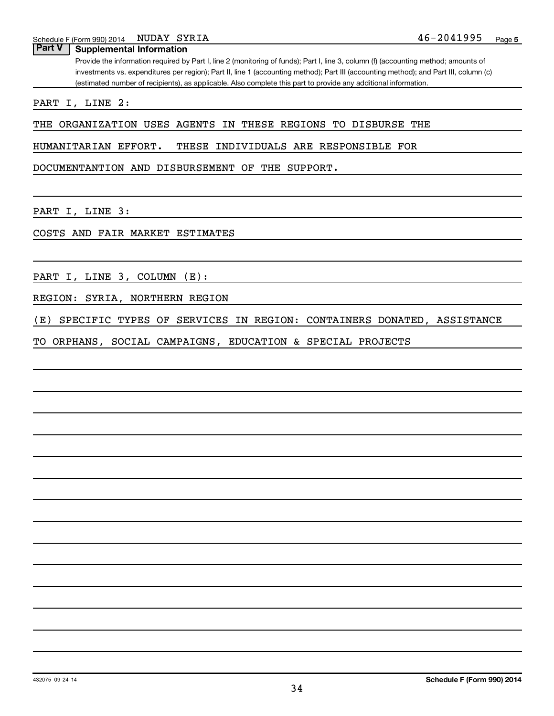### **Part V Supplemental Information**

Provide the information required by Part I, line 2 (monitoring of funds); Part I, line 3, column (f) (accounting method; amounts of investments vs. expenditures per region); Part II, line 1 (accounting method); Part III (accounting method); and Part III, column (c) (estimated number of recipients), as applicable. Also complete this part to provide any additional information.

PART I, LINE 2:

THE ORGANIZATION USES AGENTS IN THESE REGIONS TO DISBURSE THE

HUMANITARIAN EFFORT. THESE INDIVIDUALS ARE RESPONSIBLE FOR

DOCUMENTANTION AND DISBURSEMENT OF THE SUPPORT.

PART I, LINE 3:

COSTS AND FAIR MARKET ESTIMATES

PART I, LINE 3, COLUMN (E):

REGION: SYRIA, NORTHERN REGION

(E) SPECIFIC TYPES OF SERVICES IN REGION: CONTAINERS DONATED, ASSISTANCE

TO ORPHANS, SOCIAL CAMPAIGNS, EDUCATION & SPECIAL PROJECTS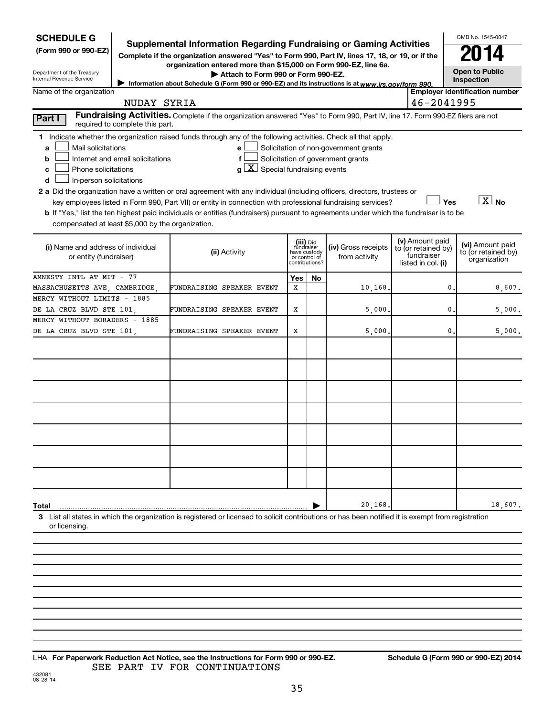| <b>SCHEDULE G</b>                                                                                                                                                                                                                                                                                                                                                                                                                                                                                                             |                                                                                                                                                                                                                                                    |                                                                            |    |                                                                            |                                                                            |     | OMB No. 1545-0047                                       |
|-------------------------------------------------------------------------------------------------------------------------------------------------------------------------------------------------------------------------------------------------------------------------------------------------------------------------------------------------------------------------------------------------------------------------------------------------------------------------------------------------------------------------------|----------------------------------------------------------------------------------------------------------------------------------------------------------------------------------------------------------------------------------------------------|----------------------------------------------------------------------------|----|----------------------------------------------------------------------------|----------------------------------------------------------------------------|-----|---------------------------------------------------------|
| (Form 990 or 990-EZ)                                                                                                                                                                                                                                                                                                                                                                                                                                                                                                          | <b>Supplemental Information Regarding Fundraising or Gaming Activities</b><br>Complete if the organization answered "Yes" to Form 990, Part IV, lines 17, 18, or 19, or if the<br>organization entered more than \$15,000 on Form 990-EZ, line 6a. |                                                                            |    |                                                                            |                                                                            |     |                                                         |
| Department of the Treasury<br>Internal Revenue Service                                                                                                                                                                                                                                                                                                                                                                                                                                                                        | Attach to Form 990 or Form 990-EZ.<br>Information about Schedule G (Form 990 or 990-EZ) and its instructions is at www.irs.gov/form 990.                                                                                                           |                                                                            |    |                                                                            |                                                                            |     | <b>Open to Public</b><br><b>Inspection</b>              |
| Name of the organization                                                                                                                                                                                                                                                                                                                                                                                                                                                                                                      |                                                                                                                                                                                                                                                    |                                                                            |    |                                                                            |                                                                            |     | <b>Employer identification number</b>                   |
| NUDAY SYRIA                                                                                                                                                                                                                                                                                                                                                                                                                                                                                                                   |                                                                                                                                                                                                                                                    |                                                                            |    |                                                                            | 46-2041995                                                                 |     |                                                         |
| Part I<br>required to complete this part.                                                                                                                                                                                                                                                                                                                                                                                                                                                                                     | Fundraising Activities. Complete if the organization answered "Yes" to Form 990, Part IV, line 17. Form 990-EZ filers are not                                                                                                                      |                                                                            |    |                                                                            |                                                                            |     |                                                         |
| 1 Indicate whether the organization raised funds through any of the following activities. Check all that apply.<br>Mail solicitations<br>a<br>Internet and email solicitations<br>b<br>Phone solicitations<br>c<br>In-person solicitations<br>d<br>2 a Did the organization have a written or oral agreement with any individual (including officers, directors, trustees or<br><b>b</b> If "Yes," list the ten highest paid individuals or entities (fundraisers) pursuant to agreements under which the fundraiser is to be | e<br>$g\left[\overline{X}\right]$ Special fundraising events<br>key employees listed in Form 990, Part VII) or entity in connection with professional fundraising services?                                                                        |                                                                            |    | Solicitation of non-government grants<br>Solicitation of government grants |                                                                            | Yes | $\boxed{\text{X}}$ No                                   |
| compensated at least \$5,000 by the organization.<br>(i) Name and address of individual<br>or entity (fundraiser)                                                                                                                                                                                                                                                                                                                                                                                                             | (ii) Activity                                                                                                                                                                                                                                      | (iii) Did<br>fundraiser<br>have custody<br>or control of<br>contributions? |    | (iv) Gross receipts<br>from activity                                       | (v) Amount paid<br>to (or retained by)<br>fundraiser<br>listed in col. (i) |     | (vi) Amount paid<br>to (or retained by)<br>organization |
| AMNESTY INTL AT MIT - 77                                                                                                                                                                                                                                                                                                                                                                                                                                                                                                      |                                                                                                                                                                                                                                                    | Yes                                                                        | No |                                                                            |                                                                            |     |                                                         |
| MASSACHUSETTS AVE, CAMBRIDGE,                                                                                                                                                                                                                                                                                                                                                                                                                                                                                                 | FUNDRAISING SPEAKER EVENT                                                                                                                                                                                                                          | X                                                                          |    | 10,168.                                                                    |                                                                            | 0.  | 8,607.                                                  |
| MERCY WITHOUT LIMITS - 1885                                                                                                                                                                                                                                                                                                                                                                                                                                                                                                   |                                                                                                                                                                                                                                                    |                                                                            |    |                                                                            |                                                                            |     |                                                         |
| DE LA CRUZ BLVD STE 101,                                                                                                                                                                                                                                                                                                                                                                                                                                                                                                      | FUNDRAISING SPEAKER EVENT                                                                                                                                                                                                                          | х                                                                          |    | 5,000,                                                                     |                                                                            | 0.  | 5,000.                                                  |
| MERCY WITHOUT BORADERS - 1885                                                                                                                                                                                                                                                                                                                                                                                                                                                                                                 |                                                                                                                                                                                                                                                    |                                                                            |    |                                                                            |                                                                            |     |                                                         |
| DE LA CRUZ BLVD STE 101,                                                                                                                                                                                                                                                                                                                                                                                                                                                                                                      | FUNDRAISING SPEAKER EVENT                                                                                                                                                                                                                          | х                                                                          |    | 5,000.                                                                     |                                                                            | 0.  | 5,000.                                                  |
|                                                                                                                                                                                                                                                                                                                                                                                                                                                                                                                               |                                                                                                                                                                                                                                                    |                                                                            |    |                                                                            |                                                                            |     |                                                         |
|                                                                                                                                                                                                                                                                                                                                                                                                                                                                                                                               |                                                                                                                                                                                                                                                    |                                                                            |    |                                                                            |                                                                            |     |                                                         |
|                                                                                                                                                                                                                                                                                                                                                                                                                                                                                                                               |                                                                                                                                                                                                                                                    |                                                                            |    |                                                                            |                                                                            |     |                                                         |
| Total<br>3 List all states in which the organization is registered or licensed to solicit contributions or has been notified it is exempt from registration<br>or licensing                                                                                                                                                                                                                                                                                                                                                   |                                                                                                                                                                                                                                                    |                                                                            |    | 20,168                                                                     |                                                                            |     | 18,607.                                                 |

432081 08-28-14 **For Paperwork Reduction Act Notice, see the Instructions for Form 990 or 990-EZ. Schedule G (Form 990 or 990-EZ) 2014** LHA SEE PART IV FOR CONTINUATIONS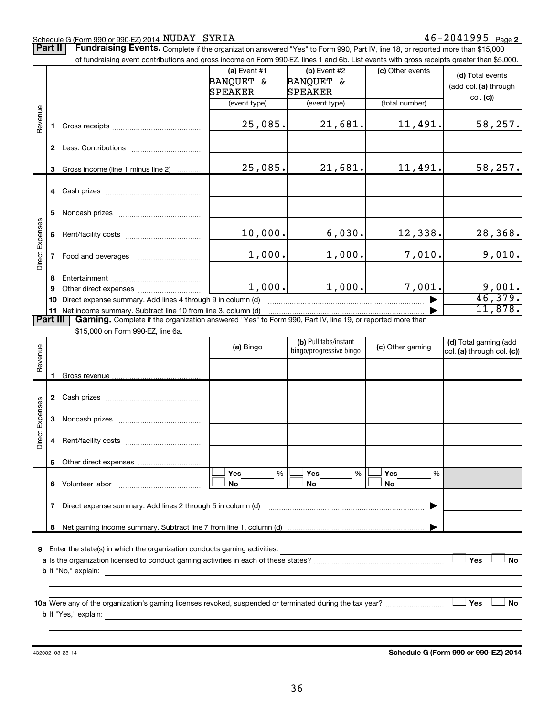#### Schedule G (Form 990 or 990-EZ) 2014 Page NUDAY SYRIA 46-2041995

Part II | Fundraising Events. Complete if the organization answered "Yes" to Form 990, Part IV, line 18, or reported more than \$15,000

|                 |    | of fundraising event contributions and gross income on Form 990-EZ, lines 1 and 6b. List events with gross receipts greater than \$5,000.                                                                                     |                           |                                                  |                  |                            |
|-----------------|----|-------------------------------------------------------------------------------------------------------------------------------------------------------------------------------------------------------------------------------|---------------------------|--------------------------------------------------|------------------|----------------------------|
|                 |    |                                                                                                                                                                                                                               | (a) Event #1<br>BANQUET & | (b) Event #2<br>BANQUET &                        | (c) Other events | (d) Total events           |
|                 |    |                                                                                                                                                                                                                               | SPEAKER                   | SPEAKER                                          |                  | (add col. (a) through      |
|                 |    |                                                                                                                                                                                                                               |                           |                                                  | (total number)   | col. (c)                   |
|                 |    |                                                                                                                                                                                                                               | (event type)              | (event type)                                     |                  |                            |
| Revenue         | 1. |                                                                                                                                                                                                                               | 25,085.                   | 21,681.                                          | 11,491.          | 58,257.                    |
|                 |    |                                                                                                                                                                                                                               |                           |                                                  |                  |                            |
|                 | 3  | Gross income (line 1 minus line 2)                                                                                                                                                                                            | 25,085.                   | 21,681.                                          | 11,491.          | 58,257.                    |
|                 |    |                                                                                                                                                                                                                               |                           |                                                  |                  |                            |
|                 | 5  |                                                                                                                                                                                                                               |                           |                                                  |                  |                            |
| Direct Expenses | 6  |                                                                                                                                                                                                                               | 10,000.                   | 6,030.                                           | 12,338.          | 28,368.                    |
|                 | 7  | Food and beverages                                                                                                                                                                                                            | 1,000.                    | 1,000.                                           | 7,010.           | 9,010.                     |
|                 | 8  |                                                                                                                                                                                                                               |                           |                                                  |                  |                            |
|                 | 9  |                                                                                                                                                                                                                               | 1,000.                    | 1,000.                                           | 7,001.           | 9,001.                     |
|                 | 10 | Direct expense summary. Add lines 4 through 9 in column (d)                                                                                                                                                                   |                           |                                                  |                  | 46,379.                    |
|                 |    | 11 Net income summary. Subtract line 10 from line 3, column (d)                                                                                                                                                               |                           |                                                  |                  | 11,878.                    |
| <b>Part III</b> |    | Gaming. Complete if the organization answered "Yes" to Form 990, Part IV, line 19, or reported more than                                                                                                                      |                           |                                                  |                  |                            |
|                 |    | \$15,000 on Form 990-EZ, line 6a.                                                                                                                                                                                             |                           |                                                  |                  |                            |
|                 |    |                                                                                                                                                                                                                               | (a) Bingo                 | (b) Pull tabs/instant<br>bingo/progressive bingo | (c) Other gaming | (d) Total gaming (add      |
| Revenue         |    |                                                                                                                                                                                                                               |                           |                                                  |                  | col. (a) through col. (c)) |
|                 |    |                                                                                                                                                                                                                               |                           |                                                  |                  |                            |
|                 |    |                                                                                                                                                                                                                               |                           |                                                  |                  |                            |
|                 |    |                                                                                                                                                                                                                               |                           |                                                  |                  |                            |
|                 | 3  |                                                                                                                                                                                                                               |                           |                                                  |                  |                            |
| Direct Expenses | 4  |                                                                                                                                                                                                                               |                           |                                                  |                  |                            |
|                 |    |                                                                                                                                                                                                                               |                           |                                                  |                  |                            |
|                 |    |                                                                                                                                                                                                                               | %<br>Yes                  | %<br>Yes                                         | Yes<br>%         |                            |
|                 | 6. | Volunteer labor                                                                                                                                                                                                               | No                        | No                                               | No               |                            |
|                 | 7  | Direct expense summary. Add lines 2 through 5 in column (d)                                                                                                                                                                   |                           |                                                  |                  |                            |
|                 | 8  |                                                                                                                                                                                                                               |                           |                                                  |                  |                            |
|                 |    |                                                                                                                                                                                                                               |                           |                                                  |                  |                            |
| 9               |    | Enter the state(s) in which the organization conducts gaming activities:                                                                                                                                                      |                           |                                                  |                  | Yes<br><b>No</b>           |
|                 |    | <b>b</b> If "No," explain:                                                                                                                                                                                                    |                           |                                                  |                  |                            |
|                 |    | the control of the control of the control of the control of the control of the control of the control of the control of the control of the control of the control of the control of the control of the control of the control |                           |                                                  |                  |                            |
|                 |    |                                                                                                                                                                                                                               |                           |                                                  |                  |                            |
|                 |    | 10a Were any of the organization's gaming licenses revoked, suspended or terminated during the tax year?                                                                                                                      |                           |                                                  |                  | Yes<br>No                  |
|                 |    |                                                                                                                                                                                                                               |                           |                                                  |                  |                            |
|                 |    |                                                                                                                                                                                                                               |                           |                                                  |                  |                            |
|                 |    |                                                                                                                                                                                                                               |                           |                                                  |                  |                            |

432082 08-28-14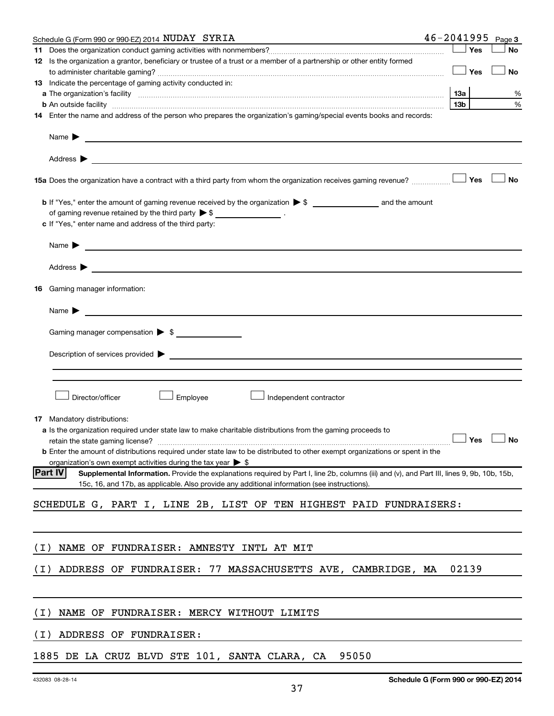| Yes<br>11<br>12 Is the organization a grantor, beneficiary or trustee of a trust or a member of a partnership or other entity formed<br>Yes<br><b>13</b> Indicate the percentage of gaming activity conducted in:<br><b>13a</b><br>a The organization's facility www.communication.communications are consistent and the organization's facility | <b>No</b> |
|--------------------------------------------------------------------------------------------------------------------------------------------------------------------------------------------------------------------------------------------------------------------------------------------------------------------------------------------------|-----------|
|                                                                                                                                                                                                                                                                                                                                                  |           |
|                                                                                                                                                                                                                                                                                                                                                  |           |
|                                                                                                                                                                                                                                                                                                                                                  | <b>No</b> |
|                                                                                                                                                                                                                                                                                                                                                  |           |
|                                                                                                                                                                                                                                                                                                                                                  | ℅         |
| 13 <sub>b</sub><br><b>b</b> An outside facility <i>www.communicality www.communicality.communicality www.communicality www.communicality.communicality www.communicality.com</i>                                                                                                                                                                 | %         |
| 14 Enter the name and address of the person who prepares the organization's gaming/special events books and records:                                                                                                                                                                                                                             |           |
|                                                                                                                                                                                                                                                                                                                                                  |           |
| Address >                                                                                                                                                                                                                                                                                                                                        |           |
| Yes<br>15a Does the organization have a contract with a third party from whom the organization receives gaming revenue?                                                                                                                                                                                                                          | <b>No</b> |
|                                                                                                                                                                                                                                                                                                                                                  |           |
| of gaming revenue retained by the third party $\triangleright$ \$ _________________.                                                                                                                                                                                                                                                             |           |
| c If "Yes," enter name and address of the third party:                                                                                                                                                                                                                                                                                           |           |
| Name $\blacktriangleright$<br><u> 1989 - Johann Barbara, martin amerikan basal dan berasal dan berasal dalam basal dan berasal dan berasal dan</u>                                                                                                                                                                                               |           |
| Address $\blacktriangleright$<br><u>and the contract of the contract of the contract of the contract of the contract of the contract of the contract of</u>                                                                                                                                                                                      |           |
| 16 Gaming manager information:                                                                                                                                                                                                                                                                                                                   |           |
| <u> 1989 - Johann Stein, mars an deus an deus Amerikaansk kommunister (</u><br>Name $\blacktriangleright$                                                                                                                                                                                                                                        |           |
|                                                                                                                                                                                                                                                                                                                                                  |           |
| Gaming manager compensation > \$                                                                                                                                                                                                                                                                                                                 |           |
| Description of services provided > example and the contract of the contract of the contract of the contract of                                                                                                                                                                                                                                   |           |
|                                                                                                                                                                                                                                                                                                                                                  |           |
| Director/officer<br>Employee<br>Independent contractor                                                                                                                                                                                                                                                                                           |           |
|                                                                                                                                                                                                                                                                                                                                                  |           |
| <b>17</b> Mandatory distributions:                                                                                                                                                                                                                                                                                                               |           |
| a Is the organization required under state law to make charitable distributions from the gaming proceeds to                                                                                                                                                                                                                                      |           |
| retain the state gaming license? $\Box$ No                                                                                                                                                                                                                                                                                                       |           |
| <b>b</b> Enter the amount of distributions required under state law to be distributed to other exempt organizations or spent in the                                                                                                                                                                                                              |           |
| organization's own exempt activities during the tax year $\triangleright$ \$<br><b>Part IV</b>                                                                                                                                                                                                                                                   |           |
| Supplemental Information. Provide the explanations required by Part I, line 2b, columns (iii) and (v), and Part III, lines 9, 9b, 10b, 15b,<br>15c, 16, and 17b, as applicable. Also provide any additional information (see instructions).                                                                                                      |           |
|                                                                                                                                                                                                                                                                                                                                                  |           |
| SCHEDULE G, PART I, LINE 2B, LIST OF TEN HIGHEST PAID FUNDRAISERS:                                                                                                                                                                                                                                                                               |           |
|                                                                                                                                                                                                                                                                                                                                                  |           |
| ( I )<br>NAME OF FUNDRAISER: AMNESTY INTL AT MIT                                                                                                                                                                                                                                                                                                 |           |
| 02139<br>ADDRESS OF FUNDRAISER: 77 MASSACHUSETTS AVE, CAMBRIDGE, MA<br>( I )                                                                                                                                                                                                                                                                     |           |
|                                                                                                                                                                                                                                                                                                                                                  |           |
| ( I )<br>NAME OF FUNDRAISER: MERCY WITHOUT LIMITS                                                                                                                                                                                                                                                                                                |           |
| ADDRESS OF FUNDRAISER:<br>( I )                                                                                                                                                                                                                                                                                                                  |           |
| 1885 DE LA CRUZ BLVD STE 101, SANTA CLARA, CA<br>95050                                                                                                                                                                                                                                                                                           |           |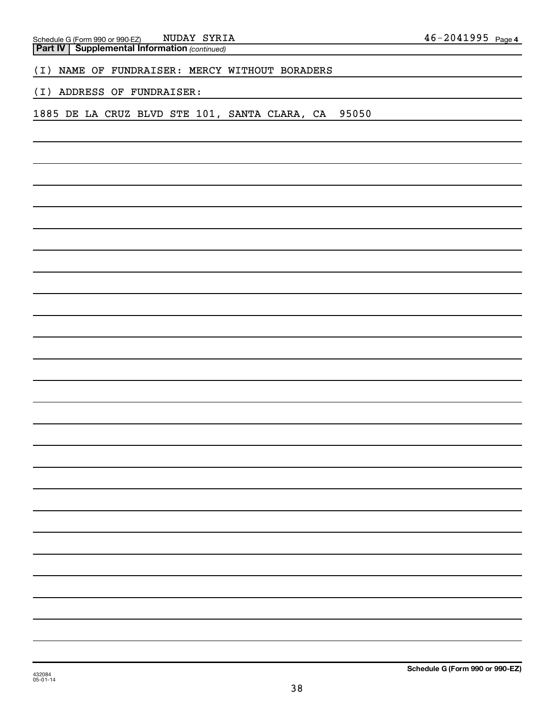| <b>Part IV   Supplemental Information (continued)</b>  |  |  |  |  |  |  |  |
|--------------------------------------------------------|--|--|--|--|--|--|--|
| NAME OF FUNDRAISER: MERCY WITHOUT BORADERS<br>(I)      |  |  |  |  |  |  |  |
| ADDRESS OF FUNDRAISER:<br>(I)                          |  |  |  |  |  |  |  |
| 1885 DE LA CRUZ BLVD STE 101, SANTA CLARA, CA<br>95050 |  |  |  |  |  |  |  |
|                                                        |  |  |  |  |  |  |  |
|                                                        |  |  |  |  |  |  |  |
|                                                        |  |  |  |  |  |  |  |
|                                                        |  |  |  |  |  |  |  |
|                                                        |  |  |  |  |  |  |  |
|                                                        |  |  |  |  |  |  |  |
|                                                        |  |  |  |  |  |  |  |
|                                                        |  |  |  |  |  |  |  |
|                                                        |  |  |  |  |  |  |  |
|                                                        |  |  |  |  |  |  |  |
|                                                        |  |  |  |  |  |  |  |
|                                                        |  |  |  |  |  |  |  |
|                                                        |  |  |  |  |  |  |  |
|                                                        |  |  |  |  |  |  |  |
|                                                        |  |  |  |  |  |  |  |
|                                                        |  |  |  |  |  |  |  |
|                                                        |  |  |  |  |  |  |  |
|                                                        |  |  |  |  |  |  |  |
|                                                        |  |  |  |  |  |  |  |
|                                                        |  |  |  |  |  |  |  |
|                                                        |  |  |  |  |  |  |  |
|                                                        |  |  |  |  |  |  |  |
|                                                        |  |  |  |  |  |  |  |
|                                                        |  |  |  |  |  |  |  |
|                                                        |  |  |  |  |  |  |  |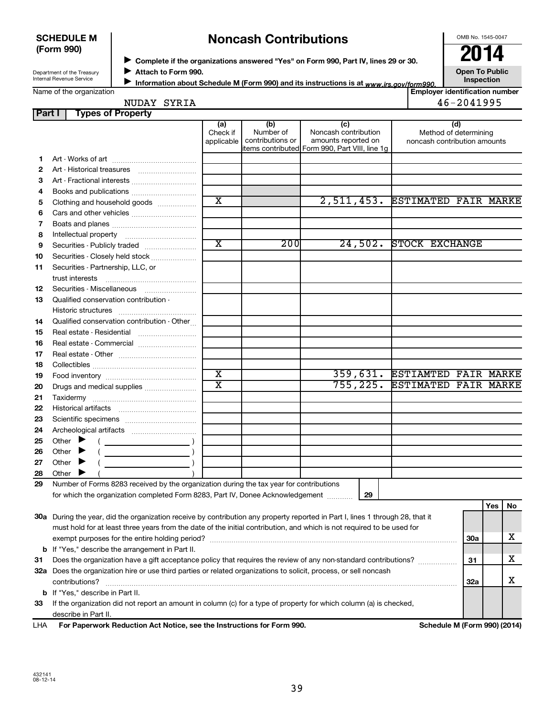#### **SCHEDULE M (Form 990)**

# **Noncash Contributions**

OMB No. 1545-0047

Department of the Treasury Internal Revenue Service

◆ Complete if the organizations answered "Yes" on Form 990, Part IV, lines 29 or 30.<br>▶ Complete if the organizations answered "Yes" on Form 990, Part IV, lines 29 or 30. **Attach to Form 990.**  $\blacktriangleright$ 

**Open To Public**

|  | Name of the organization |
|--|--------------------------|
|--|--------------------------|

Information about Schedule M (Form 990) and its instructions is at <sub>www.irs.gov/form990.</sub> Inspection ■ Information about Schedule M (Form 990) and its instructions is at <sub>www.irs.*gov/form990.*<br>Employer identification number |<br>Figure identification number |</sub>

NUDAY SYRIA 2018 2019 12:30 12:30 12:30 12:30 12:30 12:30 12:30 12:30 12:30 12:30 12:30 12:30 12:30 12:30 12:30

| Part I |                             | <b>Types of Property</b>                                                                                                       |                               |                                      |                                                                                                      |                                                       |            |     |    |
|--------|-----------------------------|--------------------------------------------------------------------------------------------------------------------------------|-------------------------------|--------------------------------------|------------------------------------------------------------------------------------------------------|-------------------------------------------------------|------------|-----|----|
|        |                             |                                                                                                                                | (a)<br>Check if<br>applicable | (b)<br>Number of<br>contributions or | (c)<br>Noncash contribution<br>amounts reported on<br>items contributed Form 990, Part VIII, line 1g | Method of determining<br>noncash contribution amounts | (d)        |     |    |
| 1.     |                             |                                                                                                                                |                               |                                      |                                                                                                      |                                                       |            |     |    |
| 2      |                             | Art - Historical treasures                                                                                                     |                               |                                      |                                                                                                      |                                                       |            |     |    |
| 3      |                             | Art - Fractional interests                                                                                                     |                               |                                      |                                                                                                      |                                                       |            |     |    |
| 4      |                             |                                                                                                                                |                               |                                      |                                                                                                      |                                                       |            |     |    |
| 5      |                             | Clothing and household goods                                                                                                   | $\overline{\text{x}}$         |                                      |                                                                                                      | 2,511,453. ESTIMATED FAIR MARKE                       |            |     |    |
| 6      |                             |                                                                                                                                |                               |                                      |                                                                                                      |                                                       |            |     |    |
| 7      |                             |                                                                                                                                |                               |                                      |                                                                                                      |                                                       |            |     |    |
| 8      |                             |                                                                                                                                |                               |                                      |                                                                                                      |                                                       |            |     |    |
| 9      |                             | Securities - Publicly traded                                                                                                   | $\overline{\textbf{x}}$       | 200                                  | 24,502.                                                                                              | STOCK EXCHANGE                                        |            |     |    |
| 10     |                             | Securities - Closely held stock                                                                                                |                               |                                      |                                                                                                      |                                                       |            |     |    |
| 11     |                             | Securities - Partnership, LLC, or                                                                                              |                               |                                      |                                                                                                      |                                                       |            |     |    |
|        | trust interests             |                                                                                                                                |                               |                                      |                                                                                                      |                                                       |            |     |    |
| 12     |                             | Securities - Miscellaneous                                                                                                     |                               |                                      |                                                                                                      |                                                       |            |     |    |
| 13     |                             | Qualified conservation contribution -                                                                                          |                               |                                      |                                                                                                      |                                                       |            |     |    |
|        |                             |                                                                                                                                |                               |                                      |                                                                                                      |                                                       |            |     |    |
| 14     |                             | Qualified conservation contribution - Other                                                                                    |                               |                                      |                                                                                                      |                                                       |            |     |    |
| 15     |                             |                                                                                                                                |                               |                                      |                                                                                                      |                                                       |            |     |    |
| 16     |                             | Real estate - Commercial                                                                                                       |                               |                                      |                                                                                                      |                                                       |            |     |    |
| 17     |                             |                                                                                                                                |                               |                                      |                                                                                                      |                                                       |            |     |    |
| 18     |                             |                                                                                                                                |                               |                                      |                                                                                                      |                                                       |            |     |    |
| 19     |                             |                                                                                                                                | $\overline{\textbf{x}}$       |                                      |                                                                                                      | 359,631. ESTIAMTED FAIR MARKE                         |            |     |    |
| 20     |                             | Drugs and medical supplies                                                                                                     | $\overline{\texttt{x}}$       |                                      | 755, 225.                                                                                            | <b>ESTIMATED FAIR MARKE</b>                           |            |     |    |
| 21     |                             |                                                                                                                                |                               |                                      |                                                                                                      |                                                       |            |     |    |
| 22     |                             |                                                                                                                                |                               |                                      |                                                                                                      |                                                       |            |     |    |
| 23     |                             |                                                                                                                                |                               |                                      |                                                                                                      |                                                       |            |     |    |
| 24     |                             |                                                                                                                                |                               |                                      |                                                                                                      |                                                       |            |     |    |
| 25     | Other $\blacktriangleright$ |                                                                                                                                |                               |                                      |                                                                                                      |                                                       |            |     |    |
| 26     | Other $\blacktriangleright$ | $\overline{\phantom{a}}$ )                                                                                                     |                               |                                      |                                                                                                      |                                                       |            |     |    |
| 27     | Other $\blacktriangleright$ |                                                                                                                                |                               |                                      |                                                                                                      |                                                       |            |     |    |
| 28     | Other $\blacktriangleright$ |                                                                                                                                |                               |                                      |                                                                                                      |                                                       |            |     |    |
| 29     |                             | Number of Forms 8283 received by the organization during the tax year for contributions                                        |                               |                                      |                                                                                                      |                                                       |            |     |    |
|        |                             | for which the organization completed Form 8283, Part IV, Donee Acknowledgement                                                 |                               |                                      | 29                                                                                                   |                                                       |            |     |    |
|        |                             |                                                                                                                                |                               |                                      |                                                                                                      |                                                       |            | Yes | No |
|        |                             | 30a During the year, did the organization receive by contribution any property reported in Part I, lines 1 through 28, that it |                               |                                      |                                                                                                      |                                                       |            |     |    |
|        |                             | must hold for at least three years from the date of the initial contribution, and which is not required to be used for         |                               |                                      |                                                                                                      |                                                       |            |     |    |
|        |                             |                                                                                                                                |                               |                                      |                                                                                                      |                                                       | 30a        |     | х  |
|        |                             | <b>b</b> If "Yes," describe the arrangement in Part II.                                                                        |                               |                                      |                                                                                                      |                                                       |            |     |    |
| 31     |                             | Does the organization have a gift acceptance policy that requires the review of any non-standard contributions?                |                               |                                      |                                                                                                      |                                                       | 31         |     | x  |
|        |                             | 32a Does the organization hire or use third parties or related organizations to solicit, process, or sell noncash              |                               |                                      |                                                                                                      |                                                       |            |     |    |
|        | contributions?              |                                                                                                                                |                               |                                      |                                                                                                      |                                                       | <b>32a</b> |     | х  |
|        |                             | <b>b</b> If "Yes," describe in Part II.                                                                                        |                               |                                      |                                                                                                      |                                                       |            |     |    |
| 33     |                             | If the organization did not report an amount in column (c) for a type of property for which column (a) is checked,             |                               |                                      |                                                                                                      |                                                       |            |     |    |
|        | describe in Part II.        |                                                                                                                                |                               |                                      |                                                                                                      |                                                       |            |     |    |

**For Paperwork Reduction Act Notice, see the Instructions for Form 990. Schedule M (Form 990) (2014)** LHA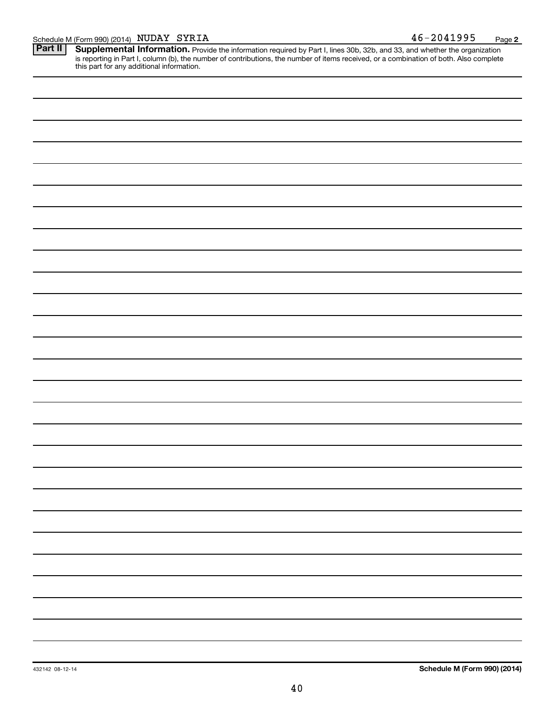| Schedule M (Form 990) (2014) $NUDAY$ SYRIA |  |  | 2041995<br>46– | Page |  |
|--------------------------------------------|--|--|----------------|------|--|
|--------------------------------------------|--|--|----------------|------|--|

Provide the information required by Part I, lines 30b, 32b, and 33, and whether the organization is reporting in Part I, column (b), the number of contributions, the number of items received, or a combination of both. Also complete this part for any additional information. **Part II Supplemental Information.** 

| $\overbrace{\phantom{aaaaa}}$ |  |  |
|-------------------------------|--|--|
|                               |  |  |
|                               |  |  |
|                               |  |  |